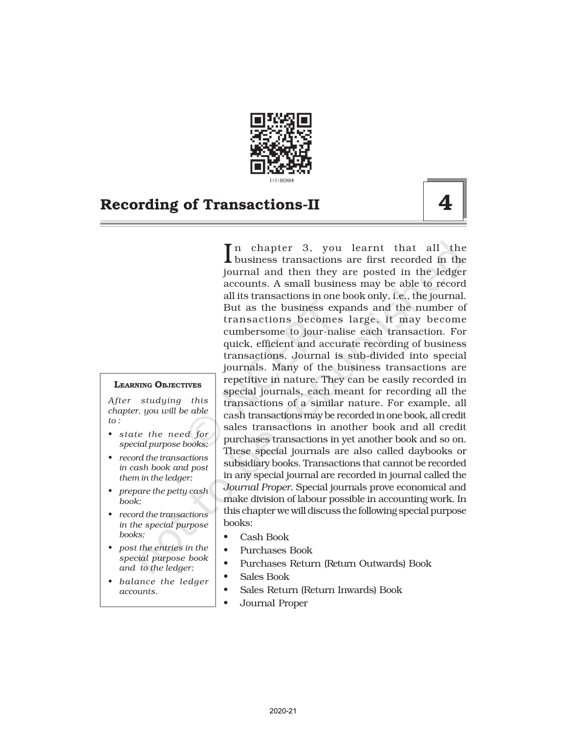

#### LEARNING OBJECTIVES

*After studying this chapter, you will be able to :*

- *• state the need for special purpose books;*
- *• record the transactions in cash book and post them in the ledger;*
- *• prepare the petty cash book;*
- *• record the transactions in the special purpose books;*
- *• post the entries in the special purpose book and to the ledger;*
- *• balance the ledger accounts.*

In chapter 3, you learnt that all the<br>business transactions are first recorded in the business transactions are first recorded in the journal and then they are posted in the ledger accounts. A small business may be able to record all its transactions in one book only, i.e., the journal. But as the business expands and the number of transactions becomes large, it may become cumbersome to jour-nalise each transaction. For quick, efficient and accurate recording of business transactions, Journal is sub-divided into special journals. Many of the business transactions are repetitive in nature. They can be easily recorded in special journals, each meant for recording all the transactions of a similar nature. For example, all cash transactions may be recorded in one book, all credit sales transactions in another book and all credit purchases transactions in yet another book and so on. These special journals are also called daybooks or subsidiary books. Transactions that cannot be recorded in any special journal are recorded in journal called the *Journal Proper.* Special journals prove economical and make division of labour possible in accounting work. In this chapter we will discuss the following special purpose books:

- Cash Book
- Purchases Book
- Purchases Return (Return Outwards) Book
- Sales Book
- Sales Return (Return Inwards) Book
- Journal Proper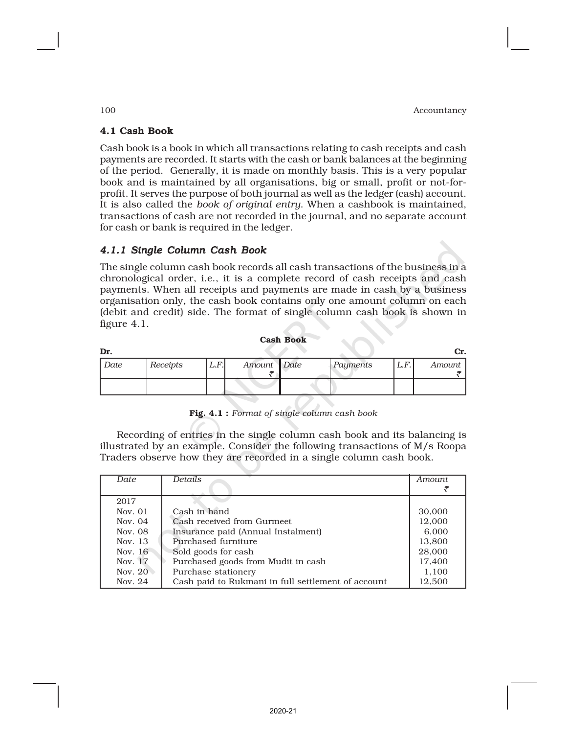# 4.1 Cash Book

Cash book is a book in which all transactions relating to cash receipts and cash payments are recorded. It starts with the cash or bank balances at the beginning of the period. Generally, it is made on monthly basis. This is a very popular book and is maintained by all organisations, big or small, profit or not-forprofit. It serves the purpose of both journal as well as the ledger (cash) account. It is also called the *book of original entry*. When a cashbook is maintained, transactions of cash are not recorded in the journal, and no separate account for cash or bank is required in the ledger.

# *4.1.1 Single Column Cash Book*

The single column cash book records all cash transactions of the business in a chronological order, i.e., it is a complete record of cash receipts and cash payments. When all receipts and payments are made in cash by a business organisation only, the cash book contains only one amount column on each (debit and credit) side. The format of single column cash book is shown in figure 4.1.

| <b>Cash Book</b> |
|------------------|
|                  |

| Dr.  |          |       |             |          |      | Cr.    |
|------|----------|-------|-------------|----------|------|--------|
| Date | Receipts | L.F.I | Amount Date | Payments | L.F. | Amount |
|      |          |       |             |          |      |        |

Fig. 4.1 : *Format of single column cash book*

Recording of entries in the single column cash book and its balancing is illustrated by an example. Consider the following transactions of M/s Roopa Traders observe how they are recorded in a single column cash book.

| Date      | <b>Details</b>                                     | Amount. |
|-----------|----------------------------------------------------|---------|
|           |                                                    |         |
|           |                                                    |         |
| 2017      |                                                    |         |
| Nov. $01$ | Cash in hand                                       | 30,000  |
| Nov. 04   | Cash received from Gurmeet                         | 12,000  |
| Nov. 08   | Insurance paid (Annual Instalment)                 | 6.000   |
| Nov. 13   | Purchased furniture                                | 13,800  |
| Nov. $16$ | Sold goods for cash                                | 28,000  |
| Nov. 17   | Purchased goods from Mudit in cash                 | 17,400  |
| Nov. 20   | Purchase stationery                                | 1.100   |
| Nov. $24$ | Cash paid to Rukmani in full settlement of account | 12.500  |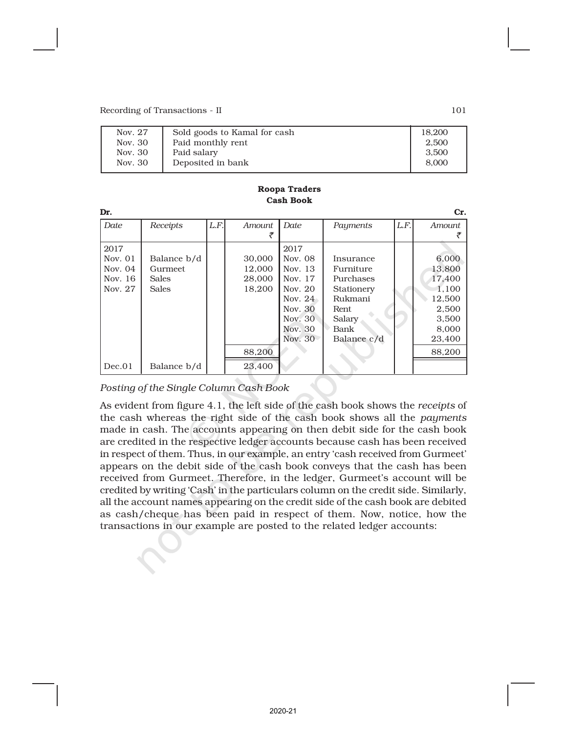| Sold goods to Kamal for cash<br>Nov. 27 | 18,200 |
|-----------------------------------------|--------|
| Paid monthly rent<br>Nov. 30            | 2.500  |
| Paid salary<br>Nov. 30                  | 3.500  |
| Deposited in bank<br>Nov. 30            | 8.000  |

| Dr.       |              |      |        |           |             |      | Cr.    |
|-----------|--------------|------|--------|-----------|-------------|------|--------|
| Date      | Receipts     | L.F. | Amount | Date      | Payments    | L.F. | Amount |
|           |              |      |        |           |             |      |        |
| 2017      |              |      |        | 2017      |             |      |        |
| Nov. $01$ | Balance b/d  |      | 30,000 | Nov. 08   | Insurance   |      | 6,000  |
| Nov. $04$ | Gurmeet      |      | 12,000 | Nov. 13   | Furniture   |      | 13,800 |
| Nov. 16   | <b>Sales</b> |      | 28,000 | Nov. 17   | Purchases   |      | 17.400 |
| Nov. 27   | <b>Sales</b> |      | 18,200 | Nov. 20   | Stationery  |      | 1.100  |
|           |              |      |        | Nov. $24$ | Rukmani     |      | 12.500 |
|           |              |      |        | Nov. 30   | Rent        |      | 2,500  |
|           |              |      |        | Nov. 30   | Salary      |      | 3,500  |
|           |              |      |        | Nov. 30   | Bank        |      | 8,000  |
|           |              |      |        | Nov. 30   | Balance c/d |      | 23,400 |
|           |              |      | 88,200 |           |             |      | 88,200 |
| Dec.01    | Balance b/d  |      | 23,400 |           |             |      |        |

#### Roopa Traders Cash Book

*Posting of the Single Column Cash Book*

As evident from figure 4.1, the left side of the cash book shows the *receipts* of the cash whereas the right side of the cash book shows all the *payments* made in cash. The accounts appearing on then debit side for the cash book are credited in the respective ledger accounts because cash has been received in respect of them. Thus, in our example, an entry 'cash received from Gurmeet' appears on the debit side of the cash book conveys that the cash has been received from Gurmeet. Therefore, in the ledger, Gurmeet's account will be credited by writing 'Cash' in the particulars column on the credit side. Similarly, all the account names appearing on the credit side of the cash book are debited as cash/cheque has been paid in respect of them. Now, notice, how the transactions in our example are posted to the related ledger accounts: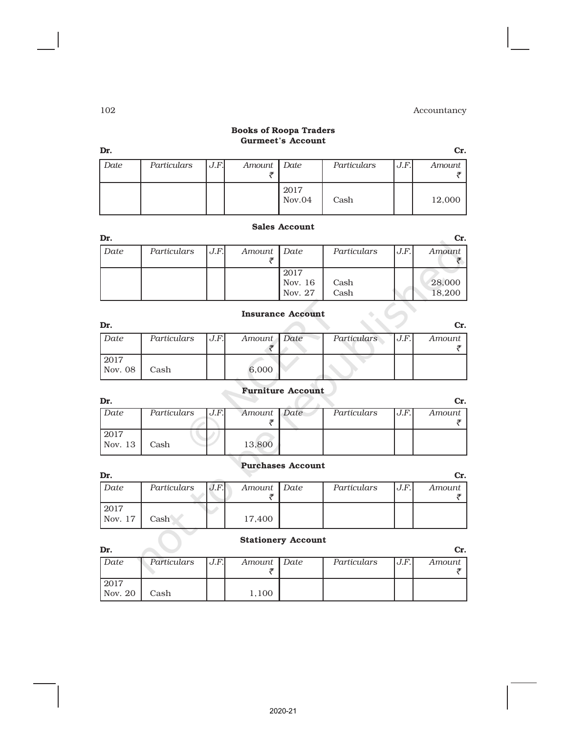#### Books of Roopa Traders Gurmeet's Account

| Dr.  |             |      |             |                |             |      | Cr.    |
|------|-------------|------|-------------|----------------|-------------|------|--------|
| Date | Particulars | J.F. | Amount Date |                | Particulars | J.F. | Amount |
|      |             |      |             | 2017<br>Nov.04 | Cash        |      | 12,000 |

# Sales Account

| Dr.  |             |      |             |                            |              |      | Cr.              |
|------|-------------|------|-------------|----------------------------|--------------|------|------------------|
| Date | Particulars | J.F. | Amount Date |                            | Particulars  | J.F. | Amount           |
|      |             |      |             | 2017<br>Nov. 16<br>Nov. 27 | Cash<br>Cash |      | 28,000<br>18,200 |

# Insurance Account

| Dr.     |             |      |             |             |        | Cr.    |
|---------|-------------|------|-------------|-------------|--------|--------|
| Date    | Particulars | J.F. | Amount Date | Particulars | IJ.F.I | Amount |
|         |             |      |             |             |        |        |
| 2017    |             |      |             |             |        |        |
| Nov. 08 | Cash        |      | 6,000       |             |        |        |

### Furniture Account

| Dr.     |             |      |             |             |      | Cr.    |
|---------|-------------|------|-------------|-------------|------|--------|
| Date    | Particulars | J.F. | Amount Date | Particulars | J.F. | Amount |
|         |             |      |             |             |      |        |
| 2017    |             |      |             |             |      |        |
| Nov. 13 | Cash        |      | 13,800      |             |      |        |
|         |             |      |             |             |      |        |

### Purchases Account

| Dr.                     |             |      |             |             |      |        |
|-------------------------|-------------|------|-------------|-------------|------|--------|
| Date                    | Particulars | J.F. | Amount Date | Particulars | J.F. | Amount |
|                         |             |      |             |             |      |        |
| 2017<br>$\sqrt{Nov.}17$ | Cash        |      | 17,400      |             |      |        |

### Stationery Account

| Dr.     |             |      |             |             |      | Cr.    |
|---------|-------------|------|-------------|-------------|------|--------|
| Date    | Particulars | J.F. | Amount Date | Particulars | J.F. | Amount |
|         |             |      |             |             |      |        |
| 2017    |             |      |             |             |      |        |
| Nov. 20 | Cash        |      | 1,100       |             |      |        |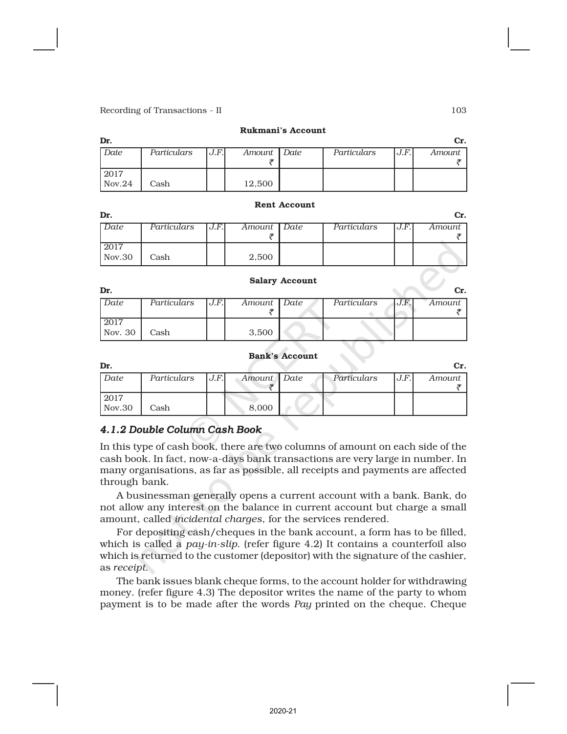| Dr.            |             |       |             |             |      | Cr.    |
|----------------|-------------|-------|-------------|-------------|------|--------|
| Date           | Particulars | J.F.I | Amount Date | Particulars | J.F. | Amount |
| 2017<br>Nov.24 | Cash        |       | 12,500      |             |      |        |

Rukmani's Account

#### Rent Account

| Dr.    |             |      |             |             |      | Cr.    |
|--------|-------------|------|-------------|-------------|------|--------|
| Date   | Particulars | J.F. | Amount Date | Particulars | J.F. | Amount |
|        |             |      |             |             |      |        |
| 2017   |             |      |             |             |      |        |
| Nov.30 | Cash        |      | 2,500       |             |      |        |

#### Salary Account

|         |             |      |               |             |      | Cr.    |
|---------|-------------|------|---------------|-------------|------|--------|
| Date    | Particulars | J.F. | Amount   Date | Particulars | J.F. | Amount |
|         |             |      |               |             |      |        |
| 2017    |             |      |               |             |      |        |
| Nov. 30 | Cash        |      | 3,500         |             |      |        |

#### Bank's Account

| Dr.    |             |      |             |             |      | Сr.    |
|--------|-------------|------|-------------|-------------|------|--------|
| Date   | Particulars | J.F. | Amount Date | Particulars | U.F. | Amount |
|        |             |      |             |             |      |        |
| 2017   |             |      |             |             |      |        |
| Nov.30 | Cash        |      | 8,000       |             |      |        |

# *4.1.2 Double Column Cash Book*

In this type of cash book, there are two columns of amount on each side of the cash book. In fact, now-a-days bank transactions are very large in number. In many organisations, as far as possible, all receipts and payments are affected through bank.

A businessman generally opens a current account with a bank. Bank, do not allow any interest on the balance in current account but charge a small amount, called *incidental charges*, for the services rendered.

For depositing cash/cheques in the bank account, a form has to be filled, which is called a *pay-in-slip*. (refer figure 4.2) It contains a counterfoil also which is returned to the customer (depositor) with the signature of the cashier, as *receipt*.

The bank issues blank cheque forms, to the account holder for withdrawing money. (refer figure 4.3) The depositor writes the name of the party to whom payment is to be made after the words *Pay* printed on the cheque. Cheque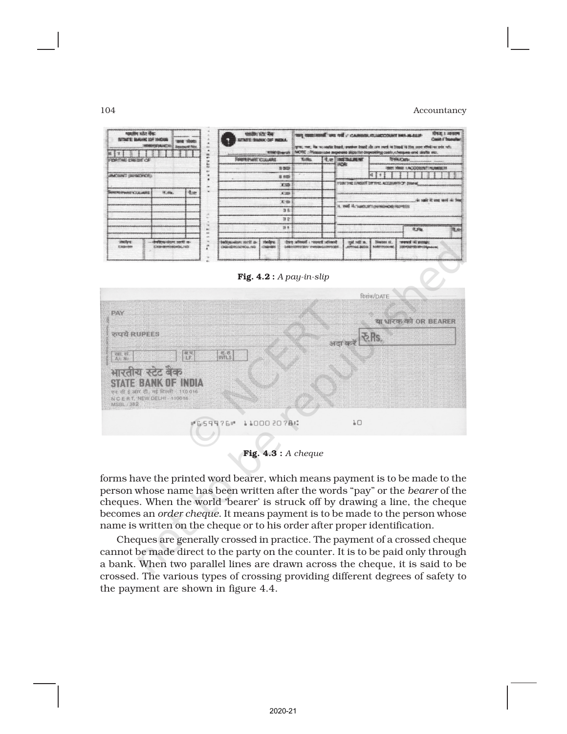



Fig. 4.3 : *A cheque*

forms have the printed word bearer, which means payment is to be made to the person whose name has been written after the words "pay" or the *bearer* of the cheques. When the world 'bearer' is struck off by drawing a line, the cheque becomes an *order cheque*. It means payment is to be made to the person whose name is written on the cheque or to his order after proper identification.

Cheques are generally crossed in practice. The payment of a crossed cheque cannot be made direct to the party on the counter. It is to be paid only through a bank. When two parallel lines are drawn across the cheque, it is said to be crossed. The various types of crossing providing different degrees of safety to the payment are shown in figure 4.4.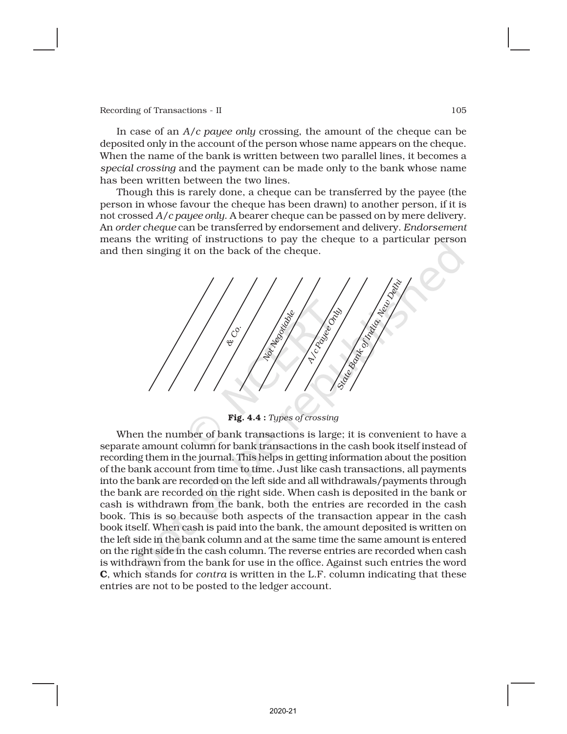In case of an *A/c payee only* crossing, the amount of the cheque can be deposited only in the account of the person whose name appears on the cheque. When the name of the bank is written between two parallel lines, it becomes a *special crossing* and the payment can be made only to the bank whose name has been written between the two lines.

Though this is rarely done, a cheque can be transferred by the payee (the person in whose favour the cheque has been drawn) to another person, if it is not crossed *A/c payee only*. A bearer cheque can be passed on by mere delivery. An *order cheque* can be transferred by endorsement and delivery. *Endorsement* means the writing of instructions to pay the cheque to a particular person and then singing it on the back of the cheque.



Fig. 4.4 : *Types of crossing*

When the number of bank transactions is large; it is convenient to have a separate amount column for bank transactions in the cash book itself instead of recording them in the journal. This helps in getting information about the position of the bank account from time to time. Just like cash transactions, all payments into the bank are recorded on the left side and all withdrawals/payments through the bank are recorded on the right side. When cash is deposited in the bank or cash is withdrawn from the bank, both the entries are recorded in the cash book. This is so because both aspects of the transaction appear in the cash book itself. When cash is paid into the bank, the amount deposited is written on the left side in the bank column and at the same time the same amount is entered on the right side in the cash column. The reverse entries are recorded when cash is withdrawn from the bank for use in the office. Against such entries the word C, which stands for *contra* is written in the L.F. column indicating that these entries are not to be posted to the ledger account.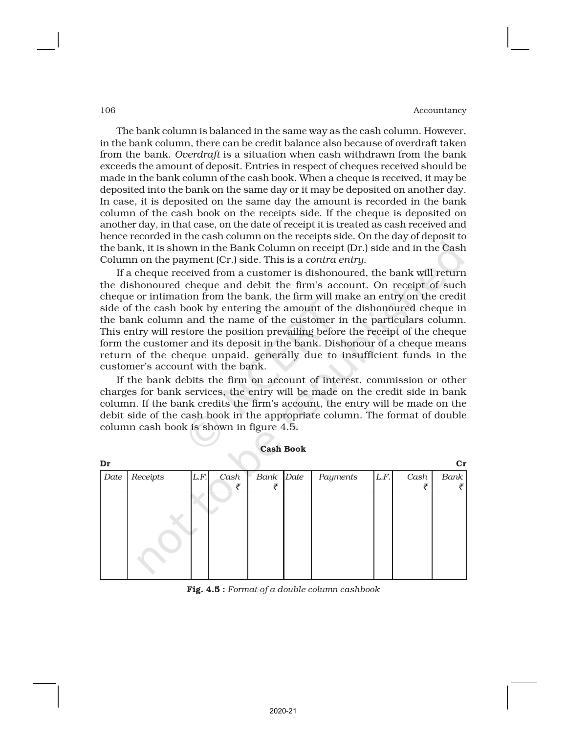The bank column is balanced in the same way as the cash column. However, in the bank column, there can be credit balance also because of overdraft taken from the bank. *Overdraft* is a situation when cash withdrawn from the bank exceeds the amount of deposit. Entries in respect of cheques received should be made in the bank column of the cash book. When a cheque is received, it may be deposited into the bank on the same day or it may be deposited on another day. In case, it is deposited on the same day the amount is recorded in the bank column of the cash book on the receipts side. If the cheque is deposited on another day, in that case, on the date of receipt it is treated as cash received and hence recorded in the cash column on the receipts side. On the day of deposit to the bank, it is shown in the Bank Column on receipt (Dr.) side and in the Cash Column on the payment (Cr.) side. This is a *contra entry*.

If a cheque received from a customer is dishonoured, the bank will return the dishonoured cheque and debit the firm's account. On receipt of such cheque or intimation from the bank, the firm will make an entry on the credit side of the cash book by entering the amount of the dishonoured cheque in the bank column and the name of the customer in the particulars column. This entry will restore the position prevailing before the receipt of the cheque form the customer and its deposit in the bank. Dishonour of a cheque means return of the cheque unpaid, generally due to insufficient funds in the customer's account with the bank.

If the bank debits the firm on account of interest, commission or other charges for bank services, the entry will be made on the credit side in bank column. If the bank credits the firm's account, the entry will be made on the debit side of the cash book in the appropriate column. The format of double column cash book is shown in figure 4.5.

| Dr   |          |      |      |           |          |      |      | cr   |
|------|----------|------|------|-----------|----------|------|------|------|
| Date | Receipts | L.F. | Cash | Bank Date | Payments | L.F. | Cash | Bank |
|      |          |      | ₹    | ₹         |          |      | ₹    |      |
|      |          |      |      |           |          |      |      |      |

Cash Book

Fig. 4.5 : *Format of a double column cashbook*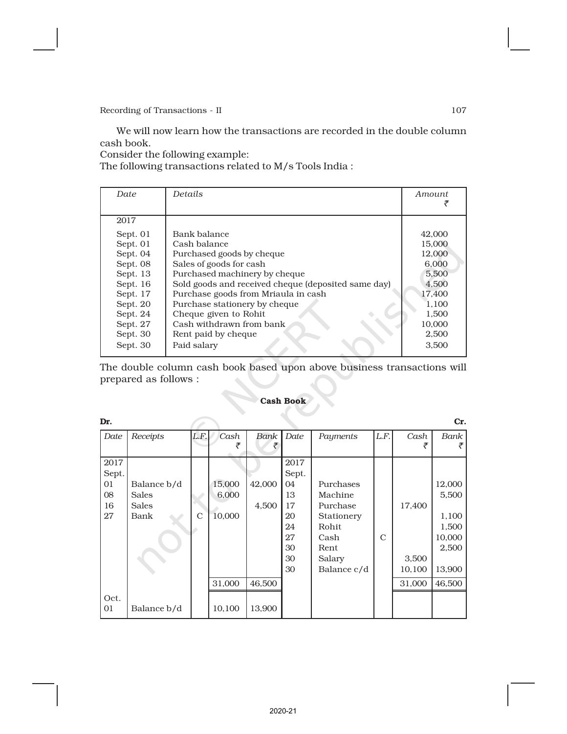We will now learn how the transactions are recorded in the double column cash book.

Consider the following example:

The following transactions related to M/s Tools India :

| Date     | Details                                             | Amount |
|----------|-----------------------------------------------------|--------|
| 2017     |                                                     |        |
| Sept. 01 | Bank balance                                        | 42,000 |
| Sept. 01 | Cash balance                                        | 15,000 |
| Sept. 04 | Purchased goods by cheque                           | 12.000 |
| Sept. 08 | Sales of goods for cash                             | 6,000  |
| Sept. 13 | Purchased machinery by cheque                       | 5,500  |
| Sept. 16 | Sold goods and received cheque (deposited same day) | 4,500  |
| Sept. 17 | Purchase goods from Mriaula in cash                 | 17,400 |
| Sept. 20 | Purchase stationery by cheque                       | 1.100  |
| Sept. 24 | Cheque given to Rohit                               | 1.500  |
| Sept. 27 | Cash withdrawn from bank                            | 10,000 |
| Sept. 30 | Rent paid by cheque                                 | 2,500  |
| Sept. 30 | Paid salary                                         | 3.500  |

The double column cash book based upon above business transactions will prepared as follows :

#### Cash Book

| Dr.                                   |                                       |                |                           |                 |                                                                     |                                                                                                   |               |                           | Cr.                                                            |
|---------------------------------------|---------------------------------------|----------------|---------------------------|-----------------|---------------------------------------------------------------------|---------------------------------------------------------------------------------------------------|---------------|---------------------------|----------------------------------------------------------------|
| Date                                  | Receipts                              | L.F.           | Cash                      | Bank<br>₹       | Date                                                                | Payments                                                                                          | L.F.          | Cash                      | Bank                                                           |
| 2017<br>Sept.<br>01<br>08<br>16<br>27 | Balance b/d<br>Sales<br>Sales<br>Bank | $\overline{C}$ | 15,000<br>6,000<br>10,000 | 42,000<br>4,500 | 2017<br>Sept.<br>04<br>13<br>17<br>20<br>24<br>27<br>30<br>30<br>30 | Purchases<br>Machine<br>Purchase<br>Stationery<br>Rohit.<br>Cash<br>Rent<br>Salary<br>Balance c/d | $\mathcal{C}$ | 17,400<br>3,500<br>10,100 | 12,000<br>5,500<br>1,100<br>1,500<br>10,000<br>2,500<br>13,900 |
|                                       |                                       |                | 31,000                    | 46,500          |                                                                     |                                                                                                   |               | 31,000                    | 46,500                                                         |
| Oct.<br>01                            | Balance b/d                           |                | 10,100                    | 13,900          |                                                                     |                                                                                                   |               |                           |                                                                |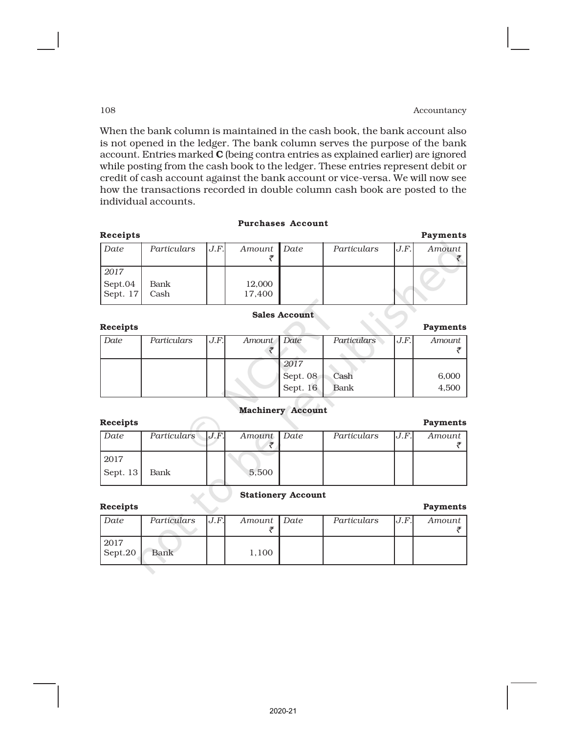When the bank column is maintained in the cash book, the bank account also is not opened in the ledger. The bank column serves the purpose of the bank account. Entries marked C (being contra entries as explained earlier) are ignored while posting from the cash book to the ledger. These entries represent debit or credit of cash account against the bank account or vice-versa. We will now see how the transactions recorded in double column cash book are posted to the individual accounts.

#### Purchases Account

| Receipts                    |              |      |                  |             |      | <b>Payments</b> |
|-----------------------------|--------------|------|------------------|-------------|------|-----------------|
| Date                        | Particulars  | J.F. | Amount Date      | Particulars | J.F. | Amount          |
| 2017<br>Sept.04<br>Sept. 17 | Bank<br>Cash |      | 12,000<br>17,400 |             |      |                 |

#### Sales Account

Receipts Payments *Date Particulars J.F. Amount Date Particulars J.F. Amount*  $\bar{\tau}$  and  $\bar{\tau}$  and  $\bar{\tau}$  and  $\bar{\tau}$ *2017* Sept. 08 Cash 1 6,000 Sept. 16 Bank 1 4,500

#### Machinery Account

| <b>Receipts</b> |                  |             |             |      | <b>Payments</b> |
|-----------------|------------------|-------------|-------------|------|-----------------|
| Date            | Particulars J.F. | Amount Date | Particulars | J.F. | Amount          |
|                 |                  |             |             |      |                 |
| 2017            |                  |             |             |      |                 |
| Sept. 13        | Bank             | 5,500       |             |      |                 |

## Stationery Account

| Receipts        |             |     |             |             |      | Payments |
|-----------------|-------------|-----|-------------|-------------|------|----------|
| Date            | Particulars | J.F | Amount Date | Particulars | J.F. | Amount   |
|                 |             |     |             |             |      |          |
| 2017<br>Sept.20 | Bank        |     | 1,100       |             |      |          |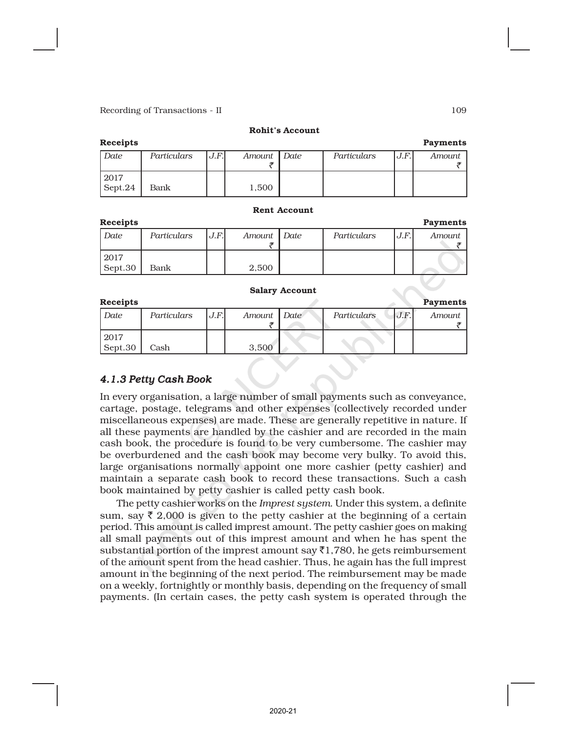#### Rohit's Account

| <b>Receipts</b> |             |       |             |             |      | <b>Payments</b> |
|-----------------|-------------|-------|-------------|-------------|------|-----------------|
| Date            | Particulars | J.F.I | Amount Date | Particulars | J.F. | Amount          |
|                 |             |       |             |             |      |                 |
| 2017            |             |       |             |             |      |                 |
| Sept.24         | Bank        |       | 1.500       |             |      |                 |

#### Rent Account

| <b>Receipts</b> |             |      |             |             |     | <b>Payments</b> |
|-----------------|-------------|------|-------------|-------------|-----|-----------------|
| Date            | Particulars | J.F. | Amount Date | Particulars | J.F | Amount          |
| 2017<br>Sept.30 | Bank        |      | 2.500       |             |     |                 |

#### Salary Account

| <b>Receipts</b> |             |      |             |                    |     | <b>Payments</b> |
|-----------------|-------------|------|-------------|--------------------|-----|-----------------|
| Date            | Particulars | J.F. | Amount Date | <b>Particulars</b> | J.F | Amount          |
| 2017<br>Sept.30 | Cash        |      | 3.500       |                    |     |                 |

# *4.1.3 Petty Cash Book*

In every organisation, a large number of small payments such as conveyance, cartage, postage, telegrams and other expenses (collectively recorded under miscellaneous expenses) are made. These are generally repetitive in nature. If all these payments are handled by the cashier and are recorded in the main cash book, the procedure is found to be very cumbersome. The cashier may be overburdened and the cash book may become very bulky. To avoid this, large organisations normally appoint one more cashier (petty cashier) and maintain a separate cash book to record these transactions. Such a cash book maintained by petty cashier is called petty cash book.

The petty cashier works on the *Imprest system*. Under this system, a definite sum, say  $\bar{\tau}$  2,000 is given to the petty cashier at the beginning of a certain period. This amount is called imprest amount. The petty cashier goes on making all small payments out of this imprest amount and when he has spent the substantial portion of the imprest amount say  $\bar{\tau}$ 1,780, he gets reimbursement of the amount spent from the head cashier. Thus, he again has the full imprest amount in the beginning of the next period. The reimbursement may be made on a weekly, fortnightly or monthly basis, depending on the frequency of small payments. (In certain cases, the petty cash system is operated through the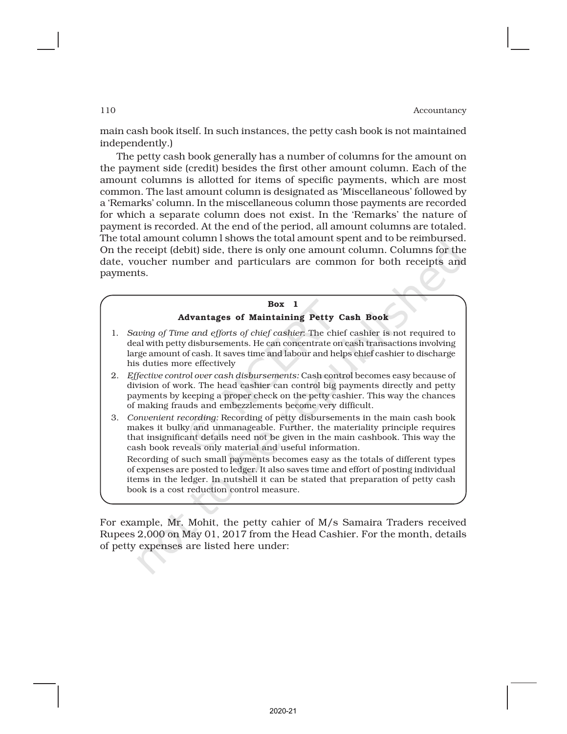main cash book itself. In such instances, the petty cash book is not maintained independently.)

The petty cash book generally has a number of columns for the amount on the payment side (credit) besides the first other amount column. Each of the amount columns is allotted for items of specific payments, which are most common. The last amount column is designated as 'Miscellaneous' followed by a 'Remarks' column. In the miscellaneous column those payments are recorded for which a separate column does not exist. In the 'Remarks' the nature of payment is recorded. At the end of the period, all amount columns are totaled. The total amount column l shows the total amount spent and to be reimbursed. On the receipt (debit) side, there is only one amount column. Columns for the date, voucher number and particulars are common for both receipts and payments.



For example, Mr. Mohit, the petty cahier of M/s Samaira Traders received Rupees 2,000 on May 01, 2017 from the Head Cashier. For the month, details of petty expenses are listed here under: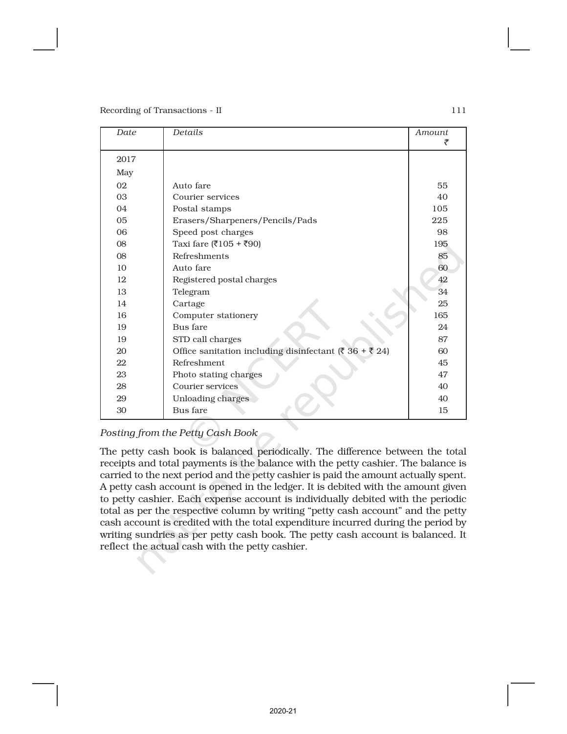| Date | Details                                                                 | <i>Amount</i><br>₹ |
|------|-------------------------------------------------------------------------|--------------------|
| 2017 |                                                                         |                    |
| May  |                                                                         |                    |
| 02   | Auto fare                                                               | 55                 |
| 03   | Courier services                                                        | 40                 |
| 04   | Postal stamps                                                           | 105                |
| 05   | Erasers/Sharpeners/Pencils/Pads                                         | 225                |
| 06   | Speed post charges                                                      | 98                 |
| 08   | Taxi fare (₹105 + ₹90)                                                  | 195                |
| 08   | Refreshments                                                            | 85                 |
| 10   | Auto fare                                                               | 60                 |
| 12   | Registered postal charges                                               | 42                 |
| 13   | Telegram                                                                | 34                 |
| 14   | Cartage                                                                 | 25                 |
| 16   | Computer stationery                                                     | 165                |
| 19   | Bus fare                                                                | 24                 |
| 19   | STD call charges                                                        | 87                 |
| 20   | Office sanitation including disinfectant ( $\bar{z}$ 36 + $\bar{z}$ 24) | 60                 |
| 22   | Refreshment                                                             | 45                 |
| 23   | Photo stating charges                                                   | 47                 |
| 28   | Courier services                                                        | 40                 |
| 29   | Unloading charges                                                       | 40                 |
| 30   | Bus fare                                                                | 15                 |

# *Posting from the Petty Cash Book*

The petty cash book is balanced periodically. The difference between the total receipts and total payments is the balance with the petty cashier. The balance is carried to the next period and the petty cashier is paid the amount actually spent. A petty cash account is opened in the ledger. It is debited with the amount given to petty cashier. Each expense account is individually debited with the periodic total as per the respective column by writing "petty cash account" and the petty cash account is credited with the total expenditure incurred during the period by writing sundries as per petty cash book. The petty cash account is balanced. It reflect the actual cash with the petty cashier.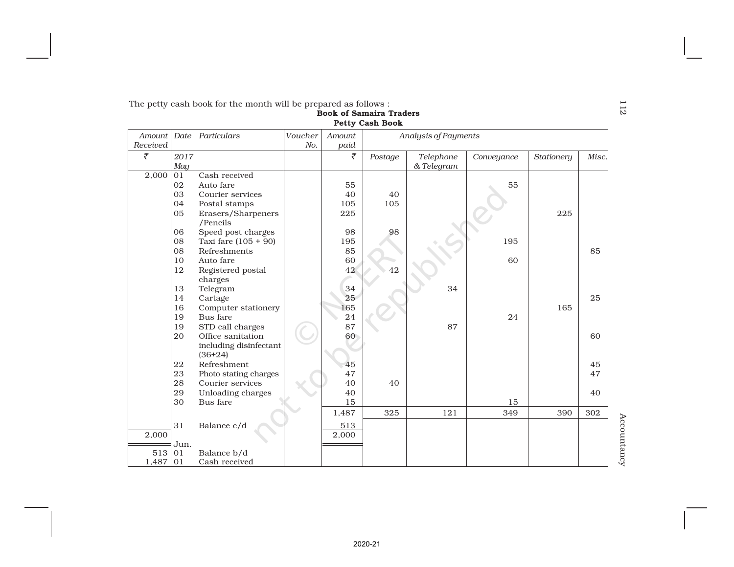|                   |                                                                                           | The petty cash book for the month will be prepared as follows :                                                         |  |                              | <b>Book of Samaira Traders</b><br><b>Petty Cash Book</b> |                         |            |            |          |  |
|-------------------|-------------------------------------------------------------------------------------------|-------------------------------------------------------------------------------------------------------------------------|--|------------------------------|----------------------------------------------------------|-------------------------|------------|------------|----------|--|
| Received          | Date<br>Particulars<br>Voucher<br>Amount<br>Analysis of Payments<br>Amount<br>No.<br>paid |                                                                                                                         |  |                              |                                                          |                         |            |            |          |  |
| ₹                 | 2017<br>May                                                                               |                                                                                                                         |  | ₹                            | Postage                                                  | Telephone<br>& Telegram | Conveyance | Stationery | Misc.    |  |
| 2,000             | 01<br>02<br>03<br>04<br>05<br>06                                                          | Cash received<br>Auto fare<br>Courier services<br>Postal stamps<br>Erasers/Sharpeners<br>/Pencils<br>Speed post charges |  | 55<br>40<br>105<br>225<br>98 | 40<br>105<br>98                                          |                         | 55         | 225        |          |  |
|                   | 08<br>08<br>10<br>12<br>13                                                                | Taxi fare $(105 + 90)$<br>Refreshments<br>Auto fare<br>Registered postal<br>charges                                     |  | 195<br>85<br>60<br>42<br>34  | 42                                                       | 34                      | 195<br>60  |            | 85       |  |
|                   | 14<br>16<br>19<br>19                                                                      | Telegram<br>Cartage<br>Computer stationery<br>Bus fare<br>STD call charges                                              |  | 25<br>165<br>24<br>87        |                                                          | 87                      | 24         | 165        | 25       |  |
|                   | 20                                                                                        | Office sanitation<br>including disinfectant<br>$(36+24)$                                                                |  | 60                           |                                                          |                         |            |            | 60       |  |
|                   | 22<br>23<br>28                                                                            | Refreshment<br>Photo stating charges                                                                                    |  | 45<br>47                     |                                                          |                         |            |            | 45<br>47 |  |
|                   | 29<br>30                                                                                  | Courier services<br>Unloading charges<br>Bus fare                                                                       |  | 40<br>40<br>15               | 40                                                       |                         | 15         |            | 40       |  |
|                   | 31                                                                                        |                                                                                                                         |  | 1,487                        | 325                                                      | 121                     | 349        | 390        | 302      |  |
| 2,000             | Jun.                                                                                      | Balance c/d                                                                                                             |  | 513<br>2,000                 |                                                          |                         |            |            |          |  |
| 513<br>$1,487$ 01 | 01                                                                                        | Balance b/d<br>Cash received                                                                                            |  |                              |                                                          |                         |            |            |          |  |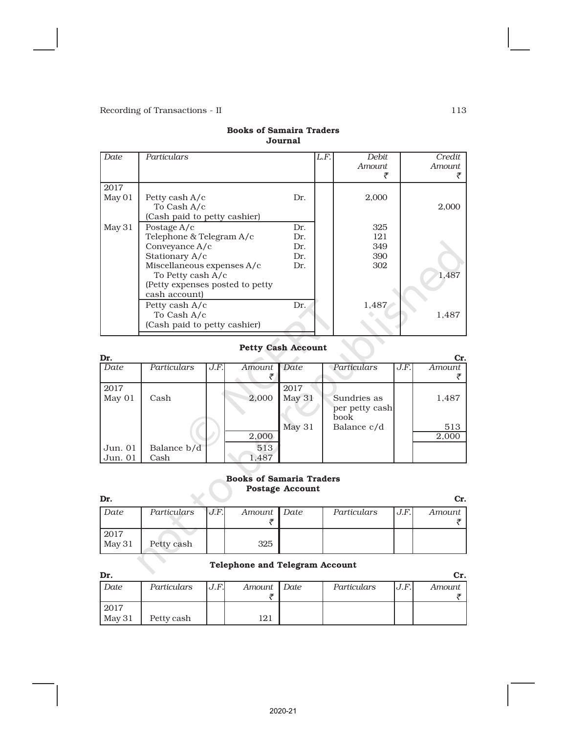| Date   | Particulars                     |     | L.F. | <i>Debit</i><br>Amount. | Credit<br>Amount |
|--------|---------------------------------|-----|------|-------------------------|------------------|
| 2017   |                                 |     |      |                         |                  |
| May 01 | Petty cash A/c<br>To Cash A/c   | Dr. |      | 2,000                   | 2.000            |
|        | (Cash paid to petty cashier)    |     |      |                         |                  |
| May 31 | Postage A/c                     | Dr. |      | 325                     |                  |
|        | Telephone & Telegram A/c        | Dr. |      | 121                     |                  |
|        | Conveyance A/c                  | Dr. |      | 349                     |                  |
|        | Stationary A/c                  | Dr. |      | 390                     |                  |
|        | Miscellaneous expenses A/c      | Dr. |      | 302                     |                  |
|        | To Petty cash A/c               |     |      |                         | 1,487            |
|        | (Petty expenses posted to petty |     |      |                         |                  |
|        | cash account)                   |     |      |                         |                  |
|        | Petty cash A/c                  | Dr. |      | 1,487                   |                  |
|        | To Cash A/c                     |     |      |                         | 1,487            |
|        | (Cash paid to petty cashier)    |     |      |                         |                  |

# Books of Samaira Traders Journal

# Petty Cash Account

| Dr.     |             |      |        |        |                |      | Cr.    |
|---------|-------------|------|--------|--------|----------------|------|--------|
| Date    | Particulars | J.F. | Amount | Date   | Particulars    | J.F. | Amount |
|         |             |      |        |        |                |      |        |
| 2017    |             |      |        | 2017   |                |      |        |
| May 01  | Cash        |      | 2,000  | May 31 | Sundries as    |      | 1,487  |
|         |             |      |        |        | per petty cash |      |        |
|         |             |      |        |        | book           |      |        |
|         |             |      |        | May 31 | Balance c/d    |      | 513    |
|         |             |      | 2,000  |        |                |      | 2,000  |
| Jun. 01 | Balance b/d |      | 513    |        |                |      |        |
| Jun. 01 | Cash        |      | 1,487  |        |                |      |        |

### Books of Samaria Traders Postage Account

| Dr.    |             |      |               |             |      | Cr.    |
|--------|-------------|------|---------------|-------------|------|--------|
| Date   | Particulars | J.F. | Amount   Date | Particulars | J.F. | Amount |
|        |             |      |               |             |      |        |
| 2017   |             |      |               |             |      |        |
| May 31 | Petty cash  |      | 325           |             |      |        |
|        |             |      |               |             |      |        |

# Telephone and Telegram Account

| Dr.    |             |       |             |             |      | Cr.    |
|--------|-------------|-------|-------------|-------------|------|--------|
| Date   | Particulars | J.F.I | Amount Date | Particulars | J.F. | Amount |
|        |             |       |             |             |      |        |
| 2017   |             |       |             |             |      |        |
| May 31 | Petty cash  |       | 121         |             |      |        |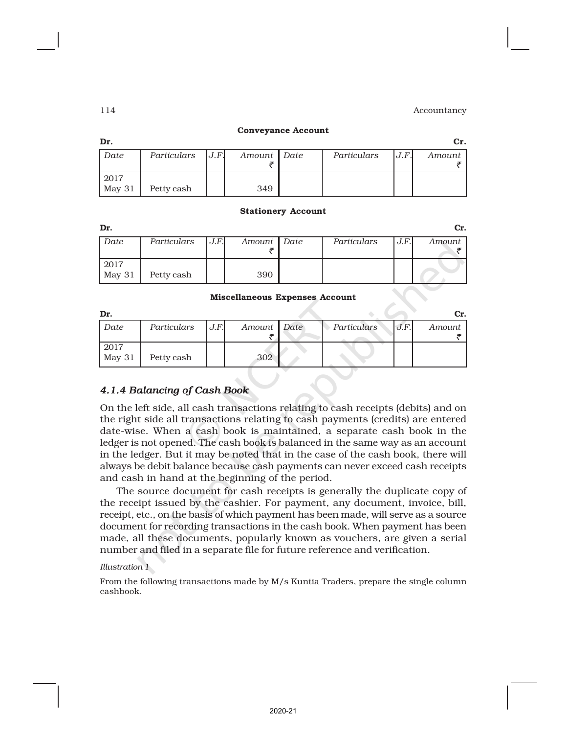| ш | ш | I |
|---|---|---|
|   |   |   |

#### Conveyance Account

| Dr.    |             |      |             |             |       | Cr.    |
|--------|-------------|------|-------------|-------------|-------|--------|
| Date   | Particulars | J.F. | Amount Date | Particulars | J.F.I | Amount |
|        |             |      |             |             |       |        |
| 2017   |             |      |             |             |       |        |
| May 31 | Petty cash  |      | 349         |             |       |        |

#### Stationery Account

| Dr.    |             |      |             |             |      | Cr.    |
|--------|-------------|------|-------------|-------------|------|--------|
| Date   | Particulars | J.F. | Amount Date | Particulars | J.F. | Amount |
|        |             |      |             |             |      |        |
| 2017   |             |      |             |             |      |        |
| May 31 | Petty cash  |      | 390         |             |      |        |

#### Miscellaneous Expenses Account

| Dr.            |             |      |             |             |      | Cr.    |
|----------------|-------------|------|-------------|-------------|------|--------|
| Date           | Particulars | J.F. | Amount Date | Particulars | J.F. | Amount |
| 2017<br>May 31 | Petty cash  |      | 302         |             |      |        |

# *4.1.4 Balancing of Cash Book*

On the left side, all cash transactions relating to cash receipts (debits) and on the right side all transactions relating to cash payments (credits) are entered date-wise. When a cash book is maintained, a separate cash book in the ledger is not opened. The cash book is balanced in the same way as an account in the ledger. But it may be noted that in the case of the cash book, there will always be debit balance because cash payments can never exceed cash receipts and cash in hand at the beginning of the period.

The source document for cash receipts is generally the duplicate copy of the receipt issued by the cashier. For payment, any document, invoice, bill, receipt, etc., on the basis of which payment has been made, will serve as a source document for recording transactions in the cash book. When payment has been made, all these documents, popularly known as vouchers, are given a serial number and filed in a separate file for future reference and verification.

#### *Illustration 1*

From the following transactions made by M/s Kuntia Traders, prepare the single column cashbook.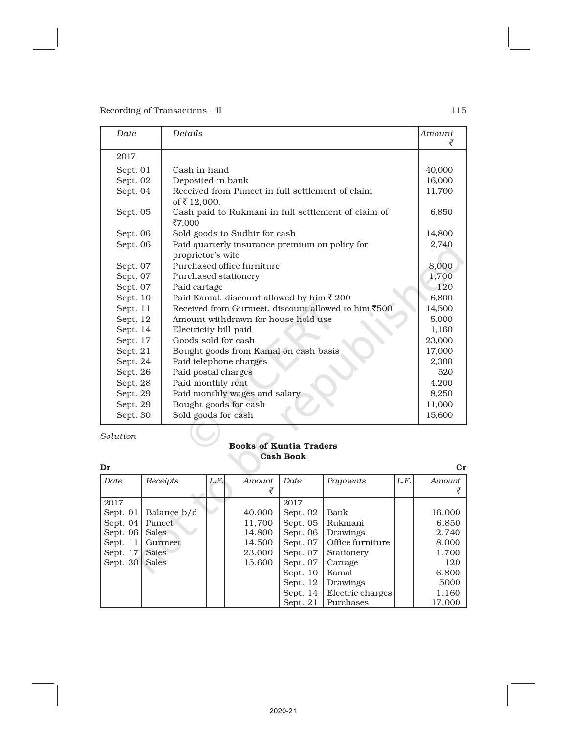| Date     | Details                                                          | Amount<br>₹ |
|----------|------------------------------------------------------------------|-------------|
| 2017     |                                                                  |             |
| Sept. 01 | Cash in hand                                                     | 40,000      |
| Sept. 02 | Deposited in bank                                                | 16,000      |
| Sept. 04 | Received from Puneet in full settlement of claim<br>of ₹ 12,000. | 11,700      |
| Sept. 05 | Cash paid to Rukmani in full settlement of claim of<br>₹7,000    | 6,850       |
| Sept. 06 | Sold goods to Sudhir for cash                                    | 14,800      |
| Sept. 06 | Paid quarterly insurance premium on policy for                   | 2,740       |
|          | proprietor's wife                                                |             |
| Sept. 07 | Purchased office furniture                                       | 8,000       |
| Sept. 07 | Purchased stationery                                             | 1.700       |
| Sept. 07 | Paid cartage                                                     | 120         |
| Sept. 10 | Paid Kamal, discount allowed by him ₹ 200                        | 6.800       |
| Sept. 11 | Received from Gurmeet, discount allowed to him ₹500              | 14,500      |
| Sept. 12 | Amount withdrawn for house hold use                              | 5,000       |
| Sept. 14 | Electricity bill paid                                            | 1,160       |
| Sept. 17 | Goods sold for cash                                              | 23,000      |
| Sept. 21 | Bought goods from Kamal on cash basis                            | 17,000      |
| Sept. 24 | Paid telephone charges                                           | 2,300       |
| Sept. 26 | Paid postal charges                                              | 520         |
| Sept. 28 | Paid monthly rent                                                | 4,200       |
| Sept. 29 | Paid monthly wages and salary                                    | 8,250       |
| Sept. 29 | Bought goods for cash                                            | 11,000      |
| Sept. 30 | Sold goods for cash                                              | 15,600      |
|          |                                                                  |             |

*Solution*

## Books of Kuntia Traders Cash Book

| Dr         |              |      |        |            |                  |      | $_{\rm Cr}$ |
|------------|--------------|------|--------|------------|------------------|------|-------------|
| Date       | Receipts     | L.F. | Amount | Date       | Payments         | L.F. | Amount      |
|            |              |      |        |            |                  |      |             |
| 2017       |              |      |        | 2017       |                  |      |             |
| Sept. 01   | Balance b/d  |      | 40,000 | Sept. 02   | Bank             |      | 16,000      |
| Sept. $04$ | Puneet       |      | 11,700 | Sept. 05   | Rukmani          |      | 6,850       |
| Sept. $06$ | Sales        |      | 14,800 | Sept. 06   | Drawings         |      | 2,740       |
| Sept. $11$ | Gurmeet      |      | 14,500 | Sept. 07   | Office furniture |      | 8,000       |
| Sept. 17   | Sales        |      | 23,000 | Sept. 07   | Stationery       |      | 1,700       |
| Sept. 30   | <b>Sales</b> |      | 15,600 | Sept. 07   | Cartage          |      | 120         |
|            |              |      |        | Sept. $10$ | Kamal            |      | 6,800       |
|            |              |      |        | Sept. 12   | Drawings         |      | 5000        |
|            |              |      |        | Sept. 14   | Electric charges |      | 1,160       |
|            |              |      |        | Sept. 21   | Purchases        |      | 17,000      |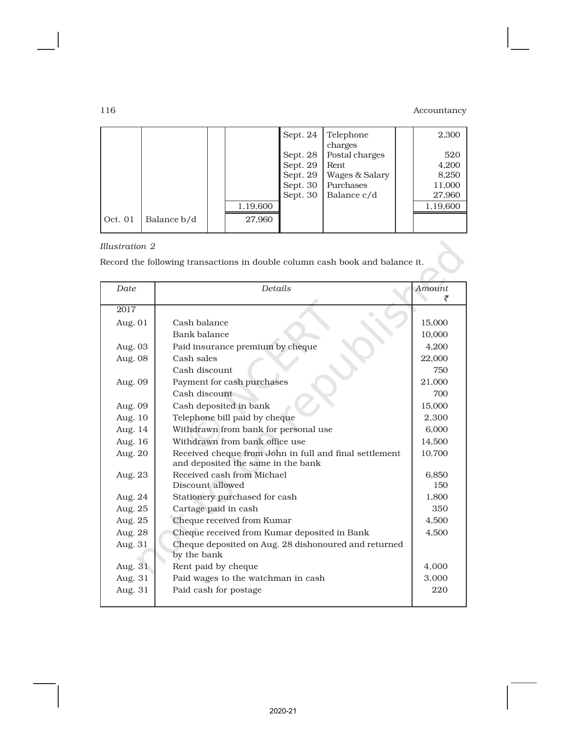7

|         |             |          | Sept. 24 | Telephone<br>charges | 2,300    |
|---------|-------------|----------|----------|----------------------|----------|
|         |             |          | Sept. 28 | Postal charges       | 520      |
|         |             |          | Sept. 29 | Rent                 | 4,200    |
|         |             |          | Sept. 29 | Wages & Salary       | 8,250    |
|         |             |          | Sept. 30 | Purchases            | 11,000   |
|         |             |          | Sept. 30 | Balance c/d          | 27,960   |
|         |             | 1,19,600 |          |                      | 1,19,600 |
| Oct. 01 | Balance b/d | 27,960   |          |                      |          |

# *Illustration 2*

Record the following transactions in double column cash book and balance it.

| Date    | Details                                                                                      | <b>Amount</b> |
|---------|----------------------------------------------------------------------------------------------|---------------|
|         |                                                                                              |               |
| 2017    |                                                                                              |               |
| Aug. 01 | Cash balance                                                                                 | 15.000        |
|         | Bank balance                                                                                 | 10,000        |
| Aug. 03 | Paid insurance premium by cheque                                                             | 4,200         |
| Aug. 08 | Cash sales                                                                                   | 22,000        |
|         | Cash discount                                                                                | 750           |
| Aug. 09 | Payment for cash purchases                                                                   | 21,000        |
|         | Cash discount                                                                                | 700           |
| Aug. 09 | Cash deposited in bank                                                                       | 15.000        |
| Aug. 10 | Telephone bill paid by cheque                                                                | 2,300         |
| Aug. 14 | Withdrawn from bank for personal use                                                         | 6.000         |
| Aug. 16 | Withdrawn from bank office use                                                               | 14,500        |
| Aug. 20 | Received cheque from John in full and final settlement<br>and deposited the same in the bank | 10,700        |
| Aug. 23 | Received cash from Michael                                                                   | 6.850         |
|         | Discount allowed                                                                             | 150           |
| Aug. 24 | Stationery purchased for cash                                                                | 1,800         |
| Aug. 25 | Cartage paid in cash                                                                         | 350           |
| Aug. 25 | Cheque received from Kumar                                                                   | 4.500         |
| Aug. 28 | Cheque received from Kumar deposited in Bank                                                 | 4,500         |
| Aug. 31 | Cheque deposited on Aug. 28 dishonoured and returned<br>by the bank                          |               |
| Aug. 31 | Rent paid by cheque                                                                          | 4,000         |
| Aug. 31 | Paid wages to the watchman in cash                                                           | 3,000         |
| Aug. 31 | Paid cash for postage                                                                        | 220           |
|         |                                                                                              |               |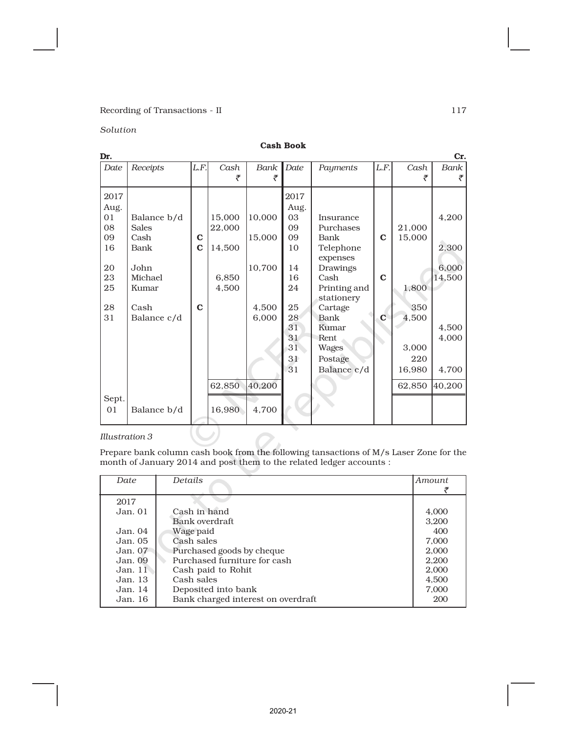# $\begin{minipage}{.4\linewidth} \textbf{Reording of Transactions - II} \end{minipage} \begin{minipage}{.4\linewidth} \begin{minipage}{.4\linewidth} \textbf{117} \end{minipage} \vspace{0.5cm} \begin{minipage}{.4\linewidth} \begin{minipage}{.4\linewidth} \textbf{127} \end{minipage} \vspace{0.5cm} \begin{minipage}{.4\linewidth} \begin{minipage}{.4\linewidth} \textbf{137} \end{minipage} \vspace{0.5cm} \begin{minipage}{.4\linewidth} \begin{minipage}{.4\linewidth} \textbf{147} \end{minipage} \vspace{0.5$

*Solution*

| Dr.   |              |             |        |        |      |                       |              |        | Cr.    |
|-------|--------------|-------------|--------|--------|------|-----------------------|--------------|--------|--------|
| Date  | Receipts     | L.F.        | Cash   | Bank   | Date | Payments              | L.F.         | Cash   | Bank   |
|       |              |             | ₹      | ₹      |      |                       |              | ₹      | ₹      |
| 2017  |              |             |        |        | 2017 |                       |              |        |        |
| Aug.  |              |             |        |        | Aug. |                       |              |        |        |
| 01    | Balance b/d  |             | 15,000 | 10,000 | 03   | Insurance             |              |        | 4,200  |
| 08    | <b>Sales</b> |             | 22,000 |        | 09   | Purchases             |              | 21,000 |        |
| 09    | Cash         | $\mathbf C$ |        | 15,000 | 09   | Bank                  | $\mathbf C$  | 15,000 |        |
| 16    | Bank         | $\mathbf C$ | 14,500 |        | 10   | Telephone<br>expenses |              |        | 2,300  |
| 20    | John         |             |        | 10,700 | 14   | Drawings              |              |        | 6,000  |
| 23    | Michael      |             | 6,850  |        | 16   | Cash                  | $\mathbf{C}$ |        | 14,500 |
| 25    | Kumar        |             | 4,500  |        | 24   | Printing and          |              | 1,800  |        |
|       |              |             |        |        |      | stationery            |              |        |        |
| 28    | Cash         | $\mathbf C$ |        | 4,500  | 25   | Cartage               |              | 350    |        |
| 31    | Balance c/d  |             |        | 6,000  | 28   | Bank                  | $\mathbf{C}$ | 4,500  |        |
|       |              |             |        |        | 31   | Kumar                 |              |        | 4,500  |
|       |              |             |        |        | 31   | Rent                  |              |        | 4,000  |
|       |              |             |        |        | 31   | <b>Wages</b>          |              | 3,000  |        |
|       |              |             |        |        | 31   | Postage               |              | 220    |        |
|       |              |             |        |        | 31   | Balance c/d           |              | 16,980 | 4,700  |
|       |              |             | 62,850 | 40,200 |      |                       |              | 62,850 | 40,200 |
| Sept. |              |             |        |        |      |                       |              |        |        |
| 01    | Balance b/d  |             | 16,980 | 4,700  |      |                       |              |        |        |

#### *Illustration 3*

Prepare bank column cash book from the following tansactions of M/s Laser Zone for the month of January 2014 and post them to the related ledger accounts :

| Date    | Details                            | <i>Amount</i> |
|---------|------------------------------------|---------------|
|         |                                    |               |
| 2017    |                                    |               |
| Jan. 01 | Cash in hand                       | 4,000         |
|         | Bank overdraft                     | 3.200         |
| Jan.04  | Wage paid                          | 400           |
| Jan.05  | Cash sales                         | 7,000         |
| Jan.07  | Purchased goods by cheque          | 2,000         |
| Jan. 09 | Purchased furniture for cash       | 2,200         |
| Jan. 11 | Cash paid to Rohit                 | 2,000         |
| Jan.13  | Cash sales                         | 4,500         |
| Jan.14  | Deposited into bank                | 7,000         |
| Jan. 16 | Bank charged interest on overdraft | 200           |
|         |                                    |               |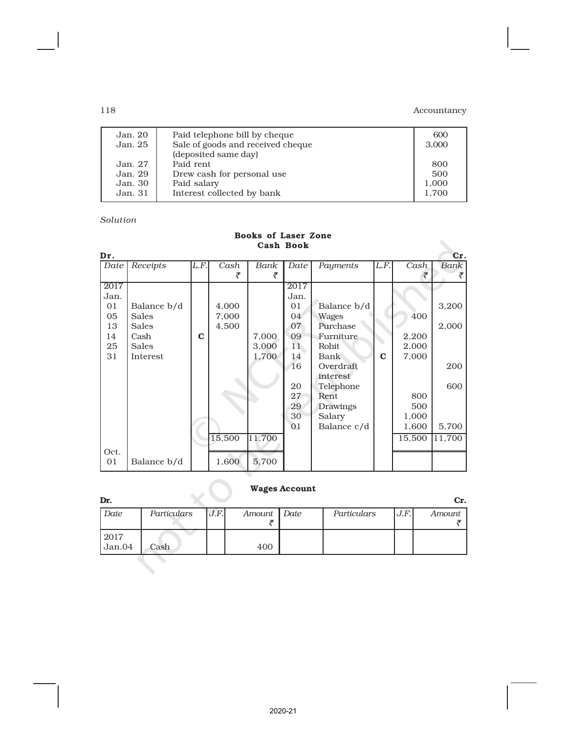| Jan. 20<br>Jan. 25 | Paid telephone bill by cheque<br>Sale of goods and received cheque | 600<br>3.000 |
|--------------------|--------------------------------------------------------------------|--------------|
|                    | (deposited same day)                                               |              |
| Jan. 27            | Paid rent                                                          | 800          |
| Jan. 29            | Drew cash for personal use                                         | 500          |
| Jan. 30            | Paid salary                                                        | 1.000        |
| Jan. 31            | Interest collected by bank                                         | 1.700        |
|                    |                                                                    |              |

## *Solution*

| Cash Book |              |             |        |        |      |              |             |        |        |  |
|-----------|--------------|-------------|--------|--------|------|--------------|-------------|--------|--------|--|
| Dr.       |              |             |        |        |      |              |             |        | Cr.    |  |
| Date      | Receipts     | L.F.        | Cash   | Bank   | Date | Payments     | L.F.        | Cash   | Bank   |  |
|           |              |             | ₹      | ₹      |      |              |             | ₹      |        |  |
| 2017      |              |             |        |        | 2017 |              |             |        |        |  |
| Jan.      |              |             |        |        | Jan. |              |             |        |        |  |
| 01        | Balance b/d  |             | 4,000  |        | 01   | Balance b/d  |             |        | 3,200  |  |
| 05        | <b>Sales</b> |             | 7,000  |        | 04   | <b>Wages</b> |             | 400    |        |  |
| 13        | <b>Sales</b> |             | 4,500  |        | 07   | Purchase     |             |        | 2,000  |  |
| 14        | Cash         | $\mathbf C$ |        | 7,000  | 09   | Furniture    |             | 2,200  |        |  |
| 25        | Sales        |             |        | 3,000  | 11   | Rohit        |             | 2,000  |        |  |
| 31        | Interest     |             |        | 1,700  | 14   | <b>Bank</b>  | $\mathbf C$ | 7,000  |        |  |
|           |              |             |        |        | 16   | Overdraft    |             |        | 200    |  |
|           |              |             |        |        |      | interest     |             |        |        |  |
|           |              |             |        |        | 20   | Telephone    |             |        | 600    |  |
|           |              |             |        |        | 27   | Rent         |             | 800    |        |  |
|           |              |             |        |        | 29   | Drawings     |             | 500    |        |  |
|           |              |             |        |        | 30   | Salary       |             | 1,000  |        |  |
|           |              |             |        |        | 01   | Balance c/d  |             | 1,600  | 5,700  |  |
|           |              |             | 15,500 | 11,700 |      |              |             | 15,500 | 11,700 |  |
| Oct.      |              |             |        |        |      |              |             |        |        |  |
| 01        | Balance b/d  |             | 1,600  | 5,700  |      |              |             |        |        |  |

#### Books of Laser Zone Cash Book

# Wages Account

| Dr.         |             |      |             |             |      | Cr.    |
|-------------|-------------|------|-------------|-------------|------|--------|
| <b>Date</b> | Particulars | J.F. | Amount Date | Particulars | J.F. | Amount |
|             |             |      |             |             |      |        |
| 2017        |             |      |             |             |      |        |
| Jan.04      | Cash        |      | 400         |             |      |        |
|             |             |      |             |             |      |        |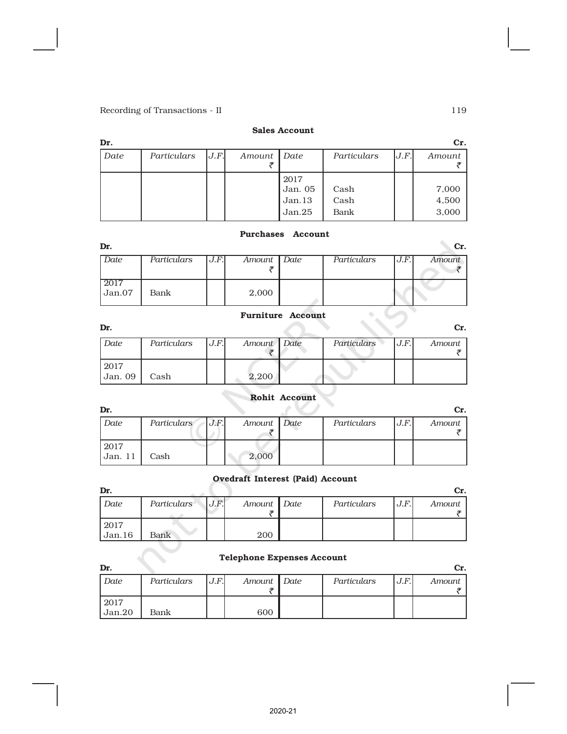### Sales Account

| Dr.  |             |      |             |                           |              |      | Cr.            |
|------|-------------|------|-------------|---------------------------|--------------|------|----------------|
| Date | Particulars | J.F. | Amount Date |                           | Particulars  | J.F. | Amount         |
|      |             |      |             | 2017<br>Jan. 05<br>Jan.13 | Cash<br>Cash |      | 7,000<br>4,500 |
|      |             |      |             | Jan.25                    | Bank         |      | 3,000          |
|      |             |      |             |                           |              |      |                |

### Purchases Account

| Dr.                                |             |      |             |             |      | Cr.    |
|------------------------------------|-------------|------|-------------|-------------|------|--------|
| Date                               | Particulars | J.F. | Amount Date | Particulars | J.F. | Amount |
|                                    |             |      |             |             |      |        |
| 2017<br>$\overline{\text{Jan}}.07$ | Bank        |      | 2,000       |             |      |        |

# Furniture Account

| Dr.             |             |      |             |             |      | Cr.    |
|-----------------|-------------|------|-------------|-------------|------|--------|
| Date            | Particulars | J.F. | Amount Date | Particulars | J.F. | Amount |
| 2017<br>Jan. 09 | Cash        |      | 2,200       |             |      |        |

# Rohit Account

| Dr.     |             |      |             |             |      | Cr.    |
|---------|-------------|------|-------------|-------------|------|--------|
| Date    | Particulars | J.F. | Amount Date | Particulars | J.F. | Amount |
|         |             |      |             |             |      |        |
| 2017    |             |      |             |             |      |        |
| Jan. 11 | Cash        |      | 2.000       |             |      |        |

### Ovedraft Interest (Paid) Account

| Dr.            |             |      |             |             |      | Cr.    |
|----------------|-------------|------|-------------|-------------|------|--------|
| Date           | Particulars | J.F. | Amount Date | Particulars | J.F. | Amount |
| 2017<br>Jan.16 | Bank        |      | 200         |             |      |        |

# Telephone Expenses Account

| Dr.            |             |      |             |             |      | Cr.    |
|----------------|-------------|------|-------------|-------------|------|--------|
| Date           | Particulars | J.F. | Amount Date | Particulars | J.F. | Amount |
| 2017<br>Jan.20 | Bank        |      | 600         |             |      |        |

2020-21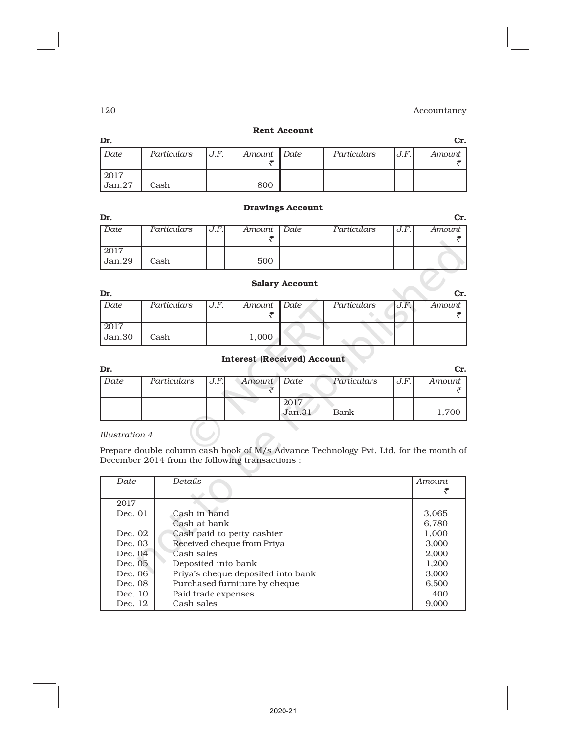#### Rent Account

| Dr.            |             |      |             |             |      | Cr.    |
|----------------|-------------|------|-------------|-------------|------|--------|
| Date           | Particulars | J.F. | Amount Date | Particulars | J.F. | Amount |
| 2017<br>Jan.27 | Cash        |      | 800         |             |      |        |

#### Drawings Account

| Dr.            |             |       |             |             |      | Cr.    |
|----------------|-------------|-------|-------------|-------------|------|--------|
| Date           | Particulars | J.F.I | Amount Date | Particulars | J.F. | Amount |
|                |             |       |             |             |      |        |
| 2017<br>Jan.29 | Cash        |       | 500         |             |      |        |

#### Salary Account

| Dr.                          |             |      |             |             |      | Cr.    |
|------------------------------|-------------|------|-------------|-------------|------|--------|
| Date                         | Particulars | J.F. | Amount Date | Particulars | J.F. | Amount |
|                              |             |      |             |             |      |        |
| $\frac{2017}{\text{Jan.30}}$ |             |      |             |             |      |        |
|                              | Cash        |      | 1,000       |             |      |        |
|                              |             |      |             |             |      |        |

# Interest (Received) Account

| Dr.  |             |      |             |        |             |      | Cr.    |
|------|-------------|------|-------------|--------|-------------|------|--------|
| Date | Particulars | J.F. | Amount Date |        | Particulars | J.F. | Amount |
|      |             |      |             |        |             |      |        |
|      |             |      |             | 2017   |             |      |        |
|      |             |      |             | Jan.31 | Bank        |      | 1,700  |

#### *Illustration 4*

Prepare double column cash book of M/s Advance Technology Pvt. Ltd. for the month of December 2014 from the following transactions :

| Date    | Details                            | <i>Amount</i> |
|---------|------------------------------------|---------------|
|         |                                    |               |
| 2017    |                                    |               |
| Dec. 01 | Cash in hand                       | 3,065         |
|         | Cash at bank                       | 6.780         |
| Dec. 02 | Cash paid to petty cashier         | 1,000         |
| Dec. 03 | Received cheque from Priya         | 3,000         |
| Dec. 04 | Cash sales                         | 2,000         |
| Dec. 05 | Deposited into bank                | 1,200         |
| Dec. 06 | Priya's cheque deposited into bank | 3,000         |
| Dec. 08 | Purchased furniture by cheque      | 6,500         |
| Dec. 10 | Paid trade expenses                | 400           |
| Dec. 12 | Cash sales                         | 9.000         |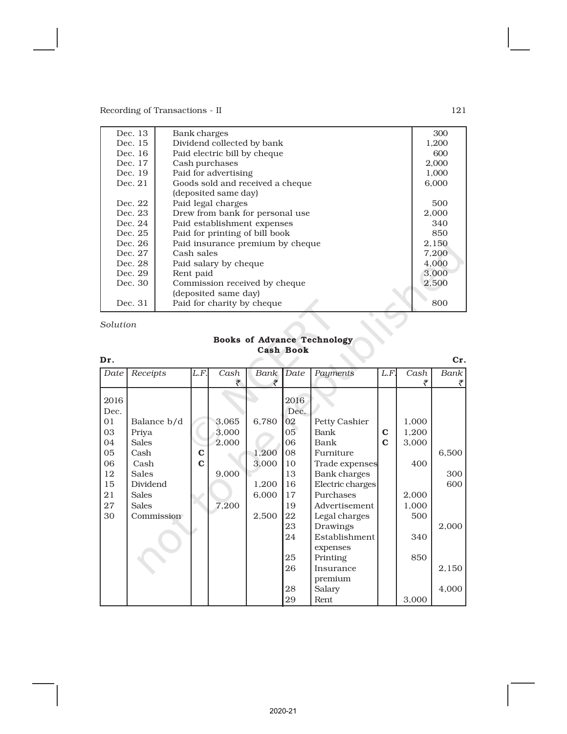| Dec. 13 | Bank charges                     | 300   |
|---------|----------------------------------|-------|
| Dec. 15 | Dividend collected by bank       | 1,200 |
| Dec. 16 | Paid electric bill by cheque     | 600   |
| Dec. 17 | Cash purchases                   | 2,000 |
| Dec. 19 | Paid for advertising             | 1,000 |
| Dec. 21 | Goods sold and received a cheque | 6,000 |
|         | (deposited same day)             |       |
| Dec. 22 | Paid legal charges               | 500   |
| Dec. 23 | Drew from bank for personal use  | 2,000 |
| Dec. 24 | Paid establishment expenses      | 340   |
| Dec. 25 | Paid for printing of bill book   | 850   |
| Dec. 26 | Paid insurance premium by cheque | 2,150 |
| Dec. 27 | Cash sales                       | 7,200 |
| Dec. 28 | Paid salary by cheque            | 4,000 |
| Dec. 29 | Rent paid                        | 3,000 |
| Dec. 30 | Commission received by cheque    | 2,500 |
|         | (deposited same day)             |       |
| Dec. 31 | Paid for charity by cheque       | 800   |
|         |                                  |       |

*Solution*

# Books of Advance Technology Cash Book

| Dr.  |              |             |       |       |      |                           |             |       | Cr.   |
|------|--------------|-------------|-------|-------|------|---------------------------|-------------|-------|-------|
| Date | Receipts     | L.F.        | Cash  | Bank  | Date | Payments                  | L.F.        | Cash  | Bank  |
|      |              |             | ₹     | ₹     |      |                           |             | ₹     | ₹     |
|      |              |             |       |       |      |                           |             |       |       |
| 2016 |              |             |       |       | 2016 |                           |             |       |       |
| Dec. |              |             |       |       | Dec. |                           |             |       |       |
| 01   | Balance b/d  |             | 3,065 | 6,780 | 02   | Petty Cashier             |             | 1,000 |       |
| 03   | Priya        |             | 3,000 |       | 05   | Bank                      | C           | 1,200 |       |
| 04   | <b>Sales</b> |             | 2,000 |       | 06   | Bank                      | $\mathbf C$ | 3,000 |       |
| 05   | Cash         | C           |       | 1,200 | 08   | Furniture                 |             |       | 6,500 |
| 06   | Cash         | $\mathbf C$ |       | 3,000 | 10   | Trade expenses            |             | 400   |       |
| 12   | Sales        |             | 9,000 |       | 13   | Bank charges              |             |       | 300   |
| 15   | Dividend     |             |       | 1,200 | 16   | Electric charges          |             |       | 600   |
| 21   | <b>Sales</b> |             |       | 6,000 | 17   | Purchases                 |             | 2,000 |       |
| 27   | <b>Sales</b> |             | 7,200 |       | 19   | Advertisement             |             | 1,000 |       |
| 30   | Commission   |             |       | 2,500 | 22   | Legal charges             |             | 500   |       |
|      |              |             |       |       | 23   | Drawings                  |             |       | 2,000 |
|      |              |             |       |       | 24   | Establishment<br>expenses |             | 340   |       |
|      |              |             |       |       | 25   | Printing                  |             | 850   |       |
|      |              |             |       |       | 26   | Insurance                 |             |       | 2,150 |
|      |              |             |       |       |      | premium                   |             |       |       |
|      |              |             |       |       | 28   | Salary                    |             |       | 4,000 |
|      |              |             |       |       | 29   | Rent                      |             | 3,000 |       |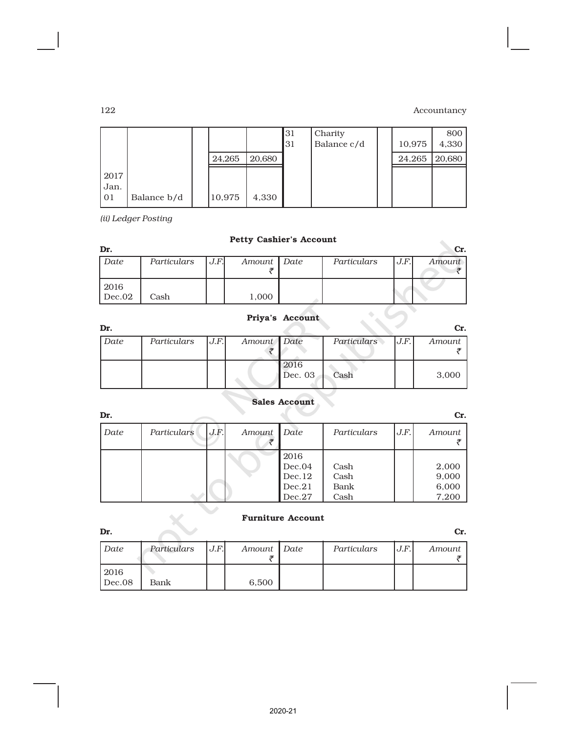|                      |             |        |        | 131<br>131 | Charity<br>Balance c/d | 10,975 | 800<br>4,330 |
|----------------------|-------------|--------|--------|------------|------------------------|--------|--------------|
|                      |             | 24,265 | 20,680 |            |                        | 24,265 | 20,680       |
| 2017<br>Jan.<br>l 01 | Balance b/d | 10,975 | 4,330  |            |                        |        |              |

*(ii) Ledger Posting*

# Petty Cashier's Account

| Dr.            |             |      | Petty Cashier's Account |             |      | Cr.    |
|----------------|-------------|------|-------------------------|-------------|------|--------|
| Date           | Particulars | J.F. | Amount   Date           | Particulars | J.F. | Amount |
| 2016<br>Dec.02 | Cash        |      | 1,000                   |             |      |        |

# Priya's Account

| Dr.  |             |      |             |                 |             |      | Cr.    |
|------|-------------|------|-------------|-----------------|-------------|------|--------|
| Date | Particulars | J.F. | Amount Date |                 | Particulars | J.F. | Amount |
|      |             |      |             |                 |             |      |        |
|      |             |      |             | 2016<br>Dec. 03 | Cash        |      | 3,000  |

# Sales Account

| Dr.  |             |      |        |        |             |      | Cr.    |
|------|-------------|------|--------|--------|-------------|------|--------|
| Date | Particulars | J.F. | Amount | Date   | Particulars | J.F. | Amount |
|      |             |      |        | 2016   |             |      |        |
|      |             |      |        | Dec.04 | Cash        |      | 2,000  |
|      |             |      |        | Dec.12 | Cash        |      | 9,000  |
|      |             |      |        | Dec.21 | Bank        |      | 6,000  |
|      |             |      |        | Dec.27 | Cash        |      | 7,200  |

# Furniture Account

| Dr.            |             |      |             |             |      | Cr.    |
|----------------|-------------|------|-------------|-------------|------|--------|
| Date           | Particulars | J.F. | Amount Date | Particulars | J.F. | Amount |
| 2016<br>Dec.08 | Bank        |      | 6,500       |             |      |        |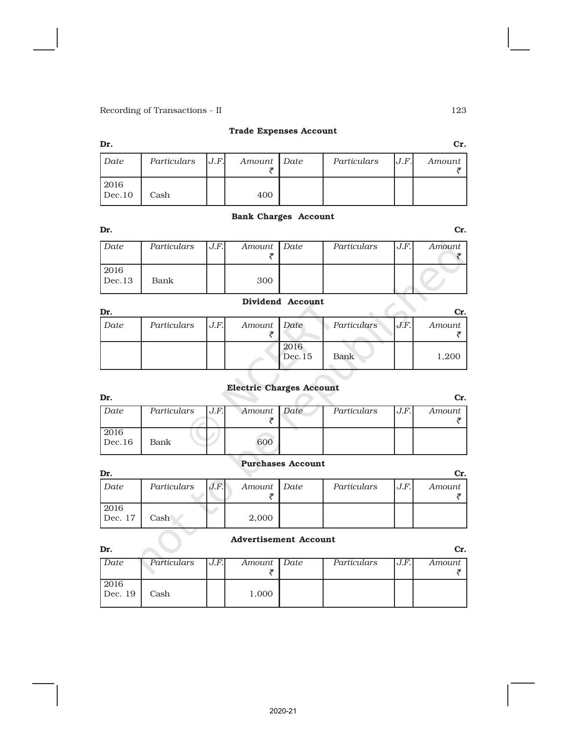## Trade Expenses Account

| Dr.            |                      |             |             |      | Cr.    |
|----------------|----------------------|-------------|-------------|------|--------|
| Date           | Particulars $ J.F. $ | Amount Date | Particulars | J.F. | Amount |
| $2016$ Dec. 10 | Cash                 | 400         |             |      |        |

### Bank Charges Account

| Dr.            |             |      |             |             |      | Cr.    |
|----------------|-------------|------|-------------|-------------|------|--------|
| Date           | Particulars | J.F. | Amount Date | Particulars | J.F. | Amount |
| 2016<br>Dec.13 | Bank        |      | 300         |             |      |        |

### Dividend Account

| Dr.  |             |      |             |                |             |      | Cr.    |
|------|-------------|------|-------------|----------------|-------------|------|--------|
| Date | Particulars | J.F. | Amount Date |                | Particulars | J.F. | Amount |
|      |             |      |             | 2016<br>Dec.15 | Bank        |      | 1,200  |

# Electric Charges Account

| Dr.    |             |      |             |             |      | Cr.    |
|--------|-------------|------|-------------|-------------|------|--------|
| Date   | Particulars | J.F. | Amount Date | Particulars | J.F. | Amount |
|        |             |      |             |             |      |        |
| 2016   |             |      |             |             |      |        |
| Dec.16 | Bank        |      | 600         |             |      |        |
|        |             |      |             |             |      |        |

### Purchases Account

| Dr.             |             |      |             |             |      | Cr.    |
|-----------------|-------------|------|-------------|-------------|------|--------|
| Date            | Particulars | J.F. | Amount Date | Particulars | J.F. | Amount |
| 2016<br>Dec. 17 | Cash        |      | 2,000       |             |      |        |

# Advertisement Account

| Dr.     |             |      |             |             |      | Cr.    |
|---------|-------------|------|-------------|-------------|------|--------|
| Date    | Particulars | J.F. | Amount Date | Particulars | J.F. | Amount |
|         |             |      |             |             |      |        |
| 2016    |             |      |             |             |      |        |
| Dec. 19 | Cash        |      | 1,000       |             |      |        |
|         |             |      |             |             |      |        |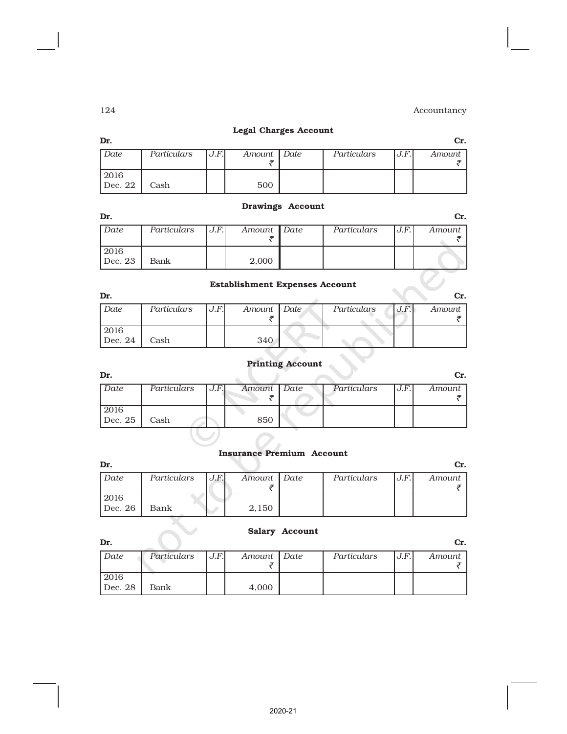$\vec{z}$  and  $\vec{z}$  and  $\vec{z}$ 

| Dr.              |             |      |             | ________________________________ |             |      | Cr.    |
|------------------|-------------|------|-------------|----------------------------------|-------------|------|--------|
| Date             | Particulars | J.F. | Amount Date |                                  | Particulars | J.F. | Amount |
| 2016<br>$Dec$ 26 | Bank        |      | 2.150       |                                  |             |      |        |

# *Date Particulars J.F. Amount Date Particulars J.F. Amount*  $\bar{\zeta}$  is a set of  $\bar{\zeta}$

Legal Charges Account  $\Gamma$ . Cr.

# Drawings Account

| Dr.     |             |      |             |             |      | Сr.    |
|---------|-------------|------|-------------|-------------|------|--------|
| Date    | Particulars | J.F. | Amount Date | Particulars | J.F. | Amount |
|         |             |      |             |             |      |        |
| 2016    |             |      |             |             |      |        |
| Dec. 23 | Bank        |      | 2,000       |             |      |        |

# Establishment Expenses Account

|                 |             |       | Establishment Expenses Account |             |      |        |
|-----------------|-------------|-------|--------------------------------|-------------|------|--------|
| Dr.             |             |       |                                |             |      | Cr.    |
| Date            | Particulars | J.F.I | Amount Date                    | Particulars | J.F. | Amount |
| 2016<br>Dec. 24 | Cash        |       | 340                            |             |      |        |

Printing Account

|      |             |      |             | <b>Printing Account</b> |             |      |        |
|------|-------------|------|-------------|-------------------------|-------------|------|--------|
| Dr.  |             |      |             |                         |             |      |        |
| Date | Particulars | J.F. | Amount Date |                         | Particulars | J.F. | Amount |

| Dec. 25 |  |  |  |  |
|---------|--|--|--|--|
|         |  |  |  |  |

# Insurance Premium Account

| ---             |             |      |             |             |      | ---    |
|-----------------|-------------|------|-------------|-------------|------|--------|
| Date            | Particulars | J.F. | Amount Date | Particulars | J.F. | Amount |
| 2016<br>Dec. 26 | Bank        |      | 2,150       |             |      |        |

### Salary Account

| Dr.     |             |      |             |             |      | Cr.    |
|---------|-------------|------|-------------|-------------|------|--------|
| Date    | Particulars | J.F. | Amount Date | Particulars | J.F. | Amount |
|         |             |      |             |             |      |        |
| 2016    |             |      |             |             |      |        |
| Dec. 28 | Bank        |      | 4,000       |             |      |        |

2016

2016

Dec. 22 | Cash | | 500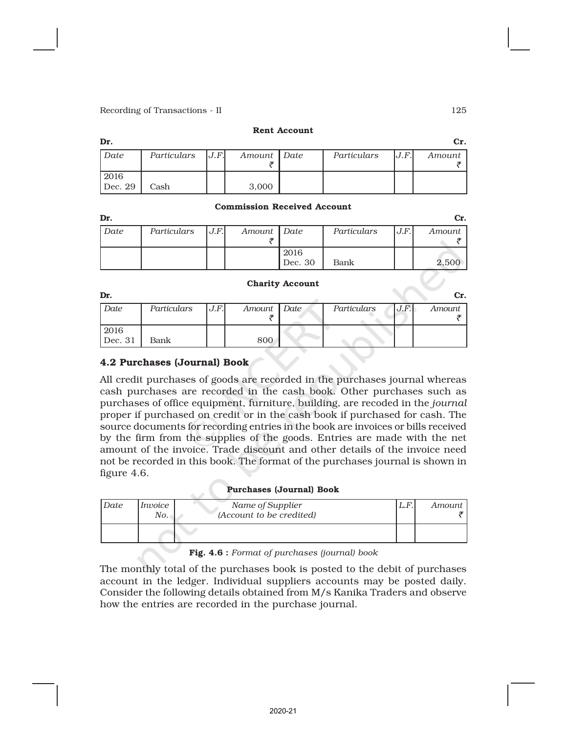#### Rent Account

| Dr.     |                      |             |             |     | Cr.    |
|---------|----------------------|-------------|-------------|-----|--------|
| Date    | Particulars $ J.F. $ | Amount Date | Particulars | J.F | Amount |
|         |                      |             |             |     |        |
| 2016    |                      |             |             |     |        |
| Dec. 29 | Cash                 | 3,000       |             |     |        |

#### Commission Received Account

| Dr.  |             |      |             |         |             |      | Cr.    |
|------|-------------|------|-------------|---------|-------------|------|--------|
| Date | Particulars | J.F. | Amount Date |         | Particulars | J.F. | Amount |
|      |             |      |             |         |             |      |        |
|      |             |      |             | 2016    |             |      |        |
|      |             |      |             | Dec. 30 | Bank        |      | 2.500  |

#### Charity Account

| Dr.     |             |      |             |             |      | Cr.    |
|---------|-------------|------|-------------|-------------|------|--------|
| Date    | Particulars | J.F. | Amount Date | Particulars | J.F. | Amount |
|         |             |      |             |             |      |        |
| 2016    |             |      |             |             |      |        |
| Dec. 31 | Bank        |      | 800         |             |      |        |

# 4.2 Purchases (Journal) Book

All credit purchases of goods are recorded in the purchases journal whereas cash purchases are recorded in the cash book. Other purchases such as purchases of office equipment, furniture, building, are recoded in the *journal* proper if purchased on credit or in the cash book if purchased for cash. The source documents for recording entries in the book are invoices or bills received by the firm from the supplies of the goods. Entries are made with the net amount of the invoice. Trade discount and other details of the invoice need not be recorded in this book. The format of the purchases journal is shown in figure 4.6.

#### Purchases (Journal) Book

| Date | Invoice<br>No. | Name of Supplier<br>(Account to be credited) | L.F | Amount |
|------|----------------|----------------------------------------------|-----|--------|
|      |                |                                              |     |        |

Fig. 4.6 : *Format of purchases (journal) book*

The monthly total of the purchases book is posted to the debit of purchases account in the ledger. Individual suppliers accounts may be posted daily. Consider the following details obtained from M/s Kanika Traders and observe how the entries are recorded in the purchase journal.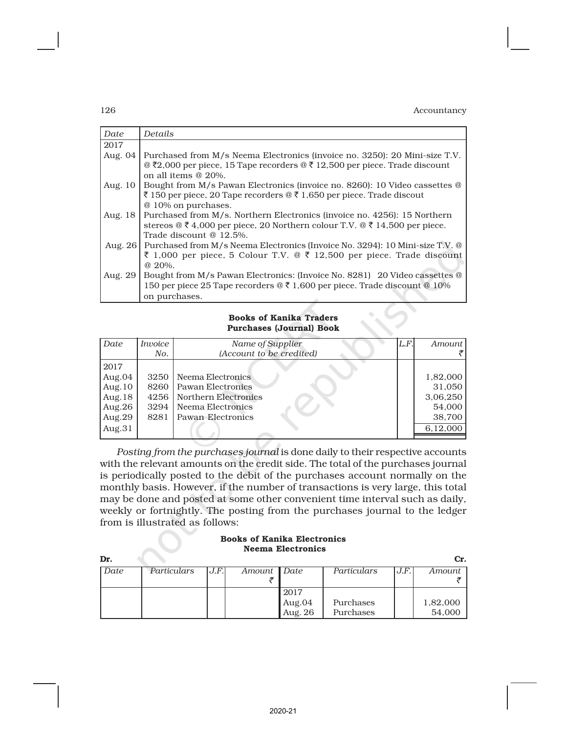| Date      | Details                                                                      |
|-----------|------------------------------------------------------------------------------|
| 2017      |                                                                              |
| Aug. 04   | Purchased from M/s Neema Electronics (invoice no. 3250): 20 Mini-size T.V.   |
|           | @ ₹2,000 per piece, 15 Tape recorders @ ₹ 12,500 per piece. Trade discount   |
|           | on all items $@20\%$ .                                                       |
| Aug. 10   | Bought from M/s Pawan Electronics (invoice no. 8260): 10 Video cassettes @   |
|           | ₹ 150 per piece, 20 Tape recorders @ ₹ 1,650 per piece. Trade discout        |
|           | @ 10% on purchases.                                                          |
| Aug. 18   | Purchased from M/s. Northern Electronics (invoice no. 4256): 15 Northern     |
|           | stereos @ ₹ 4,000 per piece, 20 Northern colour T.V. @ ₹ 14,500 per piece.   |
|           | Trade discount @ 12.5%.                                                      |
| Aug. $26$ | Purchased from M/s Neema Electronics (Invoice No. 3294): 10 Mini-size T.V. @ |
|           | ₹ 1,000 per piece, 5 Colour T.V. @ ₹ 12,500 per piece. Trade discount        |
|           | @ 20%.                                                                       |
| Aug. 29   | Bought from M/s Pawan Electronics: (Invoice No. 8281) 20 Video cassettes @   |
|           | 150 per piece 25 Tape recorders @ ₹ 1,600 per piece. Trade discount @ 10%    |
|           | on purchases.                                                                |

#### Books of Kanika Traders Purchases (Journal) Book

| Date      | Invoice | Name of Supplier         | L.F. | Amount   |
|-----------|---------|--------------------------|------|----------|
|           | No.     | (Account to be credited) |      |          |
| 2017      |         |                          |      |          |
| Aug.04    | 3250    | Neema Electronics        |      | 1,82,000 |
| Aug. $10$ | 8260    | Pawan Electronics        |      | 31,050   |
| Aug. $18$ | 4256    | Northern Electronics     |      | 3,06,250 |
| Aug. $26$ | 3294    | Neema Electronics        |      | 54.000   |
| Aug.29    | 8281    | Pawan Electronics        |      | 38,700   |
| Aug.31    |         |                          |      | 6,12,000 |
|           |         |                          |      |          |

*Posting from the purchases journal* is done daily to their respective accounts with the relevant amounts on the credit side. The total of the purchases journal is periodically posted to the debit of the purchases account normally on the monthly basis. However, if the number of transactions is very large, this total may be done and posted at some other convenient time interval such as daily, weekly or fortnightly. The posting from the purchases journal to the ledger from is illustrated as follows:

#### Books of Kanika Electronics Neema Electronics

| Dr.  |             |       |        |         |             |      | Cr.      |
|------|-------------|-------|--------|---------|-------------|------|----------|
| Date | Particulars | J.F.I | Amount | Date    | Particulars | J.F. | Amount   |
|      |             |       |        |         |             |      |          |
|      |             |       |        | 2017    |             |      |          |
|      |             |       |        | Aug.04  | Purchases   |      | 1,82,000 |
|      |             |       |        | Aug. 26 | Purchases   |      | 54,000   |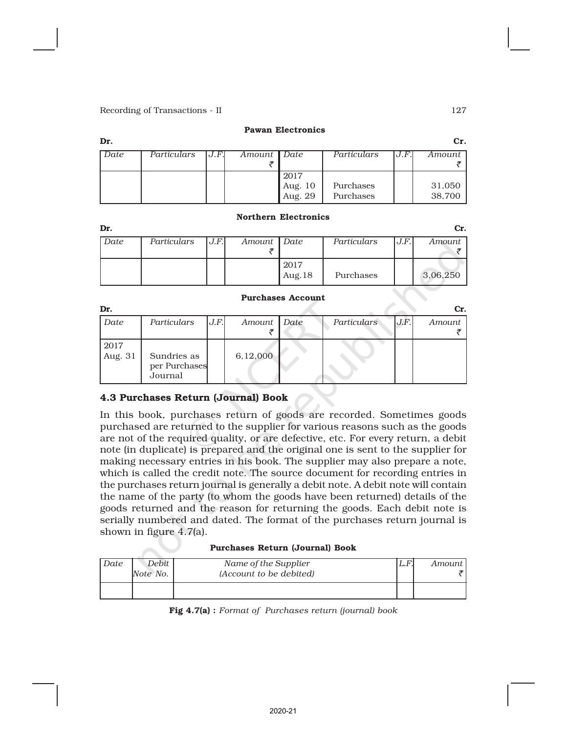#### Pawan Electronics

| Dr.  |             |      |               |                    |             |      | Cr.    |
|------|-------------|------|---------------|--------------------|-------------|------|--------|
| Date | Particulars | J.F. | Amount   Date |                    | Particulars | J.F. | Amount |
|      |             |      |               |                    |             |      |        |
|      |             |      |               | 2017               |             |      |        |
|      |             |      |               |                    | Purchases   |      | 31,050 |
|      |             |      |               | Aug. 10<br>Aug. 29 | Purchases   |      | 38,700 |

#### Northern Electronics

| Dr.  |             |      |             |                   |             |      | Cr.      |
|------|-------------|------|-------------|-------------------|-------------|------|----------|
| Date | Particulars | J.F. | Amount Date |                   | Particulars | J.F. | Amount   |
|      |             |      |             |                   |             |      |          |
|      |             |      |             | 2017<br>Aug. $18$ | Purchases   |      | 3,06,250 |
|      |             |      |             |                   |             |      |          |

#### Purchases Account

| Dr.             |                                         |      |          |      |                    |      | Cr.    |
|-----------------|-----------------------------------------|------|----------|------|--------------------|------|--------|
| Date            | Particulars                             | J.F. | Amount   | Date | <b>Particulars</b> | J.F. | Amount |
| 2017<br>Aug. 31 | Sundries as<br>per Purchases<br>Journal |      | 6,12,000 |      |                    |      |        |

# 4.3 Purchases Return (Journal) Book

In this book, purchases return of goods are recorded. Sometimes goods purchased are returned to the supplier for various reasons such as the goods are not of the required quality, or are defective, etc. For every return, a debit note (in duplicate) is prepared and the original one is sent to the supplier for making necessary entries in his book. The supplier may also prepare a note, which is called the credit note. The source document for recording entries in the purchases return journal is generally a debit note. A debit note will contain the name of the party (to whom the goods have been returned) details of the goods returned and the reason for returning the goods. Each debit note is serially numbered and dated. The format of the purchases return journal is shown in figure 4.7(a).

#### Purchases Return (Journal) Book

| Date | Debit  <br>Note No. | Name of the Supplier<br>(Account to be debited) | .L.F' | Amount I |
|------|---------------------|-------------------------------------------------|-------|----------|
|      |                     |                                                 |       |          |

Fig 4.7(a) : *Format of Purchases return (journal) book*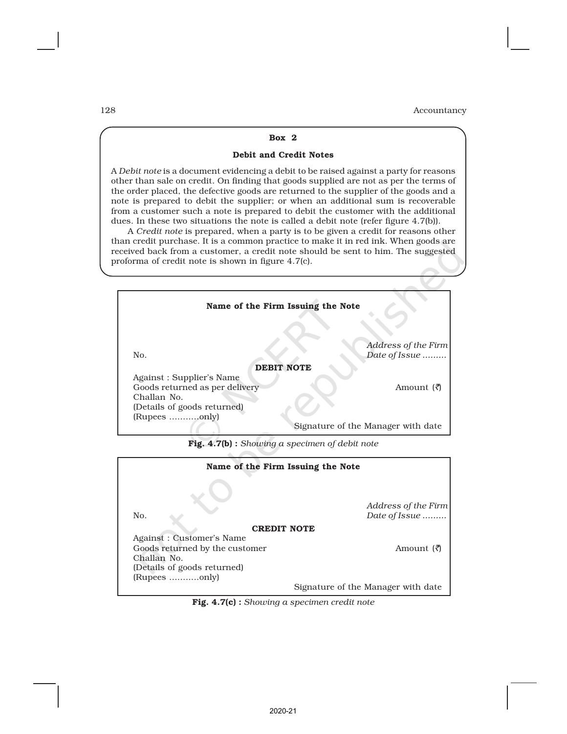#### Box 2

#### Debit and Credit Notes

A *Debit note* is a document evidencing a debit to be raised against a party for reasons other than sale on credit. On finding that goods supplied are not as per the terms of the order placed, the defective goods are returned to the supplier of the goods and a note is prepared to debit the supplier; or when an additional sum is recoverable from a customer such a note is prepared to debit the customer with the additional dues. In these two situations the note is called a debit note (refer figure 4.7(b)).

A *Credit note* is prepared, when a party is to be given a credit for reasons other than credit purchase. It is a common practice to make it in red ink. When goods are received back from a customer, a credit note should be sent to him. The suggested proforma of credit note is shown in figure 4.7(c).

| Name of the Firm Issuing the Note |                                      |
|-----------------------------------|--------------------------------------|
| No.                               | Address of the Firm<br>Date of Issue |
| <b>DEBIT NOTE</b>                 |                                      |
| Against: Supplier's Name          |                                      |
| Goods returned as per delivery    | Amount ( <i>रै</i> )                 |
| Challan No.                       |                                      |
| (Details of goods returned)       |                                      |
| (Rupees only)                     |                                      |
|                                   | Signature of the Manager with date   |

Fig. 4.7(b) : *Showing a specimen of debit note*

| Name of the Firm Issuing the Note |                                    |  |  |  |  |  |  |  |  |
|-----------------------------------|------------------------------------|--|--|--|--|--|--|--|--|
|                                   |                                    |  |  |  |  |  |  |  |  |
|                                   | Address of the Firm                |  |  |  |  |  |  |  |  |
| No.                               | Date of Issue                      |  |  |  |  |  |  |  |  |
| <b>CREDIT NOTE</b>                |                                    |  |  |  |  |  |  |  |  |
| Against: Customer's Name          |                                    |  |  |  |  |  |  |  |  |
| Goods returned by the customer    | Amount ( <i>रै</i> )               |  |  |  |  |  |  |  |  |
| Challan No.                       |                                    |  |  |  |  |  |  |  |  |
| (Details of goods returned)       |                                    |  |  |  |  |  |  |  |  |
| (Rupees only)                     |                                    |  |  |  |  |  |  |  |  |
|                                   | Signature of the Manager with date |  |  |  |  |  |  |  |  |

Fig. 4.7(c) : *Showing a specimen credit note*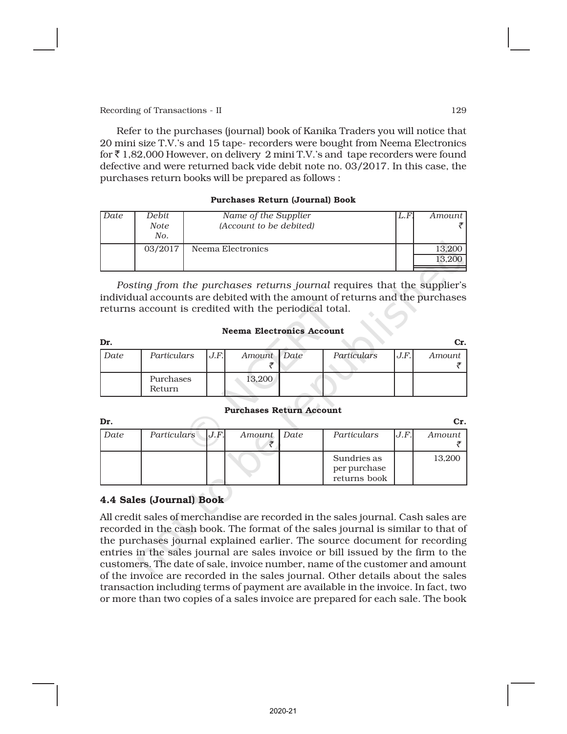Refer to the purchases (journal) book of Kanika Traders you will notice that 20 mini size T.V.'s and 15 tape- recorders were bought from Neema Electronics for  $\bar{\tau}$  1,82,000 However, on delivery 2 mini T.V.'s and tape recorders were found defective and were returned back vide debit note no. 03/2017. In this case, the purchases return books will be prepared as follows :

### Purchases Return (Journal) Book

| Date | Debit   | Name of the Supplier    | L.F | Amount I |
|------|---------|-------------------------|-----|----------|
|      | Note    | (Account to be debited) |     |          |
|      | No.     |                         |     |          |
|      | 03/2017 | Neema Electronics       |     | 13,200   |
|      |         |                         |     |          |
|      |         |                         |     |          |

*Posting from the purchases returns journal* requires that the supplier's individual accounts are debited with the amount of returns and the purchases returns account is credited with the periodical total.

#### Neema Electronics Account

| Dr.  |                     |      |             |             |      | Cr.    |
|------|---------------------|------|-------------|-------------|------|--------|
| Date | Particulars         | J.F. | Amount Date | Particulars | J.F. | Amount |
|      | Purchases<br>Return |      | 13,200      |             |      |        |

#### Purchases Return Account

| Dr.  |             |      |             |                                             |      | Cr.    |
|------|-------------|------|-------------|---------------------------------------------|------|--------|
| Date | Particulars | J.F. | Amount Date | Particulars                                 | J.F. | Amount |
|      |             |      |             | Sundries as<br>per purchase<br>returns book |      | 13,200 |

# 4.4 Sales (Journal) Book

All credit sales of merchandise are recorded in the sales journal. Cash sales are recorded in the cash book. The format of the sales journal is similar to that of the purchases journal explained earlier. The source document for recording entries in the sales journal are sales invoice or bill issued by the firm to the customers. The date of sale, invoice number, name of the customer and amount of the invoice are recorded in the sales journal. Other details about the sales transaction including terms of payment are available in the invoice. In fact, two or more than two copies of a sales invoice are prepared for each sale. The book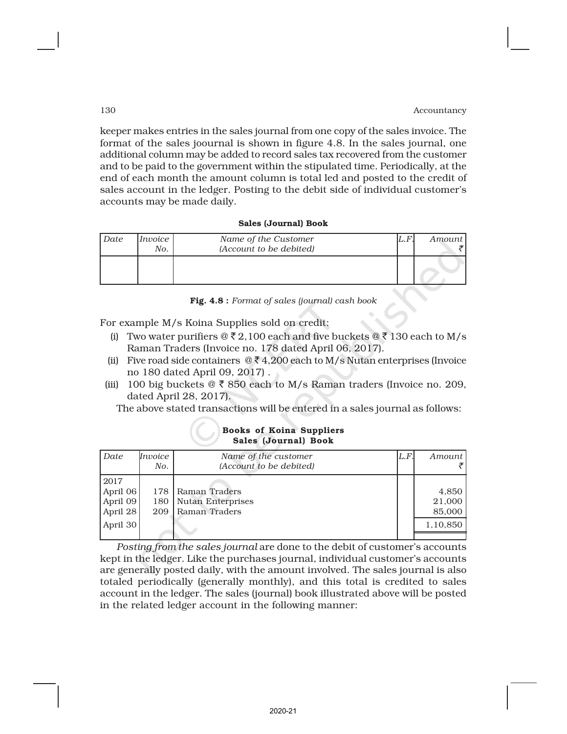keeper makes entries in the sales journal from one copy of the sales invoice. The format of the sales joournal is shown in figure 4.8. In the sales journal, one additional column may be added to record sales tax recovered from the customer and to be paid to the government within the stipulated time. Periodically, at the end of each month the amount column is total led and posted to the credit of sales account in the ledger. Posting to the debit side of individual customer's accounts may be made daily.

#### Sales (Journal) Book

| Date | <i>Invoice</i><br>No. | Name of the Customer<br>(Account to be debited) | $\mu$ . $F$ | Amount |
|------|-----------------------|-------------------------------------------------|-------------|--------|
|      |                       |                                                 |             |        |

Fig. 4.8 : *Format of sales (journal) cash book*

For example M/s Koina Supplies sold on credit:

- (i) Two water purifiers  $\mathcal{Q} \bar{\xi} 2,100$  each and five buckets  $\mathcal{Q} \bar{\xi} 130$  each to M/s Raman Traders (Invoice no. 178 dated April 06, 2017).
- (ii) Five road side containers  $@ \xi 4,200$  each to M/s Nutan enterprises (Invoice no 180 dated April 09, 2017) .
- (iii) 100 big buckets  $\mathcal{Q} \bar{\mathcal{R}}$  850 each to M/s Raman traders (Invoice no. 209, dated April 28, 2017).

The above stated transactions will be entered in a sales journal as follows:

#### Books of Koina Suppliers Sales (Journal) Book

| Date                                     | Invoice<br>No.    | Name of the customer<br>(Account to be debited)     | L.F. | Amount                    |
|------------------------------------------|-------------------|-----------------------------------------------------|------|---------------------------|
| 2017<br>April 06<br>April 09<br>April 28 | 178<br>180<br>209 | Raman Traders<br>Nutan Enterprises<br>Raman Traders |      | 4,850<br>21,000<br>85,000 |
| April 30                                 |                   |                                                     |      | 1,10,850                  |

*Posting from the sales journal* are done to the debit of customer's accounts kept in the ledger. Like the purchases journal, individual customer's accounts are generally posted daily, with the amount involved. The sales journal is also totaled periodically (generally monthly), and this total is credited to sales account in the ledger. The sales (journal) book illustrated above will be posted in the related ledger account in the following manner: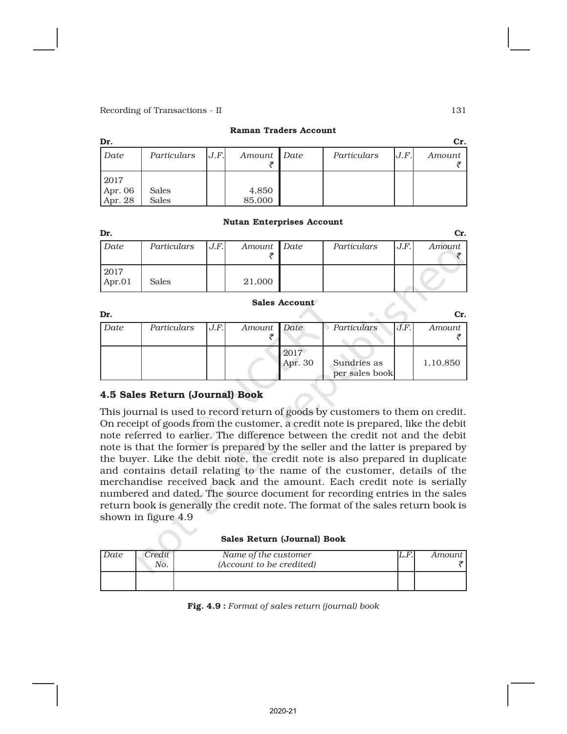| Dr.     |              |      |               |             |      | Cr.    |
|---------|--------------|------|---------------|-------------|------|--------|
| Date    | Particulars  | J.F. | Amount   Date | Particulars | J.F. | Amount |
| 2017    |              |      |               |             |      |        |
| Apr. 06 | <b>Sales</b> |      | 4,850         |             |      |        |
| Apr. 28 | <b>Sales</b> |      | 85,000        |             |      |        |

#### Raman Traders Account

#### Nutan Enterprises Account

| Dr.    |             |      |             |             |      | Cr.    |
|--------|-------------|------|-------------|-------------|------|--------|
| Date   | Particulars | J.F. | Amount Date | Particulars | J.F. | Amount |
| 2017   |             |      |             |             |      |        |
| Apr.01 | Sales       |      | 21,000      |             |      |        |

#### Sales Account

| Dr.  |             |      |             |                 |                               |      | Cr.      |
|------|-------------|------|-------------|-----------------|-------------------------------|------|----------|
| Date | Particulars | J.F. | Amount Date |                 | Particulars                   | J.F. | Amount   |
|      |             |      |             | 2017<br>Apr. 30 | Sundries as<br>per sales book |      | 1,10,850 |

# 4.5 Sales Return (Journal) Book

This journal is used to record return of goods by customers to them on credit. On receipt of goods from the customer, a credit note is prepared, like the debit note referred to earlier. The difference between the credit not and the debit note is that the former is prepared by the seller and the latter is prepared by the buyer. Like the debit note, the credit note is also prepared in duplicate and contains detail relating to the name of the customer, details of the merchandise received back and the amount. Each credit note is serially numbered and dated. The source document for recording entries in the sales return book is generally the credit note. The format of the sales return book is shown in figure 4.9

#### Sales Return (Journal) Book

| Date | Credit '<br>No. | Name of the customer<br>(Account to be credited) | .L.F | Amount |
|------|-----------------|--------------------------------------------------|------|--------|
|      |                 |                                                  |      |        |

Fig. 4.9 : *Format of sales return (journal) book*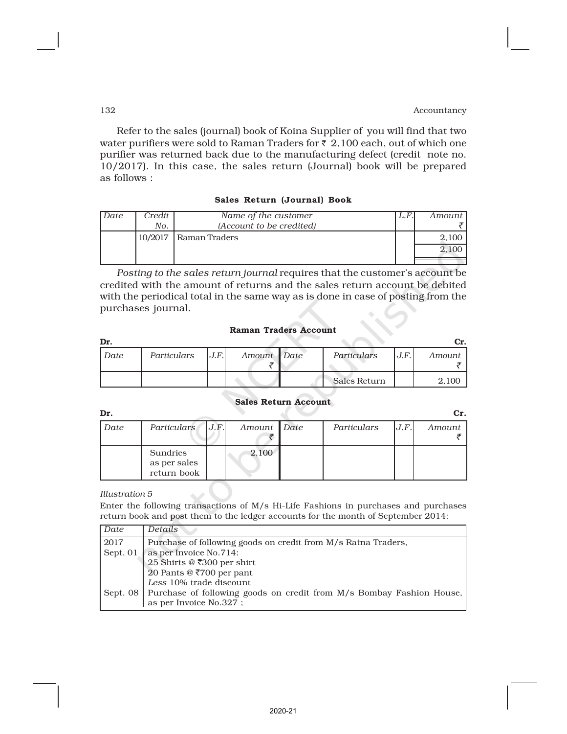Refer to the sales (journal) book of Koina Supplier of you will find that two water purifiers were sold to Raman Traders for  $\bar{\tau}$  2,100 each, out of which one purifier was returned back due to the manufacturing defect (credit note no. 10/2017). In this case, the sales return (Journal) book will be prepared as follows :

### Sales Return (Journal) Book

| Date | Credit | Name of the customer     | L.F | Amount |
|------|--------|--------------------------|-----|--------|
|      | No.    | (Account to be credited) |     |        |
|      |        | 10/2017   Raman Traders  |     |        |
|      |        |                          |     |        |
|      |        |                          |     |        |

*Posting to the sales return journal* requires that the customer's account be credited with the amount of returns and the sales return account be debited with the periodical total in the same way as is done in case of posting from the purchases journal.

#### Raman Traders Account

| Dr.  |             |      |             |              |      | UT.    |
|------|-------------|------|-------------|--------------|------|--------|
| Date | Particulars | J.F. | Amount Date | Particulars  | J.F. | Amount |
|      |             |      |             | Sales Return |      | 2,100  |

#### Sales Return Account

| Dr.  |                                         |      |             |             |      | Cr.    |
|------|-----------------------------------------|------|-------------|-------------|------|--------|
| Date | <b>Particulars</b>                      | J.F. | Amount Date | Particulars | J.F. | Amount |
|      | Sundries<br>as per sales<br>return book |      | 2,100       |             |      |        |

*Illustration 5*

Enter the following transactions of M/s Hi-Life Fashions in purchases and purchases return book and post them to the ledger accounts for the month of September 2014:

| Date     | <i>Details</i>                                                                  |  |  |  |  |  |  |  |  |  |
|----------|---------------------------------------------------------------------------------|--|--|--|--|--|--|--|--|--|
| 2017     | Purchase of following goods on credit from M/s Ratna Traders,                   |  |  |  |  |  |  |  |  |  |
| Sept. 01 | as per Invoice No.714:                                                          |  |  |  |  |  |  |  |  |  |
|          | 25 Shirts @ ₹300 per shirt                                                      |  |  |  |  |  |  |  |  |  |
|          | 20 Pants @ ₹700 per pant                                                        |  |  |  |  |  |  |  |  |  |
|          | Less 10% trade discount                                                         |  |  |  |  |  |  |  |  |  |
|          | Sept. 08   Purchase of following goods on credit from M/s Bombay Fashion House, |  |  |  |  |  |  |  |  |  |
|          | as per Invoice No.327;                                                          |  |  |  |  |  |  |  |  |  |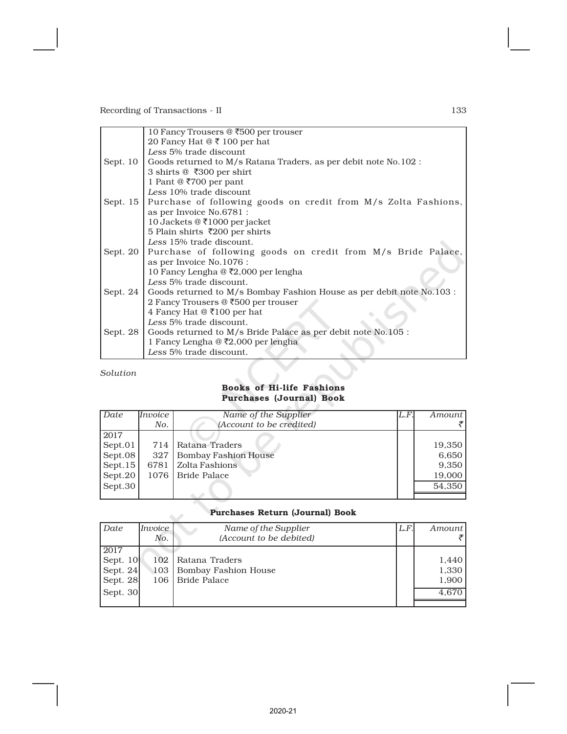| 10 Fancy Trousers @ ₹500 per trouser                                                |
|-------------------------------------------------------------------------------------|
| 20 Fancy Hat $@ \t{3} 100$ per hat                                                  |
| Less 5% trade discount                                                              |
| Sept. 10 $\mid$ Goods returned to M/s Ratana Traders, as per debit note No.102 :    |
| 3 shirts @ ₹300 per shirt                                                           |
| 1 Pant @ ₹700 per pant                                                              |
| Less 10% trade discount                                                             |
| Sept. 15   Purchase of following goods on credit from M/s Zolta Fashions,           |
| as per Invoice No.6781 :                                                            |
| 10 Jackets @ ₹1000 per jacket                                                       |
| 5 Plain shirts ₹200 per shirts                                                      |
| Less 15% trade discount.                                                            |
| Sept. 20   Purchase of following goods on credit from M/s Bride Palace,             |
| as per Invoice No.1076 :                                                            |
| 10 Fancy Lengha @ ₹2,000 per lengha                                                 |
| Less 5% trade discount.                                                             |
| Sept. $24$<br>Goods returned to M/s Bombay Fashion House as per debit note No.103 : |
| 2 Fancy Trousers @ ₹500 per trouser                                                 |
| 4 Fancy Hat $@$ ₹100 per hat                                                        |
| Less 5% trade discount.                                                             |
| Sept. 28 Goods returned to $M/s$ Bride Palace as per debit note No.105 :            |
| 1 Fancy Lengha $@$ ₹2,000 per lengha                                                |
| Less 5% trade discount.                                                             |
|                                                                                     |

*Solution*

# Books of Hi-life Fashions Purchases (Journal) Book

| Date       | Invoice | Name of the Supplier        | IL.F. | Amount I |
|------------|---------|-----------------------------|-------|----------|
|            | No.     | (Account to be credited)    |       |          |
| 2017       |         |                             |       |          |
| Sept.01    | 714 I   | Ratana Traders              |       | 19,350   |
| Sept.08    | 327     | <b>Bombay Fashion House</b> |       | 6,650    |
| Sept. $15$ | 6781 l  | Zolta Fashions              |       | 9,350    |
| Sept.20    |         | 1076   Bride Palace         |       | 19,000   |
| Sept.30    |         |                             |       | 54,350   |
|            |         |                             |       |          |

# Purchases Return (Journal) Book

|          | Purchases Return (Journal) Book |                             |      |        |  |  |  |  |  |  |  |  |  |
|----------|---------------------------------|-----------------------------|------|--------|--|--|--|--|--|--|--|--|--|
| Date     | Invoice                         | Name of the Supplier        | L.F. | Amount |  |  |  |  |  |  |  |  |  |
|          | No.                             | (Account to be debited)     |      |        |  |  |  |  |  |  |  |  |  |
| 2017     |                                 |                             |      |        |  |  |  |  |  |  |  |  |  |
| Sept. 10 | 102                             | Ratana Traders              |      | 1,440  |  |  |  |  |  |  |  |  |  |
| Sept. 24 | 103                             | <b>Bombay Fashion House</b> |      | 1,330  |  |  |  |  |  |  |  |  |  |
| Sept. 28 | 106                             | Bride Palace                |      | 1,900  |  |  |  |  |  |  |  |  |  |
| Sept. 30 |                                 |                             |      | 4.670  |  |  |  |  |  |  |  |  |  |
|          |                                 |                             |      |        |  |  |  |  |  |  |  |  |  |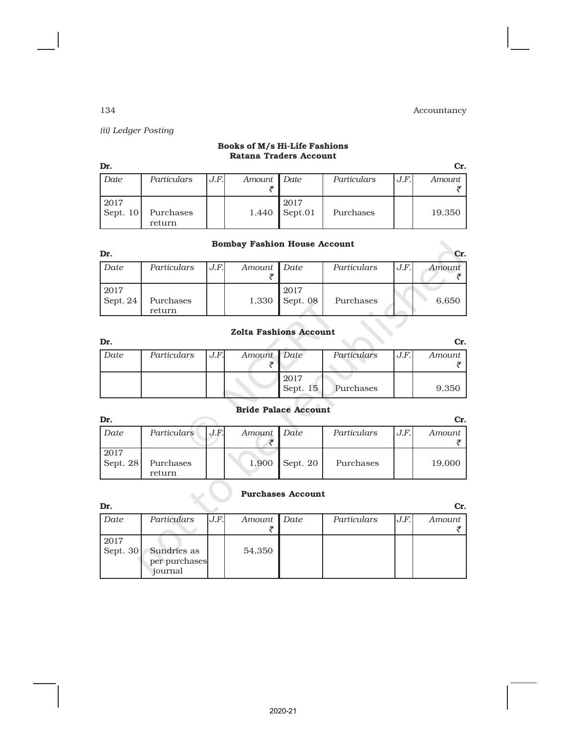*(ii) Ledger Posting*

# Books of M/s Hi-Life Fashions Ratana Traders Account

| Dr.                |                     |      |             |                                          |             |      |        |  |  |  |  |  |
|--------------------|---------------------|------|-------------|------------------------------------------|-------------|------|--------|--|--|--|--|--|
| Date               | Particulars         | J.F. | Amount Date |                                          | Particulars | J.F. | Amount |  |  |  |  |  |
| 2017<br>Sept. $10$ | Purchases<br>return |      | 1,440       | 2017<br>$\sqrt{\operatorname{Sept. 01}}$ | Purchases   |      | 19,350 |  |  |  |  |  |

# Bombay Fashion House Account

| Dr.              |                     |      |               |                        |             |      |        |  |  |  |  |  |
|------------------|---------------------|------|---------------|------------------------|-------------|------|--------|--|--|--|--|--|
| Date             | Particulars         | J.F. | Amount   Date |                        | Particulars | J.F. | Amount |  |  |  |  |  |
| 2017<br>Sept. 24 | Purchases<br>return |      |               | 2017<br>1,330 Sept. 08 | Purchases   |      | 6,650  |  |  |  |  |  |

# Zolta Fashions Account

| Dr.  |             |      |             |                    |             |      | Cr.    |
|------|-------------|------|-------------|--------------------|-------------|------|--------|
| Date | Particulars | J.F. | Amount Date |                    | Particulars | J.F. | Amount |
|      |             |      |             |                    |             |      |        |
|      |             |      |             | 2017<br>Sept. $15$ | Purchases   |      | 9,350  |
|      |             |      |             |                    |             |      |        |

# Bride Palace Account

| Dr.                |                     |       |             |                |             |      | Cr.    |
|--------------------|---------------------|-------|-------------|----------------|-------------|------|--------|
| Date               | Particulars         | J.F.I | Amount Date |                | Particulars | J.F. | Amount |
| 2017<br>Sept. $28$ | Purchases<br>return |       |             | 1,900 Sept. 20 | Purchases   |      | 19,000 |

# Purchases Account

| Dr.                |                                         |      |               |             |      | Cr.    |
|--------------------|-----------------------------------------|------|---------------|-------------|------|--------|
| Date               | Particulars                             | J.F. | Amount   Date | Particulars | J.F. | Amount |
| 2017<br>Sept. $30$ | Sundries as<br>per purchases<br>journal |      | 54,350        |             |      |        |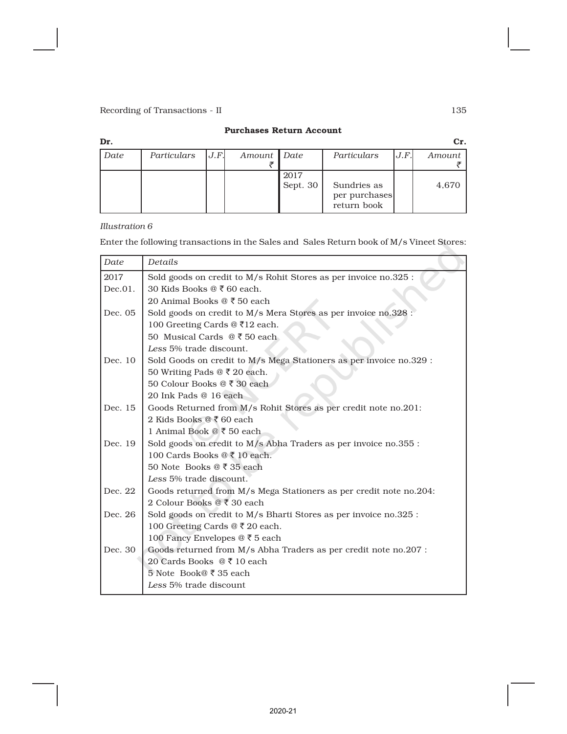### Purchases Return Account

| Dr.  |             |     |               |                  |                                             |      | Cr.    |
|------|-------------|-----|---------------|------------------|---------------------------------------------|------|--------|
| Date | Particulars | J.F | Amount   Date |                  | Particulars                                 | J.F. | Amount |
|      |             |     |               | 2017<br>Sept. 30 | Sundries as<br>per purchases<br>return book |      | 4,670  |

### *Illustration 6*

Enter the following transactions in the Sales and Sales Return book of M/s Vineet Stores:

| Date    | Details                                                             |
|---------|---------------------------------------------------------------------|
| 2017    | Sold goods on credit to M/s Rohit Stores as per invoice no.325 :    |
| Dec.01. | 30 Kids Books @ ₹60 each.                                           |
|         | 20 Animal Books @ ₹ 50 each                                         |
| Dec. 05 | Sold goods on credit to M/s Mera Stores as per invoice no.328       |
|         | 100 Greeting Cards @ ₹12 each.                                      |
|         | 50 Musical Cards $@50$ each                                         |
|         | Less 5% trade discount.                                             |
| Dec. 10 | Sold Goods on credit to M/s Mega Stationers as per invoice no.329 : |
|         | 50 Writing Pads @ ₹ 20 each.                                        |
|         | 50 Colour Books @ ₹ 30 each                                         |
|         | 20 Ink Pads @ 16 each                                               |
| Dec. 15 | Goods Returned from M/s Rohit Stores as per credit note no.201:     |
|         | 2 Kids Books $@ \xi 60$ each                                        |
|         | 1 Animal Book $@ \xi 50$ each                                       |
| Dec. 19 | Sold goods on credit to M/s Abha Traders as per invoice no.355 :    |
|         | 100 Cards Books $@ \xi 10$ each.                                    |
|         | 50 Note Books $@ \xi 35$ each                                       |
|         | Less 5% trade discount.                                             |
| Dec. 22 | Goods returned from M/s Mega Stationers as per credit note no.204:  |
|         | 2 Colour Books @ ₹ 30 each                                          |
| Dec. 26 | Sold goods on credit to M/s Bharti Stores as per invoice no.325 :   |
|         | 100 Greeting Cards @ ₹ 20 each.                                     |
|         | 100 Fancy Envelopes @ ₹ 5 each                                      |
| Dec. 30 | Goods returned from M/s Abha Traders as per credit note no.207 :    |
|         | 20 Cards Books $@ \xi 10$ each                                      |
|         | 5 Note Book@ ₹ 35 each                                              |
|         | Less 5% trade discount                                              |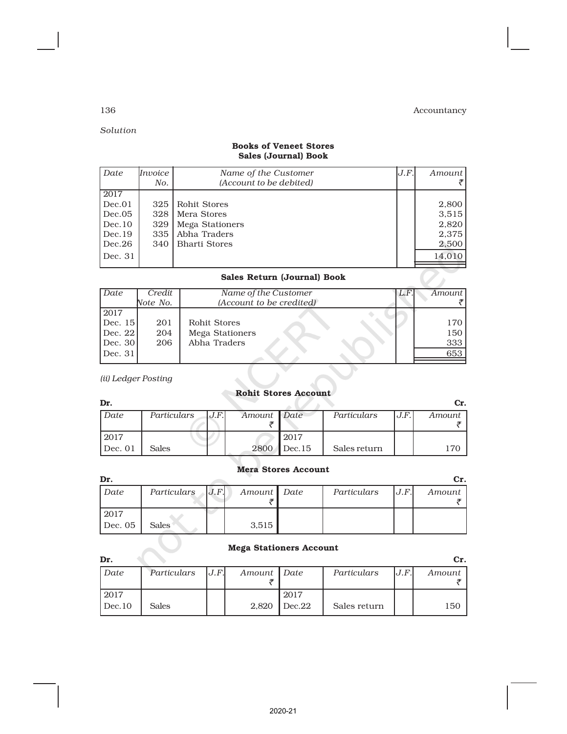# *Solution*

# Books of Veneet Stores Sales (Journal) Book

| Date                        | Invoice | Name of the Customer    | J.F. | Amount |  |  |  |
|-----------------------------|---------|-------------------------|------|--------|--|--|--|
|                             | No.     | (Account to be debited) |      |        |  |  |  |
| 2017                        |         |                         |      |        |  |  |  |
| Dec.01                      | 325     | Rohit Stores            |      | 2,800  |  |  |  |
| Dec.05                      | 328     | Mera Stores             |      | 3,515  |  |  |  |
| Dec.10                      | 329     | Mega Stationers         |      | 2,820  |  |  |  |
| Dec.19                      | 335     | Abha Traders            |      | 2,375  |  |  |  |
| Dec.26                      | 340     | <b>Bharti Stores</b>    |      | 2,500  |  |  |  |
| Dec. 31                     |         |                         |      | 14,010 |  |  |  |
| Sales Return (Journal) Book |         |                         |      |        |  |  |  |

# Sales Return (Journal) Book

| Date      | Credit   | Name of the Customer     | L.F. | Amount |
|-----------|----------|--------------------------|------|--------|
|           | Note No. | (Account to be credited) |      |        |
| 2017      |          |                          |      |        |
| Dec. $15$ | 201      | Rohit Stores             |      | 170    |
| Dec. $22$ | 204      | Mega Stationers          |      | 150    |
| Dec. $30$ | 206      | Abha Traders             |      | 333    |
| Dec. $31$ |          |                          |      | 653    |
|           |          |                          |      |        |

# *(ii) Ledger Posting*

# Rohit Stores Account

| Dr.       |             |      |             |             |              |      | Cr.    |
|-----------|-------------|------|-------------|-------------|--------------|------|--------|
| Date      | Particulars | J.F. | Amount Date |             | Particulars  | J.F. | Amount |
|           |             |      |             |             |              |      |        |
| 2017      |             |      |             | .2017       |              |      |        |
| l Dec. 01 | Sales       |      |             | 2800 Dec.15 | Sales return |      | 70     |

## Mera Stores Account

| Dr.    |                    |               |             |      | Cr.    |
|--------|--------------------|---------------|-------------|------|--------|
| Date   | Particulars $J.F.$ | Amount   Date | Particulars | J.F. | Amount |
|        |                    |               |             |      |        |
| 2017   |                    |               |             |      |        |
| Dec.05 | Sales <sup>®</sup> | 3.515         |             |      |        |

# Mega Stationers Account

| Dr.    |              |      |             |        |              |      | Cr.      |
|--------|--------------|------|-------------|--------|--------------|------|----------|
| Date   | Particulars  | J.F. | Amount Date |        | Particulars  | J.F. | Amount 1 |
|        |              |      |             |        |              |      |          |
| 2017   |              |      |             | 2017   |              |      |          |
| Dec.10 | <b>Sales</b> |      | 2,820       | Dec.22 | Sales return |      | 150      |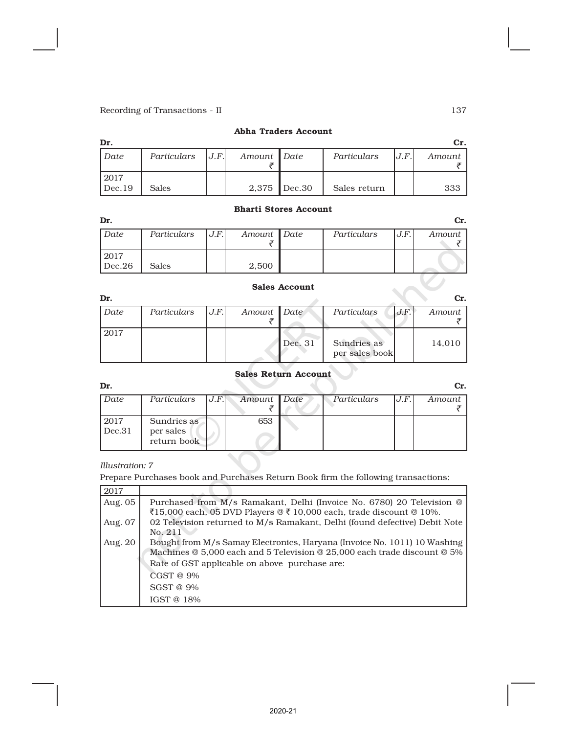## Abha Traders Account

| Dr.            |              |      |             |                |              |      | Cr.    |
|----------------|--------------|------|-------------|----------------|--------------|------|--------|
| Date           | Particulars  | J.F. | Amount Date |                | Particulars  | J.F. | Amount |
| 2017<br>Dec.19 | <b>Sales</b> |      |             | $2,375$ Dec.30 | Sales return |      | 333    |

# Bharti Stores Account

| Dr.    |              |      |             |                      |             |      | Cr.    |
|--------|--------------|------|-------------|----------------------|-------------|------|--------|
| Date   | Particulars  | J.F. | Amount Date |                      | Particulars | J.F. | Amount |
|        |              |      |             |                      |             |      |        |
| 2017   |              |      |             |                      |             |      |        |
| Dec.26 | <b>Sales</b> |      | 2,500       |                      |             |      |        |
|        |              |      |             | <b>Sales Account</b> |             |      |        |

#### Sales Account

| Dr.  |             |      |             |         |                               |      | Сr.    |
|------|-------------|------|-------------|---------|-------------------------------|------|--------|
| Date | Particulars | J.F. | Amount Date |         | Particulars                   | J.F. | Amount |
| 2017 |             |      |             | Dec. 31 | Sundries as<br>per sales book |      | 14,010 |

#### Sales Return Account

| .,<br>٥<br>×<br>۰.<br>w |
|-------------------------|
|-------------------------|

|        |                          |     |      |             |      | Cr.    |
|--------|--------------------------|-----|------|-------------|------|--------|
| Date   | Particulars              |     |      | Particulars | J.F. | Amount |
|        |                          |     |      |             |      |        |
| 2017   | Sundries as              | 653 |      |             |      |        |
| Dec.31 | per sales<br>return book |     |      |             |      |        |
|        |                          |     | J.F. | Amount Date |      |        |

# *Illustration: 7*

Prepare Purchases book and Purchases Return Book firm the following transactions:

| 2017      |                                                                                          |
|-----------|------------------------------------------------------------------------------------------|
| Aug. 05   | Purchased from M/s Ramakant, Delhi (Invoice No. 6780) 20 Television @                    |
|           | $\text{\textsterling}15,000$ each, 05 DVD Players @ ₹ 10,000 each, trade discount @ 10%. |
| Aug. $07$ | 02 Television returned to M/s Ramakant, Delhi (found defective) Debit Note               |
|           | No. 211                                                                                  |
| Aug. 20   | Bought from M/s Samay Electronics, Haryana (Invoice No. 1011) 10 Washing                 |
|           | Machines @ 5,000 each and 5 Television @ 25,000 each trade discount @ 5%                 |
|           | Rate of GST applicable on above purchase are:                                            |
|           | CGST @ 9%                                                                                |
|           | $SGST@9\%$                                                                               |
|           | IGST $@18\%$                                                                             |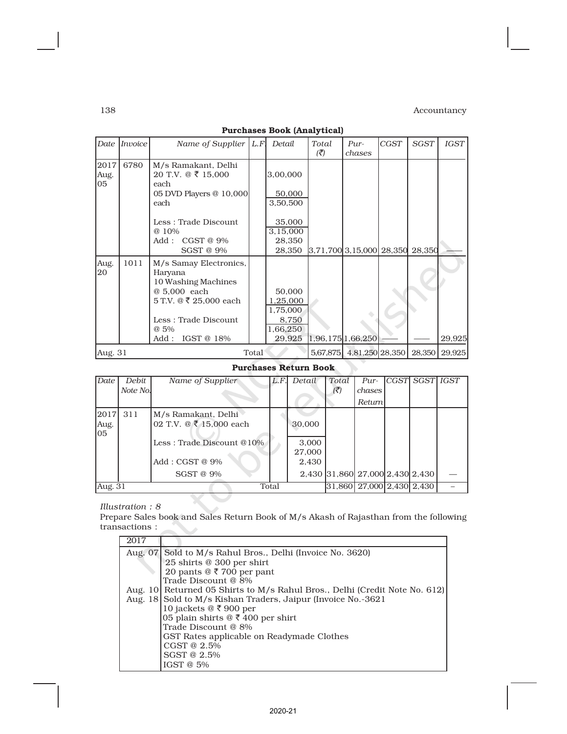|                  | Date <i>Invoice</i> | Name of Supplier $ L.F $ | Detail   | Total                    | Pur-                        | <b>CGST</b> | <b>SGST</b> | <b>IGST</b> |
|------------------|---------------------|--------------------------|----------|--------------------------|-----------------------------|-------------|-------------|-------------|
|                  |                     |                          |          | $\overline{\mathcal{K}}$ | chases                      |             |             |             |
|                  |                     |                          |          |                          |                             |             |             |             |
| 2017             | 6780                | M/s Ramakant, Delhi      |          |                          |                             |             |             |             |
| Aug.             |                     | 20 T.V. @ ₹ 15,000       | 3,00,000 |                          |                             |             |             |             |
| 05               |                     | each                     |          |                          |                             |             |             |             |
|                  |                     | 05 DVD Players @ 10,000  | 50,000   |                          |                             |             |             |             |
|                  |                     | each                     | 3,50,500 |                          |                             |             |             |             |
|                  |                     |                          |          |                          |                             |             |             |             |
|                  |                     | Less: Trade Discount     | 35,000   |                          |                             |             |             |             |
|                  |                     | @ 10%                    | 3,15,000 |                          |                             |             |             |             |
|                  |                     | CGST@9%<br>Add :         | 28,350   |                          |                             |             |             |             |
|                  |                     | <b>SGST @ 9%</b>         | 28,350   |                          | $3,71,700$ 3, 15,000 28,350 |             | 28,350      |             |
|                  |                     |                          |          |                          |                             |             |             |             |
| Aug.             | 1011                | M/s Samay Electronics,   |          |                          |                             |             |             |             |
| 20               |                     | Haryana                  |          |                          |                             |             |             |             |
|                  |                     | 10 Washing Machines      |          |                          |                             |             |             |             |
|                  |                     | @ 5,000 each             | 50.000   |                          |                             |             |             |             |
|                  |                     | 5 T.V. @ ₹ 25,000 each   | 1,25,000 |                          |                             |             |             |             |
|                  |                     |                          | 1,75,000 |                          |                             |             |             |             |
|                  |                     | Less: Trade Discount     | 8,750    |                          |                             |             |             |             |
|                  |                     |                          |          |                          |                             |             |             |             |
|                  |                     | @ 5%                     | 1,66,250 |                          |                             |             |             |             |
|                  |                     | IGST @ 18%<br>Add :      | 29,925   |                          | 1,96,175 1,66,250           |             |             | 29,925      |
| Aug. 31<br>Total |                     |                          |          |                          | 5,67,875 4,81,250 28,350    |             | 28,350      | 29,925      |
|                  |                     |                          |          |                          |                             |             |             |             |

# Purchases Book (Analytical)

# Purchases Return Book

 $\mathbf{r}$ 

| Date               | Debit<br>Note No. | Name of Supplier                                     | L.F.  | Detail          | Total<br>$(\bar{\vec{z}})$ | $Pur-$<br>chases                | ICGSTI SGSTI IGST |  |
|--------------------|-------------------|------------------------------------------------------|-------|-----------------|----------------------------|---------------------------------|-------------------|--|
|                    |                   |                                                      |       |                 |                            | Return                          |                   |  |
| 2017<br>Aug.<br>05 | 311               | M/s Ramakant, Delhi<br>02 T.V. $@ \t{3} 15,000$ each |       | 30,000          |                            |                                 |                   |  |
|                    |                   | Less: Trade Discount @10%                            |       | 3,000<br>27,000 |                            |                                 |                   |  |
|                    |                   | $Add : CGST @ 9\%$                                   |       | 2,430           |                            |                                 |                   |  |
|                    |                   | SGST @ 9%                                            |       |                 |                            | 2,430 31,860 27,000 2,430 2,430 |                   |  |
| Aug. 31            |                   |                                                      | Total |                 |                            | 31,860 27,000 2,430 2,430       |                   |  |

#### *Illustration : 8*

Prepare Sales book and Sales Return Book of M/s Akash of Rajasthan from the following transactions :

| 2017 |                                                                            |
|------|----------------------------------------------------------------------------|
|      | Aug. 07 Sold to M/s Rahul Bros., Delhi (Invoice No. 3620)                  |
|      | 25 shirts @ 300 per shirt                                                  |
|      | 20 pants $@ \xi$ 700 per pant                                              |
|      | Trade Discount @ 8%                                                        |
|      | Aug. 10 Returned 05 Shirts to M/s Rahul Bros., Delhi (Credit Note No. 612) |
|      | Aug. 18 Sold to M/s Kishan Traders, Jaipur (Invoice No. -3621              |
|      | 10 jackets @ ₹ 900 per                                                     |
|      | 05 plain shirts $@ \xi 400$ per shirt                                      |
|      | Trade Discount @ 8%                                                        |
|      | GST Rates applicable on Readymade Clothes                                  |
|      | CGST @ 2.5%                                                                |
|      | SGST @ 2.5%                                                                |
|      | IGST $@5\%$                                                                |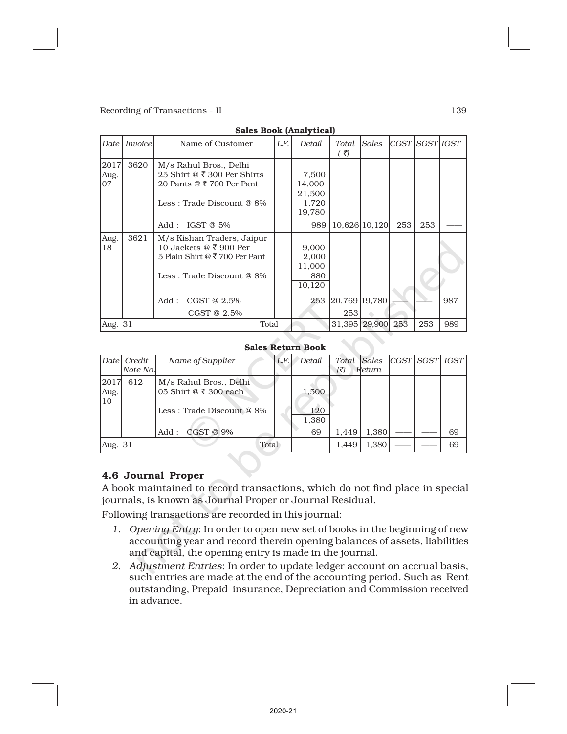|                    | <b>Sales Dook (Alialy tical)</b> |                                                                                                                                                                         |     |                                                     |                      |       |                  |     |     |
|--------------------|----------------------------------|-------------------------------------------------------------------------------------------------------------------------------------------------------------------------|-----|-----------------------------------------------------|----------------------|-------|------------------|-----|-----|
| Date               | Invoice                          | Name of Customer                                                                                                                                                        | LF. | Detail                                              | Total<br>( ₹)        | Sales | CGST ISGST IIGST |     |     |
| 2017<br>Aug.<br>07 | 3620                             | M/s Rahul Bros., Delhi<br>25 Shirt @ $\overline{\xi}$ 300 Per Shirts<br>20 Pants @ ₹ 700 Per Pant<br>Less: Trade Discount @ 8%<br>IGST $@5\%$<br>Add :                  |     | 7,500<br>14,000<br>21,500<br>1,720<br>19,780<br>989 | 10,626 10,120        |       | 253              | 253 |     |
| Aug.<br>18         | 3621                             | M/s Kishan Traders, Jaipur<br>10 Jackets @ $\overline{\xi}$ 900 Per<br>5 Plain Shirt @ ₹ 700 Per Pant<br>Less: Trade Discount @ 8%<br>Add :<br>CGST@2.5%<br>CGST @ 2.5% |     | 9,000<br>2,000<br>11,000<br>880<br>10,120<br>253    | 20,769 19,780<br>253 |       |                  |     | 987 |
| Aug. 31            |                                  | Total                                                                                                                                                                   |     | 31,395                                              | 29,900               | 253   | 253              | 989 |     |

#### Sales Book (Analytical)

#### Sales Return Book

|                    | Date  Credit<br>Note No. | Name of Supplier                                                                                           | L.F. | Detail                      | Total<br>(3) | Sales<br>Return | CGST SGST IGST |    |
|--------------------|--------------------------|------------------------------------------------------------------------------------------------------------|------|-----------------------------|--------------|-----------------|----------------|----|
| 2017<br>Aug.<br>10 | 612                      | M/s Rahul Bros., Delhi<br>05 Shirt @ $\bar{x}$ 300 each<br>Less: Trade Discount @ 8%<br>CGST @ 9%<br>Add : |      | 1,500<br>120<br>1,380<br>69 | 1.449        | 1,380           |                | 69 |
| Aug. 31            |                          | Total                                                                                                      |      |                             | 1.449        | 1,380           |                | 69 |

# 4.6 Journal Proper

A book maintained to record transactions, which do not find place in special journals, is known as Journal Proper or Journal Residual.

Following transactions are recorded in this journal:

- *1. Opening Entry*: In order to open new set of books in the beginning of new accounting year and record therein opening balances of assets, liabilities and capital, the opening entry is made in the journal.
- *2. Adjustment Entries*: In order to update ledger account on accrual basis, such entries are made at the end of the accounting period. Such as Rent outstanding, Prepaid insurance, Depreciation and Commission received in advance.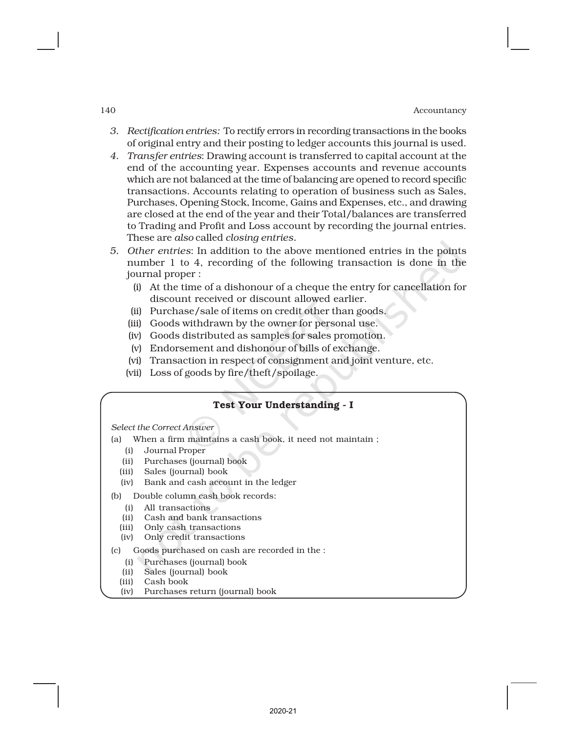- *3. Rectification entries:* To rectify errors in recording transactions in the books of original entry and their posting to ledger accounts this journal is used.
- *4. Transfer entries*: Drawing account is transferred to capital account at the end of the accounting year. Expenses accounts and revenue accounts which are not balanced at the time of balancing are opened to record specific transactions. Accounts relating to operation of business such as Sales, Purchases, Opening Stock, Income, Gains and Expenses, etc., and drawing are closed at the end of the year and their Total/balances are transferred to Trading and Profit and Loss account by recording the journal entries. These are *also* called *closing entries.*
- *5. Other entries*: In addition to the above mentioned entries in the points number 1 to 4, recording of the following transaction is done in the journal proper :
	- (i) At the time of a dishonour of a cheque the entry for cancellation for discount received or discount allowed earlier.
	- (ii) Purchase/sale of items on credit other than goods.
	- (iii) Goods withdrawn by the owner for personal use.
	- (iv) Goods distributed as samples for sales promotion.
	- (v) Endorsement and dishonour of bills of exchange.
	- (vi) Transaction in respect of consignment and joint venture, etc.
	- (vii) Loss of goods by fire/theft/spoilage.

#### Test Your Understanding - I

*Select the Correct Answer*

- (a) When a firm maintains a cash book, it need not maintain ;
	- (i) Journal Proper
	- (ii) Purchases (journal) book
	- (iii) Sales (journal) book
	- (iv) Bank and cash account in the ledger
- (b) Double column cash book records:
	- (i) All transactions
	- (ii) Cash and bank transactions
	- (iii) Only cash transactions
	- (iv) Only credit transactions
- (c) Goods purchased on cash are recorded in the :
	- (i) Purchases (journal) book
	- (ii) Sales (journal) book
- (iii) Cash book
- (iv) Purchases return (journal) book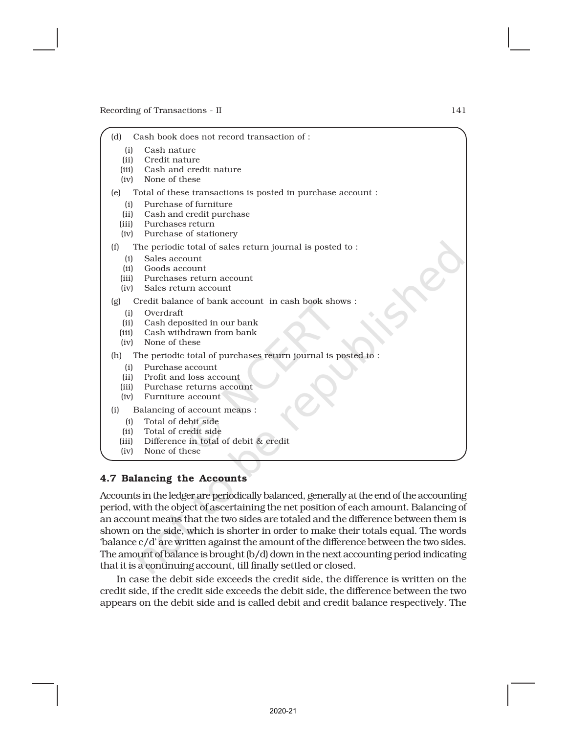- (d) Cash book does not record transaction of :
	- (i) Cash nature
	- (ii) Credit nature
	- (iii) Cash and credit nature
	- (iv) None of these
- (e) Total of these transactions is posted in purchase account :
	- (i) Purchase of furniture
	- (ii) Cash and credit purchase
	- (iii) Purchases return
	- (iv) Purchase of stationery
- (f) The periodic total of sales return journal is posted to :
	- (i) Sales account
	- (ii) Goods account
	- (iii) Purchases return account
	- (iv) Sales return account
- (g) Credit balance of bank account in cash book shows :
	- (i) Overdraft
	- (ii) Cash deposited in our bank
	- (iii) Cash withdrawn from bank
	- (iv) None of these

#### (h) The periodic total of purchases return journal is posted to :

- (i) Purchase account
- (ii) Profit and loss account
- (iii) Purchase returns account
- (iv) Furniture account
- (i) Balancing of account means :
	- (i) Total of debit side
	- (ii) Total of credit side
	- (iii) Difference in total of debit & credit
	- (iv) None of these

#### 4.7 Balancing the Accounts

Accounts in the ledger are periodically balanced, generally at the end of the accounting period, with the object of ascertaining the net position of each amount. Balancing of an account means that the two sides are totaled and the difference between them is shown on the side, which is shorter in order to make their totals equal. The words 'balance c/d' are written against the amount of the difference between the two sides. The amount of balance is brought (b/d) down in the next accounting period indicating that it is a continuing account, till finally settled or closed.

In case the debit side exceeds the credit side, the difference is written on the credit side, if the credit side exceeds the debit side, the difference between the two appears on the debit side and is called debit and credit balance respectively. The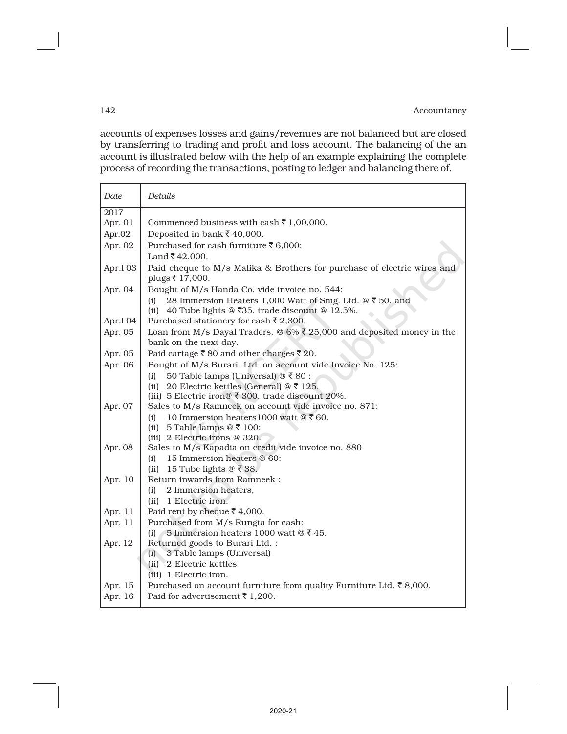accounts of expenses losses and gains/revenues are not balanced but are closed by transferring to trading and profit and loss account. The balancing of the an account is illustrated below with the help of an example explaining the complete process of recording the transactions, posting to ledger and balancing there of.

| Date    | Details                                                                                                                                                                       |
|---------|-------------------------------------------------------------------------------------------------------------------------------------------------------------------------------|
| 2017    |                                                                                                                                                                               |
| Apr. 01 | Commenced business with cash $\bar{\tau}$ 1,00,000.                                                                                                                           |
| Apr.02  | Deposited in bank $\overline{\mathfrak{c}}$ 40,000.                                                                                                                           |
| Apr. 02 | Purchased for cash furniture ₹6,000;                                                                                                                                          |
|         | Land ₹42,000.                                                                                                                                                                 |
| Apr.103 | Paid cheque to M/s Malika & Brothers for purchase of electric wires and<br>plugs ₹ 17,000.                                                                                    |
| Apr. 04 | Bought of M/s Handa Co. vide invoice no. 544:                                                                                                                                 |
| Apr.104 | 28 Immersion Heaters 1,000 Watt of Smg. Ltd. @ ₹ 50, and<br>(i)<br>(ii) 40 Tube lights @ $\overline{535}$ . trade discount @ 12.5%.<br>Purchased stationery for cash ₹ 2,300. |
| Apr. 05 | Loan from M/s Dayal Traders. @ $6\%$ ₹ 25,000 and deposited money in the                                                                                                      |
|         | bank on the next day.                                                                                                                                                         |
| Apr. 05 | Paid cartage ₹80 and other charges ₹20.                                                                                                                                       |
| Apr. 06 | Bought of M/s Burari. Ltd. on account vide Invoice No. 125:                                                                                                                   |
|         | 50 Table lamps (Universal) @ ₹80 :<br>(i)<br>20 Electric kettles (General) @ ₹ 125.<br>(ii)<br>(iii) 5 Electric iron@ $\bar{\tau}$ 300. trade discount 20%.                   |
| Apr. 07 | Sales to M/s Ramneek on account vide invoice no. 871:                                                                                                                         |
|         | 10 Immersion heaters 1000 watt @ ₹ 60.<br>(i)                                                                                                                                 |
|         | 5 Table lamps $@$ ₹ 100:<br>(ii)                                                                                                                                              |
|         | (iii) 2 Electric irons @ 320.                                                                                                                                                 |
| Apr. 08 | Sales to M/s Kapadia on credit vide invoice no. 880                                                                                                                           |
|         | 15 Immersion heaters @ 60:<br>(i)                                                                                                                                             |
|         | 15 Tube lights $@ \bar{ } 38.$<br>(ii)                                                                                                                                        |
| Apr. 10 | Return inwards from Ramneek:                                                                                                                                                  |
|         | 2 Immersion heaters.<br>(i)                                                                                                                                                   |
| Apr. 11 | (ii) 1 Electric iron.                                                                                                                                                         |
| Apr. 11 | Paid rent by cheque ₹ 4,000.<br>Purchased from M/s Rungta for cash:                                                                                                           |
|         | 5 Immersion heaters 1000 watt $@$ ₹ 45.<br>(i)                                                                                                                                |
| Apr. 12 | Returned goods to Burari Ltd. :                                                                                                                                               |
|         | (i) 3 Table lamps (Universal)                                                                                                                                                 |
|         | (ii) 2 Electric kettles                                                                                                                                                       |
|         | (iii) 1 Electric iron.                                                                                                                                                        |
| Apr. 15 | Purchased on account furniture from quality Furniture Ltd. ₹8,000.                                                                                                            |
| Apr. 16 | Paid for advertisement ₹ 1.200.                                                                                                                                               |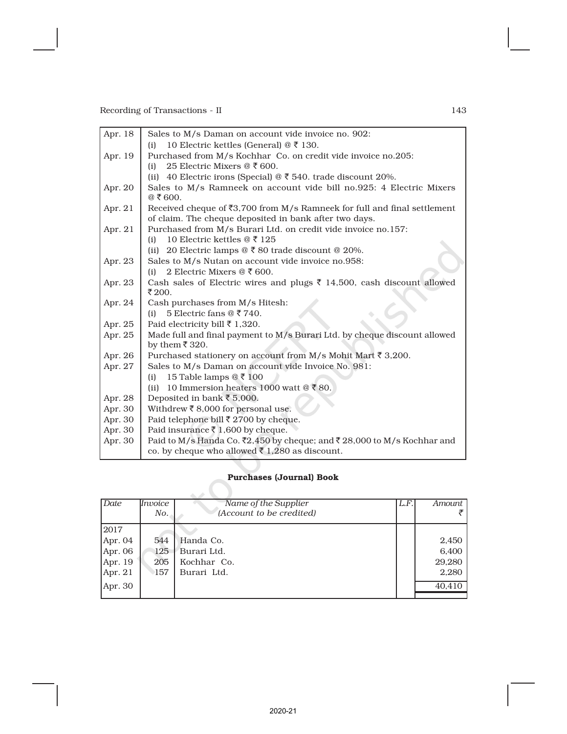| Apr. 18 | Sales to M/s Daman on account vide invoice no. 902:                                   |
|---------|---------------------------------------------------------------------------------------|
|         | 10 Electric kettles (General) $@ \t3$ 130.<br>(i)                                     |
| Apr. 19 | Purchased from M/s Kochhar Co. on credit vide invoice no.205:                         |
|         | 25 Electric Mixers $@$ ₹ 600.<br>(i)                                                  |
|         | (ii) 40 Electric irons (Special) $\mathcal{Q}$ ₹ 540. trade discount 20%.             |
| Apr. 20 | Sales to M/s Ramneek on account vide bill no.925: 4 Electric Mixers<br>@ ₹ 600.       |
| Apr. 21 | Received cheque of $\overline{53,700}$ from M/s Ramneek for full and final settlement |
|         | of claim. The cheque deposited in bank after two days.                                |
| Apr. 21 | Purchased from M/s Burari Ltd. on credit vide invoice no.157:                         |
|         | 10 Electric kettles $@ \bar{5} 125$<br>(i)                                            |
|         | (ii) 20 Electric lamps $\mathcal{Q} \bar{\tau}$ 80 trade discount $\mathcal{Q}$ 20%.  |
| Apr. 23 | Sales to M/s Nutan on account vide invoice no.958:                                    |
|         | 2 Electric Mixers $@ \xi 600$ .<br>(i)                                                |
| Apr. 23 | Cash sales of Electric wires and plugs ₹ 14,500, cash discount allowed                |
|         | ₹200.                                                                                 |
| Apr. 24 | Cash purchases from M/s Hitesh:                                                       |
|         | 5 Electric fans $@7740$ .<br>(i)                                                      |
| Apr. 25 | Paid electricity bill ₹ 1,320.                                                        |
| Apr. 25 | Made full and final payment to M/s Burari Ltd. by cheque discount allowed             |
|         | by them $\overline{5}$ 320.                                                           |
| Apr. 26 | Purchased stationery on account from M/s Mohit Mart ₹ 3,200.                          |
| Apr. 27 | Sales to M/s Daman on account vide Invoice No. 981:                                   |
|         | 15 Table lamps $@ \bar{5} 100$<br>(i)                                                 |
|         | 10 Immersion heaters 1000 watt $@ \xi 80$ .<br>(ii)                                   |
| Apr. 28 | Deposited in bank ₹ 5,000.                                                            |
| Apr. 30 | Withdrew ₹8,000 for personal use.                                                     |
| Apr. 30 | Paid telephone bill ₹ 2700 by cheque.                                                 |
| Apr. 30 | Paid insurance ₹ 1,600 by cheque.                                                     |
| Apr. 30 | Paid to M/s Handa Co. ₹2,450 by cheque; and ₹28,000 to M/s Kochhar and                |
|         | co. by cheque who allowed $\bar{\xi}$ 1,280 as discount.                              |

# Purchases (Journal) Book

| Date      | Invoice<br>No. | Name of the Supplier<br>(Account to be credited) | L.F. | Amount |
|-----------|----------------|--------------------------------------------------|------|--------|
| 2017      |                |                                                  |      |        |
| Apr. 04   | 544            | Handa Co.                                        |      | 2,450  |
| Apr. $06$ | 125            | Burari Ltd.                                      |      | 6,400  |
| Apr. $19$ | 205            | Kochhar Co.                                      |      | 29,280 |
| Apr. $21$ | 157            | Burari Ltd.                                      |      | 2,280  |
| Apr. 30   |                |                                                  |      | 40.410 |
|           |                |                                                  |      |        |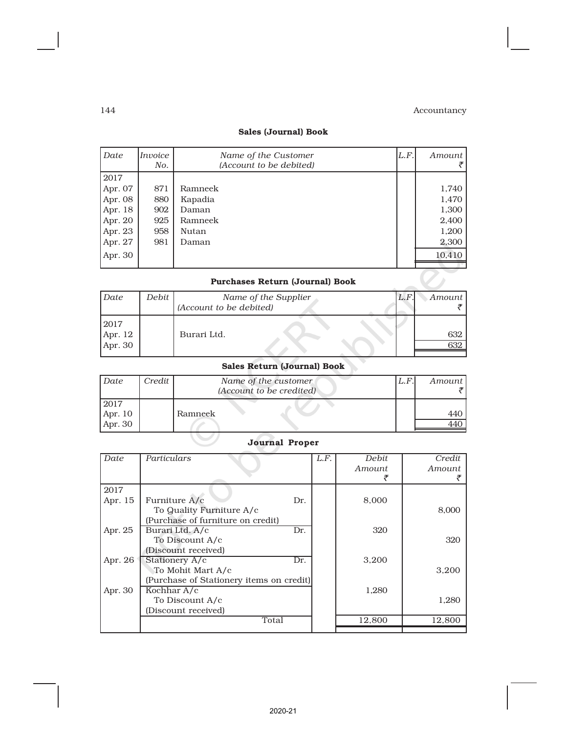## Sales (Journal) Book

| Date                                   | Invoice<br>No. | Name of the Customer<br>(Account to be debited) | L.F. | Amount |  |  |
|----------------------------------------|----------------|-------------------------------------------------|------|--------|--|--|
| 2017                                   |                |                                                 |      |        |  |  |
| Apr. 07                                | 871            | Ramneek                                         |      | 1,740  |  |  |
| Apr. 08                                | 880            | Kapadia                                         |      | 1,470  |  |  |
| Apr. 18                                | 902            | Daman                                           |      | 1,300  |  |  |
| Apr. 20                                | 925            | Ramneek                                         |      | 2,400  |  |  |
| Apr. 23                                | 958            | Nutan                                           |      | 1,200  |  |  |
| Apr. 27                                | 981            | Daman                                           |      | 2,300  |  |  |
| Apr. 30                                |                |                                                 |      | 10,410 |  |  |
|                                        |                |                                                 |      |        |  |  |
| <b>Purchases Return (Journal) Book</b> |                |                                                 |      |        |  |  |

# Purchases Return (Journal) Book

| Date                       | Debit | Name of the Supplier<br>(Account to be debited) | L.F. | Amount I   |
|----------------------------|-------|-------------------------------------------------|------|------------|
| 2017<br>Apr. 12<br>Apr. 30 |       | Burari Ltd.                                     |      | 632<br>632 |

# Sales Return (Journal) Book

| Date                                                                               | Credit | Name of the customer<br>(Account to be credited) | L.F | Amount |
|------------------------------------------------------------------------------------|--------|--------------------------------------------------|-----|--------|
| 2017<br>$\begin{bmatrix} 2011 \\ \text{Apr. } 10 \\ \text{Apr. } 30 \end{bmatrix}$ |        | Ramneek                                          |     | 440    |
|                                                                                    |        |                                                  |     |        |

# Journal Proper

| Date    | Particulars                              |     | L.F. | Debit  | Credit |
|---------|------------------------------------------|-----|------|--------|--------|
|         |                                          |     |      | Amount | Amount |
|         |                                          |     |      |        |        |
|         |                                          |     |      |        |        |
| 2017    |                                          |     |      |        |        |
| Apr. 15 | Furniture A/c                            | Dr. |      | 8,000  |        |
|         | To Quality Furniture A/c                 |     |      |        | 8,000  |
|         | (Purchase of furniture on credit)        |     |      |        |        |
| Apr. 25 | Burari Ltd. A/c                          | Dr. |      | 320    |        |
|         | To Discount A/c                          |     |      |        | 320    |
|         | (Discount received)                      |     |      |        |        |
| Apr. 26 | Stationery A/c                           | Dr. |      | 3,200  |        |
|         | To Mohit Mart A/c                        |     |      |        | 3,200  |
|         | (Purchase of Stationery items on credit) |     |      |        |        |
| Apr. 30 | Kochhar A/c                              |     |      | 1,280  |        |
|         | To Discount A/c                          |     |      |        | 1,280  |
|         | (Discount received)                      |     |      |        |        |
|         | Total                                    |     |      | 12,800 | 12,800 |
|         |                                          |     |      |        |        |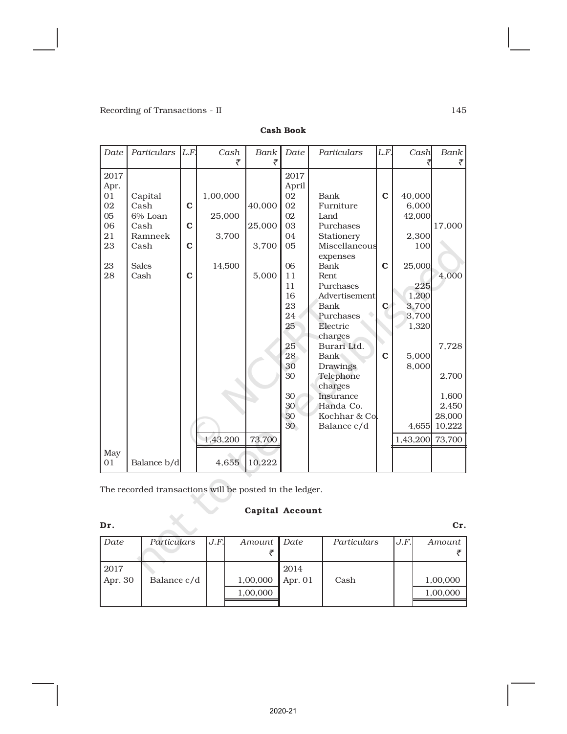| Date | Particulars  | L.F         | Cash     | Bank   | Date  | Particulars   | L.F.        | Cash     | Bank   |
|------|--------------|-------------|----------|--------|-------|---------------|-------------|----------|--------|
|      |              |             | ₹        | ₹      |       |               |             |          |        |
| 2017 |              |             |          |        | 2017  |               |             |          |        |
| Apr. |              |             |          |        | April |               |             |          |        |
| 01   | Capital      |             | 1,00,000 |        | 02    | Bank          | $\mathbf C$ | 40,000   |        |
| 02   | Cash         | $\mathbf C$ |          | 40,000 | 02    | Furniture     |             | 6,000    |        |
| 05   | 6% Loan      |             | 25,000   |        | 02    | Land          |             | 42,000   |        |
| 06   | Cash         | $\mathbf C$ |          | 25,000 | 03    | Purchases     |             |          | 17,000 |
| 21   | Ramneek      |             | 3,700    |        | 04    | Stationery    |             | 2,300    |        |
| 23   | Cash         | $\mathbf C$ |          | 3,700  | 05    | Miscellaneous |             | 100      |        |
|      |              |             |          |        |       | expenses      |             |          |        |
| 23   | <b>Sales</b> |             | 14,500   |        | 06    | <b>Bank</b>   | $\mathbf C$ | 25,000   |        |
| 28   | Cash         | $\mathbf C$ |          | 5,000  | 11    | Rent.         |             |          | 4,000  |
|      |              |             |          |        | 11    | Purchases     |             | 225      |        |
|      |              |             |          |        | 16    | Advertisement |             | 1,200    |        |
|      |              |             |          |        | 23    | Bank          | $\mathbf C$ | 3,700    |        |
|      |              |             |          |        | 24    | Purchases     |             | 3,700    |        |
|      |              |             |          |        | 25    | Electric      |             | 1,320    |        |
|      |              |             |          |        |       | charges       |             |          |        |
|      |              |             |          |        | 25    | Burari Ltd.   |             |          | 7,728  |
|      |              |             |          |        | 28    | <b>Bank</b>   | $\mathbf C$ | 5,000    |        |
|      |              |             |          |        | 30    | Drawings      |             | 8,000    |        |
|      |              |             |          |        | 30    | Telephone     |             |          | 2,700  |
|      |              |             |          |        |       | charges       |             |          |        |
|      |              |             |          |        | 30    | Insurance     |             |          | 1,600  |
|      |              |             |          |        | 30    | Handa Co.     |             |          | 2,450  |
|      |              |             |          |        | 30    | Kochhar & Col |             |          | 28,000 |
|      |              |             |          |        | 30    | Balance c/d   |             | 4,655    | 10,222 |
|      |              |             | 1,43,200 | 73,700 |       |               |             | 1,43,200 | 73,700 |
| May  |              |             |          |        |       |               |             |          |        |
| 01   | Balance b/d  |             | 4,655    | 10,222 |       |               |             |          |        |

Cash Book

The recorded transactions will be posted in the ledger.

# Capital Account

| Dr.     |             |      |          |           |             |      | Cr.      |
|---------|-------------|------|----------|-----------|-------------|------|----------|
| Date    | Particulars | J.F. | Amount   | Date      | Particulars | J.F. | Amount   |
|         |             |      |          |           |             |      |          |
| 2017    |             |      |          | 2014      |             |      |          |
| Apr. 30 | Balance c/d |      | 1,00,000 | Apr. $01$ | Cash        |      | 1,00,000 |
|         |             |      | 1,00,000 |           |             |      | 1,00,000 |
|         |             |      |          |           |             |      |          |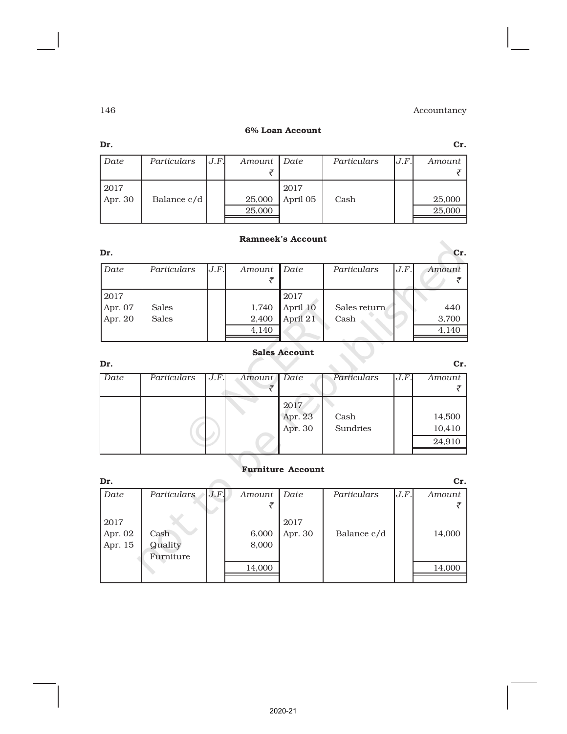#### 6% Loan Account

| Dr.       |             |      |             |          |             |      | Cr.    |
|-----------|-------------|------|-------------|----------|-------------|------|--------|
| Date      | Particulars | J.F. | Amount Date |          | Particulars | J.F. | Amount |
|           |             |      |             |          |             |      |        |
| 2017      |             |      |             | 2017     |             |      |        |
| Apr. $30$ | Balance c/d |      | 25,000      | April 05 | Cash        |      | 25,000 |
|           |             |      | 25,000      |          |             |      | 25,000 |
|           |             |      |             |          |             |      |        |

### Ramneek's Account

| Dr.       |              |      |        |          |              |      | Cr.    |
|-----------|--------------|------|--------|----------|--------------|------|--------|
| Date      | Particulars  | J.F. | Amount | Date     | Particulars  | J.F. | Amount |
| 2017      |              |      |        | 2017     |              |      |        |
| Apr. $07$ | <b>Sales</b> |      | 1,740  | April 10 | Sales return |      | 440    |
| Apr. $20$ | <b>Sales</b> |      | 2,400  | April 21 | Cash         |      | 3,700  |
|           |              |      | 4,140  |          |              |      | 4,140  |
|           |              |      |        |          |              |      |        |

# Sales Account

| Dr.  |             |      |        |         |             |      | Cr.    |
|------|-------------|------|--------|---------|-------------|------|--------|
| Date | Particulars | J.F. | Amount | Date    | Particulars | J.F. | Amount |
|      |             |      |        |         |             |      |        |
|      |             |      |        | 2017    |             |      |        |
|      |             |      |        | Apr. 23 | Cash        |      | 14,500 |
|      |             |      |        | Apr. 30 | Sundries    |      | 10,410 |
|      |             |      |        |         |             |      | 24,910 |
|      |             |      |        |         |             |      |        |

# Furniture Account

| Dr.     |                |      |        |         |             |      | Cr.    |
|---------|----------------|------|--------|---------|-------------|------|--------|
| Date    | Particulars    | J.F. | Amount | Date    | Particulars | J.F. | Amount |
|         |                |      |        |         |             |      |        |
| 2017    |                |      |        | 2017    |             |      |        |
| Apr. 02 | Cash           |      | 6,000  | Apr. 30 | Balance c/d |      | 14,000 |
| Apr. 15 | <b>Quality</b> |      | 8,000  |         |             |      |        |
|         | Furniture      |      |        |         |             |      |        |
|         |                |      | 14,000 |         |             |      | 14,000 |
|         |                |      |        |         |             |      |        |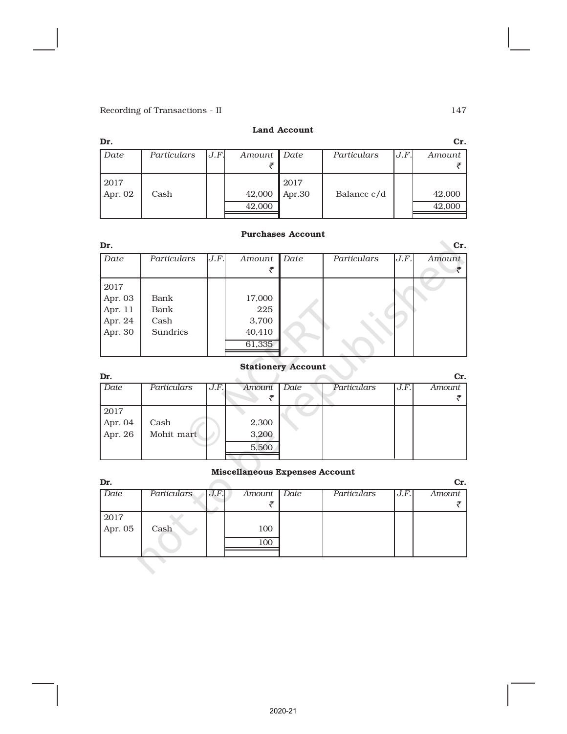#### Land Account

| Dr.     |             |      |               |        |             |      | Cr.    |
|---------|-------------|------|---------------|--------|-------------|------|--------|
| Date    | Particulars | J.F. | $Amount \mid$ | Date   | Particulars | J.F. | Amount |
|         |             |      |               |        |             |      |        |
| 2017    |             |      |               | 2017   |             |      |        |
| Apr. 02 | Cash        |      | 42,000        | Apr.30 | Balance c/d |      | 42,000 |
|         |             |      | 42,000        |        |             |      | 42,000 |
|         |             |      |               |        |             |      |        |

### Purchases Account

| Dr.     |             |      |        |      |             |      | Cr.    |
|---------|-------------|------|--------|------|-------------|------|--------|
| Date    | Particulars | J.F. | Amount | Date | Particulars | J.F. | Amount |
|         |             |      |        |      |             |      |        |
| 2017    |             |      |        |      |             |      |        |
| Apr. 03 | Bank        |      | 17,000 |      |             |      |        |
| Apr. 11 | Bank        |      | 225    |      |             |      |        |
| Apr. 24 | Cash        |      | 3,700  |      |             |      |        |
| Apr. 30 | Sundries    |      | 40,410 |      |             |      |        |
|         |             |      | 61,335 |      |             |      |        |
|         |             |      |        |      |             |      |        |

# Stationery Account

| Dr.                |             |      |        |      |             |      | Cr.    |
|--------------------|-------------|------|--------|------|-------------|------|--------|
| Date               | Particulars | J.F. | Amount | Date | Particulars | J.F. | Amount |
|                    |             |      |        |      |             |      |        |
| 2017               |             |      |        |      |             |      |        |
| Apr. 04<br>Apr. 26 | Cash        |      | 2,300  |      |             |      |        |
|                    | Mohit mart  |      | 3,200  |      |             |      |        |
|                    |             |      | 5,500  |      |             |      |        |
|                    |             |      |        |      |             |      |        |

# Miscellaneous Expenses Account

| Dr.         |             |      |        |      |             |      | Cr.    |
|-------------|-------------|------|--------|------|-------------|------|--------|
| <b>Date</b> | Particulars | J.F. | Amount | Date | Particulars | J.F. | Amount |
|             |             |      |        |      |             |      |        |
| 2017        |             |      |        |      |             |      |        |
| Apr. $05$   | Cash        |      | 100    |      |             |      |        |
|             |             |      | 100    |      |             |      |        |
|             |             |      |        |      |             |      |        |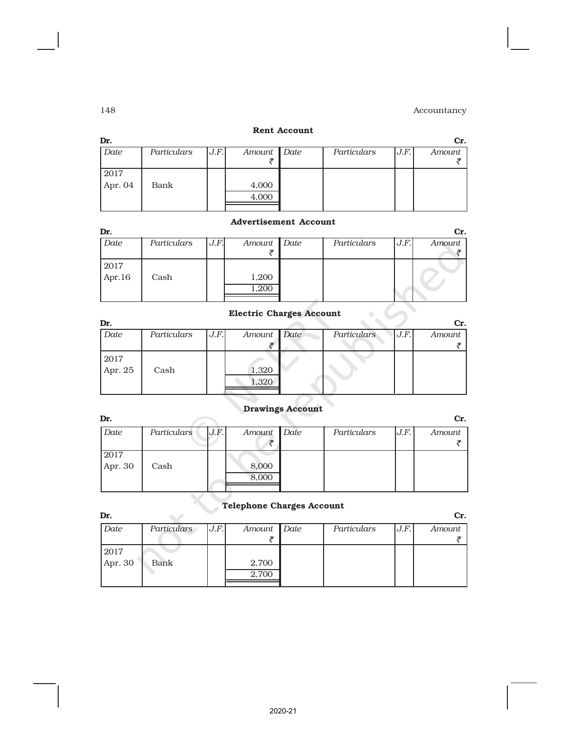#### Rent Account

| Dr.       |             |       |             |             |       | Cr.    |
|-----------|-------------|-------|-------------|-------------|-------|--------|
| Date      | Particulars | J.F.I | Amount Date | Particulars | J.F.I | Amount |
|           |             |       |             |             |       |        |
| 2017      |             |       |             |             |       |        |
| Apr. $04$ | Bank        |       | 4,000       |             |       |        |
|           |             |       | 4,000       |             |       |        |
|           |             |       |             |             |       |        |

## Advertisement Account

| Dr.       |             |      |             |             |      | Cr.    |
|-----------|-------------|------|-------------|-------------|------|--------|
| Date      | Particulars | J.F. | Amount Date | Particulars | J.F. | Amount |
|           |             |      |             |             |      |        |
| 2017      |             |      |             |             |      |        |
| Apr. $16$ | Cash        |      | 1,200       |             |      |        |
|           |             |      | 1,200       |             |      |        |
|           |             |      |             |             |      |        |

# Electric Charges Account

| Dr.     |             |      |             |             |      | Cr.    |
|---------|-------------|------|-------------|-------------|------|--------|
| Date    | Particulars | J.F. | Amount Date | Particulars | J.F. | Amount |
|         |             |      |             |             |      |        |
| 2017    |             |      |             |             |      |        |
| Apr. 25 | Cash        |      | 1,320       |             |      |        |
|         |             |      | 1,320       |             |      |        |
|         |             |      |             |             |      |        |

# Drawings Account

| Dr.     |             |      |             |             |      | Cr.    |
|---------|-------------|------|-------------|-------------|------|--------|
| Date    | Particulars | J.F. | Amount Date | Particulars | J.F. | Amount |
|         |             |      |             |             |      |        |
| 2017    |             |      |             |             |      |        |
| Apr. 30 | Cash        |      | 8,000       |             |      |        |
|         |             |      | 8,000       |             |      |        |
|         |             |      |             |             |      |        |

#### Telephone Charges Account

| Dr. |  |
|-----|--|

| Date      | Particulars | J.F. | Amount Date | Particulars | J.F. | Amount |
|-----------|-------------|------|-------------|-------------|------|--------|
|           |             |      |             |             |      |        |
| 2017      |             |      |             |             |      |        |
| Apr. $30$ | Bank        |      | 2,700       |             |      |        |
|           |             |      | 2,700       |             |      |        |
|           |             |      |             |             |      |        |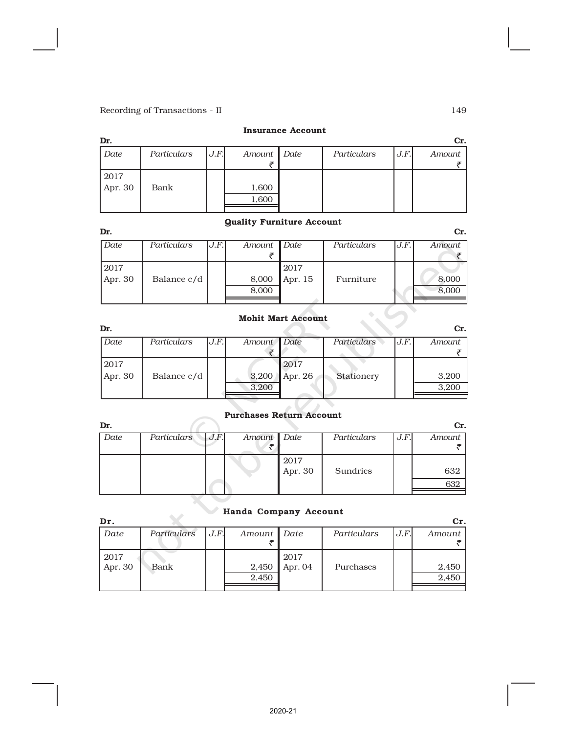# Insurance Account

| Dr.     |             |      |             |             |      | Cr.    |
|---------|-------------|------|-------------|-------------|------|--------|
| Date    | Particulars | J.F. | Amount Date | Particulars | J.F. | Amount |
|         |             |      |             |             |      |        |
| 2017    |             |      |             |             |      |        |
| Apr. 30 | Bank        |      | 1,600       |             |      |        |
|         |             |      | 1,600       |             |      |        |
|         |             |      |             |             |      |        |

### Quality Furniture Account

| Dr.       |             |      |        |         |             |      | Cr.    |
|-----------|-------------|------|--------|---------|-------------|------|--------|
| Date      | Particulars | J.F. | Amount | Date    | Particulars | J.F. | Amount |
|           |             |      |        |         |             |      |        |
| 2017      |             |      |        | 2017    |             |      |        |
| Apr. $30$ | Balance c/d |      | 8,000  | Apr. 15 | Furniture   |      | 8,000  |
|           |             |      | 8,000  |         |             |      | 8,000  |
|           |             |      |        |         |             |      |        |

# Mohit Mart Account

| Dr.       |             |      |             |           |             |      | Cr.    |
|-----------|-------------|------|-------------|-----------|-------------|------|--------|
| Date      | Particulars | J.F. | Amount Date |           | Particulars | J.F. | Amount |
|           |             |      |             |           |             |      |        |
| 2017      |             |      |             | 2017      |             |      |        |
| Apr. $30$ | Balance c/d |      | 3,200       | Apr. $26$ | Stationery  |      | 3,200  |
|           |             |      | 3,200       |           |             |      | 3.200  |
|           |             |      |             |           |             |      |        |

#### Purchases Return Account

| Dr.  |             |      |        |                 |             |      | Cr.        |
|------|-------------|------|--------|-----------------|-------------|------|------------|
| Date | Particulars | J.F. | Amount | Date            | Particulars | J.F. | Amount     |
|      |             |      |        | 2017<br>Apr. 30 | Sundries    |      | 632<br>632 |

# Handa Company Account

| Dr.             |             |      |                |                 |             |      | Cr.            |
|-----------------|-------------|------|----------------|-----------------|-------------|------|----------------|
| Date            | Particulars | J.F. | Amount Date    |                 | Particulars | J.F. | Amount         |
| 2017<br>Apr. 30 | Bank        |      | 2,450<br>2,450 | 2017<br>Apr. 04 | Purchases   |      | 2,450<br>2,450 |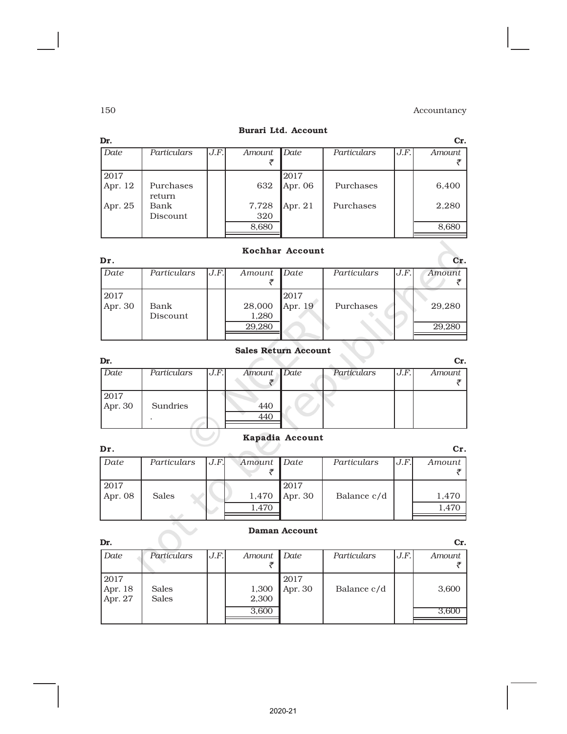| Dr.             |                     |      |                       |                 |             |      | Cr.            |
|-----------------|---------------------|------|-----------------------|-----------------|-------------|------|----------------|
| Date            | Particulars         | J.F. | Amount                | Date            | Particulars | J.F. | Amount         |
| 2017<br>Apr. 12 | Purchases<br>return |      | 632                   | 2017<br>Apr. 06 | Purchases   |      | 6,400          |
| Apr. 25         | Bank<br>Discount    |      | 7,728<br>320<br>8,680 | Apr. $21$       | Purchases   |      | 2,280<br>8,680 |

# Burari Ltd. Account

# Kochhar Account

| Dr.       |             |      |        |         |             |      | Cr.    |
|-----------|-------------|------|--------|---------|-------------|------|--------|
| Date      | Particulars | J.F. | Amount | Date    | Particulars | J.F. | Amount |
|           |             |      |        |         |             |      |        |
| 2017      |             |      |        | 2017    |             |      |        |
| Apr. $30$ | Bank        |      | 28,000 | Apr. 19 | Purchases   |      | 29,280 |
|           | Discount    |      | 1,280  |         |             |      |        |
|           |             |      | 29,280 |         |             |      | 29,280 |
|           |             |      |        |         |             |      |        |

# Sales Return Account

| Dr.       |             |      |             |             |      | Cr.    |
|-----------|-------------|------|-------------|-------------|------|--------|
| Date      | Particulars | J.F. | Amount Date | Particulars | J.F. | Amount |
|           |             |      |             |             |      |        |
| 2017      |             |      |             |             |      |        |
| Apr. $30$ | Sundries    |      | 440         |             |      |        |
|           |             |      | 440         |             |      |        |
|           |             |      |             |             |      |        |

# Kapadia Account

| Dr.     |              |      |             |           |             |      | Cr.    |
|---------|--------------|------|-------------|-----------|-------------|------|--------|
| Date    | Particulars  | J.F. | Amount Date |           | Particulars | J.F. | Amount |
| 2017    |              |      |             | 2017      |             |      |        |
| Apr. 08 | <b>Sales</b> |      | 1,470       | Apr. $30$ | Balance c/d |      | 1,470  |
|         |              |      | 1,470       |           |             |      | .470   |
|         |              |      |             |           |             |      |        |

### Daman Account

|                              |                |                 |             |      | Cr.    |
|------------------------------|----------------|-----------------|-------------|------|--------|
| Particulars                  | Amount         |                 | Particulars | J.F. | Amount |
| <b>Sales</b><br><b>Sales</b> | 1,300<br>2,300 | 2017<br>Apr. 30 | Balance c/d |      | 3,600  |
|                              | 3,600          |                 |             |      | 3,600  |
|                              |                | J.F.            | Date        |      |        |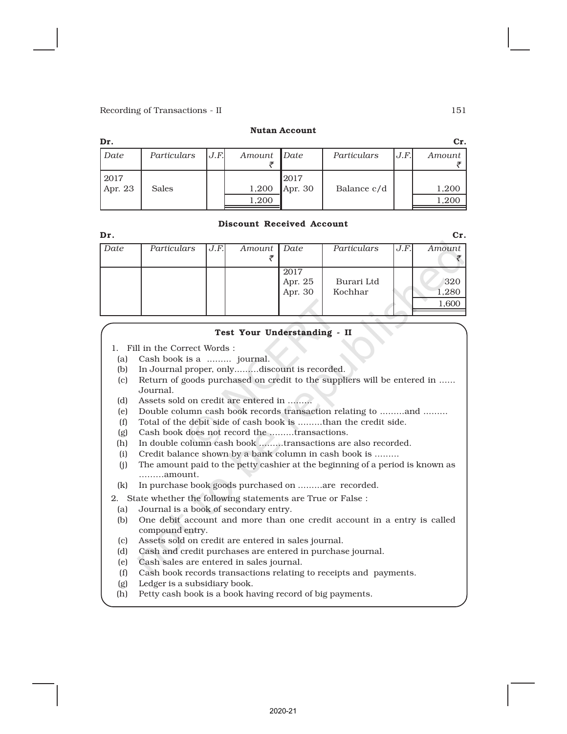#### Nutan Account

| Dr.     |              |     |        |           |             |      | Cr.    |
|---------|--------------|-----|--------|-----------|-------------|------|--------|
| Date    | Particulars  | J.F | Amount | Date      | Particulars | J.F. | Amount |
| 2017    |              |     |        | 2017      |             |      |        |
| Apr. 23 | <b>Sales</b> |     | 1,200  | Apr. $30$ | Balance c/d |      | 1,200  |
|         |              |     | 1,200  |           |             |      | 1,200  |
|         |              |     |        |           |             |      |        |

#### Discount Received Account

| Dr.  |             |      |               |                            |                       |      | Cr.                   |
|------|-------------|------|---------------|----------------------------|-----------------------|------|-----------------------|
| Date | Particulars | J.F. | Amount   Date |                            | Particulars           | J.F. | Amount                |
|      |             |      |               | 2017<br>Apr. 25<br>Apr. 30 | Burari Ltd<br>Kochhar |      | 320<br>1,280<br>1,600 |

#### Test Your Understanding - II

- 1. Fill in the Correct Words :
- (a) Cash book is a ......... journal.
- (b) In Journal proper, only.........discount is recorded.
- (c) Return of goods purchased on credit to the suppliers will be entered in ...... Journal.
- (d) Assets sold on credit are entered in .........
- (e) Double column cash book records transaction relating to .........and .........
- (f) Total of the debit side of cash book is .........than the credit side.
- (g) Cash book does not record the .........transactions.
- (h) In double column cash book .........transactions are also recorded.
- (i) Credit balance shown by a bank column in cash book is .........
- (j) The amount paid to the petty cashier at the beginning of a period is known as .........amount.
- (k) In purchase book goods purchased on .........are recorded.

2. State whether the following statements are True or False :

- (a) Journal is a book of secondary entry.
- (b) One debit account and more than one credit account in a entry is called compound entry.
- (c) Assets sold on credit are entered in sales journal.
- (d) Cash and credit purchases are entered in purchase journal.
- (e) Cash sales are entered in sales journal.
- (f) Cash book records transactions relating to receipts and payments.
- (g) Ledger is a subsidiary book.
- (h) Petty cash book is a book having record of big payments.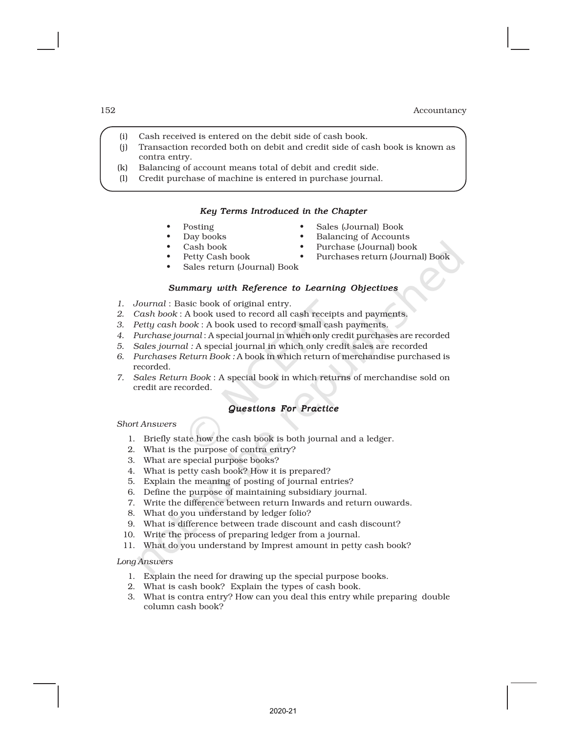- (i) Cash received is entered on the debit side of cash book.
- (j) Transaction recorded both on debit and credit side of cash book is known as contra entry.
- (k) Balancing of account means total of debit and credit side.
- (l) Credit purchase of machine is entered in purchase journal.

#### *Key Terms Introduced in the Chapter*

- 
- Posting Sales (Journal) Book
	- Day books Balancing of Accounts
- 
- Cash book Purchase (Journal) book
	- Petty Cash book Purchases return (Journal) Book
- Sales return (Journal) Book

#### *Summary with Reference to Learning Objectives*

- *1. Journal* : Basic book of original entry.
- *2. Cash book* : A book used to record all cash receipts and payments.
- *3. Petty cash book* : A book used to record small cash payments.
- *4. Purchase journal* : A special journal in which only credit purchases are recorded
- *5. Sales journal :* A special journal in which only credit sales are recorded
- *6. Purchases Return Book :* A book in which return of merchandise purchased is recorded.
- *7. Sales Return Book* : A special book in which returns of merchandise sold on credit are recorded.

#### *Questions For Practice*

*Short Answers*

- 1. Briefly state how the cash book is both journal and a ledger.
- 2. What is the purpose of contra entry?
- 3. What are special purpose books?
- 4. What is petty cash book? How it is prepared?
- 5. Explain the meaning of posting of journal entries?
- 6. Define the purpose of maintaining subsidiary journal.
- 7. Write the difference between return Inwards and return ouwards.
- 8. What do you understand by ledger folio?
- 9. What is difference between trade discount and cash discount?
- 10. Write the process of preparing ledger from a journal.
- 11. What do you understand by Imprest amount in petty cash book?

*Long Answers*

- 1. Explain the need for drawing up the special purpose books.
- 2. What is cash book? Explain the types of cash book.
- 3. What is contra entry? How can you deal this entry while preparing double column cash book?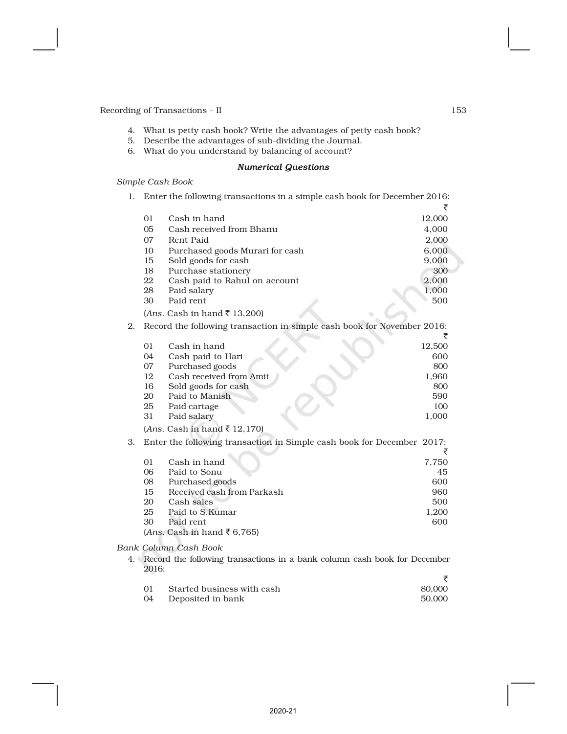- 4. What is petty cash book? Write the advantages of petty cash book?
- 5. Describe the advantages of sub-dividing the Journal.
- 6. What do you understand by balancing of account?

### *Numerical Questions*

*Simple Cash Book*

| 1. |                | Enter the following transactions in a simple cash book for December 2016: |        |
|----|----------------|---------------------------------------------------------------------------|--------|
|    |                |                                                                           | ₹      |
|    | 01             | Cash in hand                                                              | 12,000 |
|    | 0 <sub>5</sub> | Cash received from Bhanu                                                  | 4,000  |
|    | 07             | Rent Paid                                                                 | 2,000  |
|    | 10             | Purchased goods Murari for cash                                           | 6,000  |
|    | 15             | Sold goods for cash                                                       | 9,000  |
|    | 18             | Purchase stationery                                                       | 300    |
|    | 22             | Cash paid to Rahul on account                                             | 2,000  |
|    | 28             | Paid salary                                                               | 1,000  |
|    | 30             | Paid rent                                                                 | 500    |
|    |                | (Ans. Cash in hand ₹ 13,200)                                              |        |
| 2. |                | Record the following transaction in simple cash book for November 2016:   | ₹      |
|    | 01             | Cash in hand                                                              | 12,500 |
|    | 04             | Cash paid to Hari                                                         | 600    |
|    | 07             | Purchased goods                                                           | 800    |
|    | 12             | Cash received from Amit                                                   | 1,960  |
|    | 16             | Sold goods for cash                                                       | 800    |
|    | 20             | Paid to Manish                                                            | 590    |
|    | 25             | Paid cartage                                                              | 100    |
|    | 31             | Paid salary                                                               | 1,000  |
|    |                | (Ans. Cash in hand ₹ 12,170)                                              |        |
| 3. |                | Enter the following transaction in Simple cash book for December 2017:    | ₹      |
|    | 01             | Cash in hand                                                              | 7,750  |
|    | 06             | Paid to Sonu                                                              | 45     |
|    | 08             | Purchased goods                                                           | 600    |
|    | 15             | Received cash from Parkash                                                | 960    |
|    | 20             | Cash sales                                                                | 500    |
|    | 25             | Paid to S.Kumar                                                           | 1,200  |
|    | 30             | Paid rent                                                                 | 600    |
|    |                | (Ans. Cash in hand ₹ 6,765)                                               |        |
|    |                | $A \cap B$ <sub>r</sub> $A \cap B$ <sub>r</sub> $A \cap B$                |        |

*Bank Column Cash Book*

4. Record the following transactions in a bank column cash book for December 2016:  $\Rightarrow$ 

| 01 | Started business with cash | 80.000 |
|----|----------------------------|--------|
| 04 | Deposited in bank          | 50,000 |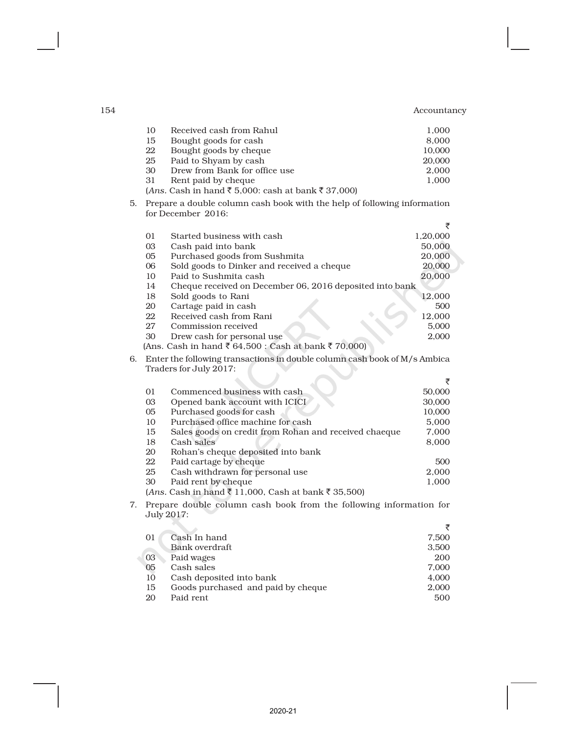|    | 10             | Received cash from Rahul                                                  | 1,000    |
|----|----------------|---------------------------------------------------------------------------|----------|
|    | 15             | Bought goods for cash                                                     | 8,000    |
|    | 22             | Bought goods by cheque                                                    | 10,000   |
|    | 25             | Paid to Shyam by cash                                                     | 20,000   |
|    | 30             | Drew from Bank for office use                                             | 2,000    |
|    | 31             | Rent paid by cheque                                                       | 1,000    |
|    |                | $(Ans. Cash in hand ₹5,000: cash at bank ₹37,000)$                        |          |
| 5. |                | Prepare a double column cash book with the help of following information  |          |
|    |                | for December 2016:                                                        |          |
|    |                |                                                                           | ₹        |
|    | 01             | Started business with cash                                                | 1,20,000 |
|    | 03             | Cash paid into bank                                                       | 50,000   |
|    | 05             | Purchased goods from Sushmita                                             | 20,000   |
|    | 06             | Sold goods to Dinker and received a cheque                                | 20,000   |
|    | 10             | Paid to Sushmita cash                                                     | 20,000   |
|    | 14             | Cheque received on December 06, 2016 deposited into bank                  |          |
|    | 18             | Sold goods to Rani                                                        | 12,000   |
|    | 20             | Cartage paid in cash                                                      | 500      |
|    | 22             | Received cash from Rani                                                   | 12,000   |
|    | 27             | Commission received                                                       | 5,000    |
|    | 30             | Drew cash for personal use                                                | 2,000    |
|    |                | (Ans. Cash in hand ₹ 64,500 : Cash at bank ₹ 70,000)                      |          |
| 6. |                | Enter the following transactions in double column cash book of M/s Ambica |          |
|    |                | Traders for July 2017:                                                    |          |
|    |                |                                                                           | ₹        |
|    | 01             | Commenced business with cash                                              | 50,000   |
|    | 03             | Opened bank account with ICICI                                            | 30,000   |
|    | 0 <sub>5</sub> | Purchased goods for cash                                                  | 10,000   |
|    | 10             | Purchased office machine for cash                                         | 5,000    |
|    | 15             | Sales goods on credit from Rohan and received chaeque                     | 7,000    |
|    | 18             | Cash sales                                                                | 8,000    |
|    | 20             | Rohan's cheque deposited into bank                                        |          |
|    | 22             | Paid cartage by cheque                                                    | 500      |
|    | 25             | Cash withdrawn for personal use                                           | 2,000    |
|    | 30             | Paid rent by cheque                                                       | 1,000    |
|    |                | (Ans. Cash in hand ₹ 11,000, Cash at bank ₹ 35,500)                       |          |
| 7. |                | Prepare double column cash book from the following information for        |          |
|    |                | July 2017:                                                                |          |
|    |                |                                                                           | ₹        |
|    | 01             | Cash In hand                                                              | 7,500    |
|    |                | Bank overdraft                                                            | 3,500    |
|    | 03             | Paid wages                                                                | 200      |
|    | 05             | Cash sales                                                                | 7,000    |
|    | 10             | Cash deposited into bank                                                  | 4,000    |
|    | 15             | Goods purchased and paid by cheque                                        | 2,000    |
|    |                |                                                                           |          |

Paid rent 500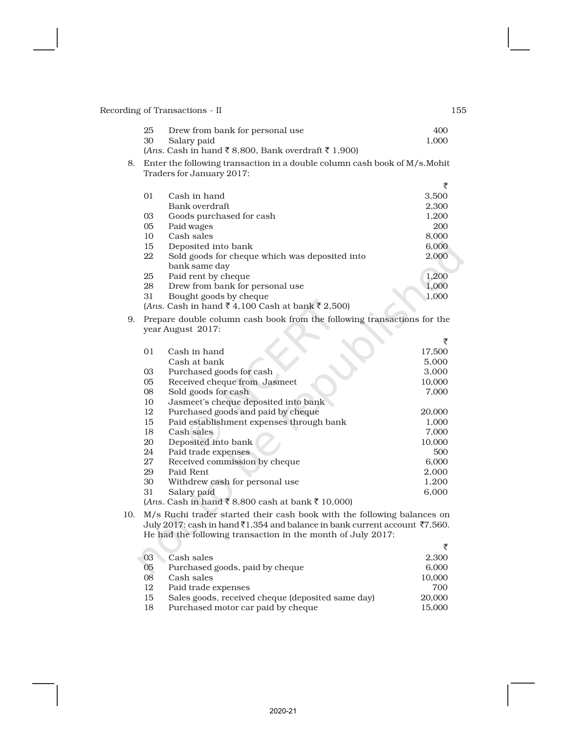| -25 | Drew from bank for personal use | 400   |
|-----|---------------------------------|-------|
|     | 30 Salary paid                  | 1.000 |

- (*Ans.* Cash in hand ₹ 8,800, Bank overdraft ₹ 1,900)
- 8. Enter the following transaction in a double column cash book of M/s.Mohit Traders for January 2017:

|         |                                                    | ₹     |
|---------|----------------------------------------------------|-------|
| $_{01}$ | Cash in hand                                       | 3,500 |
|         | Bank overdraft                                     | 2,300 |
| 03      | Goods purchased for cash                           | 1,200 |
| 05      | Paid wages                                         | 200   |
| 10      | Cash sales                                         | 8,000 |
| 15      | Deposited into bank                                | 6,000 |
| 22      | Sold goods for cheque which was deposited into     | 2,000 |
|         | bank same day                                      |       |
| 25      | Paid rent by cheque                                | 1,200 |
| 28      | Drew from bank for personal use.                   | 1,000 |
| 31      | Bought goods by cheque                             | 1,000 |
|         | $(Ans. Cash in hand ₹ 4,100 Cash at bank ₹ 2,500)$ |       |

9. Prepare double column cash book from the following transactions for the year August 2017:

|    |                                                     | ₹      |
|----|-----------------------------------------------------|--------|
| 01 | Cash in hand                                        | 17,500 |
|    | Cash at bank                                        | 5,000  |
| 03 | Purchased goods for cash                            | 3,000  |
| 05 | Received cheque from Jasmeet                        | 10,000 |
| 08 | Sold goods for cash                                 | 7,000  |
| 10 | Jasmeet's cheque deposited into bank                |        |
| 12 | Purchased goods and paid by cheque                  | 20,000 |
| 15 | Paid establishment expenses through bank            | 1,000  |
| 18 | Cash sales                                          | 7,000  |
| 20 | Deposited into bank                                 | 10,000 |
| 24 | Paid trade expenses                                 | 500    |
| 27 | Received commission by cheque                       | 6,000  |
| 29 | Paid Rent                                           | 2,000  |
| 30 | Withdrew cash for personal use                      | 1,200  |
| 31 | Salary paid                                         | 6,000  |
|    | $(Ans. Cash in hand ₹ 8,800 cash at bank ₹ 10,000)$ |        |

10. M/s Ruchi trader started their cash book with the following balances on July 2017: cash in hand  $\bar{x}$ 1,354 and balance in bank current account  $\bar{x}$ 7,560. He had the following transaction in the month of July 2017:

| Cash sales                                        | 2,300  |
|---------------------------------------------------|--------|
| Purchased goods, paid by cheque                   | 6,000  |
| Cash sales                                        | 10,000 |
| Paid trade expenses                               | 700    |
| Sales goods, received cheque (deposited same day) | 20,000 |
| Purchased motor car paid by cheque                | 15,000 |
|                                                   |        |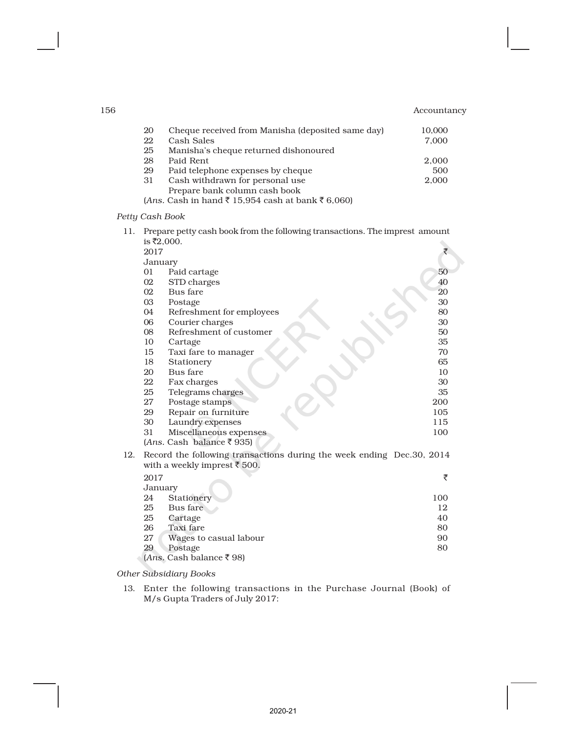| 156 |                                                     | Accountancy |
|-----|-----------------------------------------------------|-------------|
| 20  | Cheque received from Manisha (deposited same day)   | 10,000      |
| 22  | Cash Sales                                          | 7,000       |
| 25  | Manisha's cheque returned dishonoured               |             |
| 28  | Paid Rent                                           | 2,000       |
| 29  | Paid telephone expenses by cheque                   | 500         |
| 31  | Cash withdrawn for personal use                     | 2,000       |
|     | Prepare bank column cash book                       |             |
|     | $(Ans. Cash in hand ₹ 15,954 cash at bank ₹ 6,060)$ |             |

#### *Petty Cash Book*

11. Prepare petty cash book from the following transactions. The imprest amount is  $\bar{x}$ 2,000.

|     | 10 12,000, |                                                                                                                  |     |
|-----|------------|------------------------------------------------------------------------------------------------------------------|-----|
|     | 2017       |                                                                                                                  | ₹   |
|     | January    |                                                                                                                  |     |
|     | 01         | Paid cartage                                                                                                     | 50  |
|     | 02         | STD charges                                                                                                      | 40  |
|     | 02         | Bus fare                                                                                                         | 20  |
|     | 03         | Postage                                                                                                          | 30  |
|     | 04         | Refreshment for employees                                                                                        | 80  |
|     | 06         | Courier charges                                                                                                  | 30  |
|     | 08         | Refreshment of customer                                                                                          | 50  |
|     | 10         | Cartage                                                                                                          | 35  |
|     | 15         | Taxi fare to manager                                                                                             | 70  |
|     | 18         | Stationery                                                                                                       | 65  |
|     | 20         | Bus fare                                                                                                         | 10  |
|     | 22         | Fax charges                                                                                                      | 30  |
|     | 25         | Telegrams charges                                                                                                | 35  |
|     | 27         | Postage stamps                                                                                                   | 200 |
|     | 29         | Repair on furniture                                                                                              | 105 |
|     | 30         | Laundry expenses                                                                                                 | 115 |
|     | 31         | Miscellaneous expenses                                                                                           | 100 |
|     |            | ( <i>Ans.</i> Cash balance ₹935)                                                                                 |     |
| 12. |            | Record the following transactions during the week ending Dec.30, 2014<br>with a weekly imprest $\bar{\tau}$ 500. |     |
|     | 2017       |                                                                                                                  | ₹   |
|     | January    |                                                                                                                  |     |
|     | 24         | Stationery                                                                                                       | 100 |
|     | 25         | Bus fare                                                                                                         | 12  |
|     | 25         | Cartage                                                                                                          | 40  |
|     | 26         | Taxi fare                                                                                                        | 80  |
|     | 27         | Wages to casual labour                                                                                           | 90  |
|     | 29         | Postage                                                                                                          | 80  |

(*Ans.* Cash balance ` 98)

*Other Subsidiary Books*

13. Enter the following transactions in the Purchase Journal (Book) of M/s Gupta Traders of July 2017: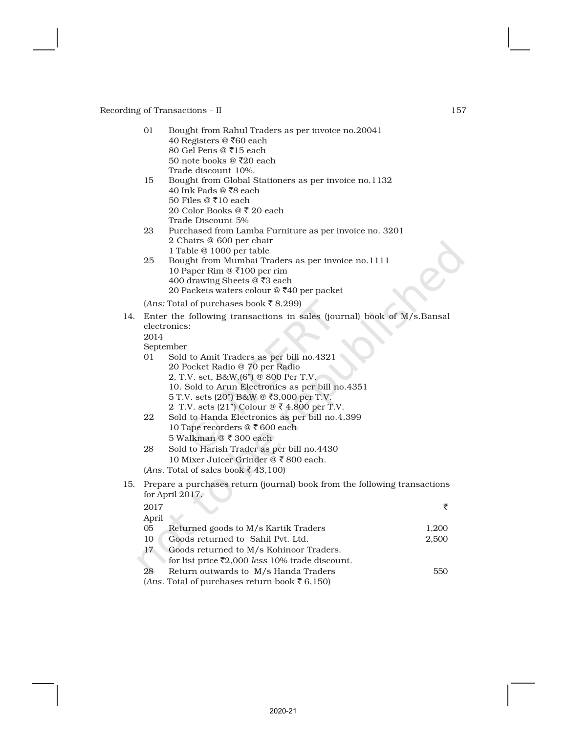|     | 01       | Bought from Rahul Traders as per invoice no.20041<br>40 Registers @ ₹60 each       |                |  |  |  |
|-----|----------|------------------------------------------------------------------------------------|----------------|--|--|--|
|     |          | 80 Gel Pens @ ₹15 each                                                             |                |  |  |  |
|     |          | 50 note books @ $\bar{x}20$ each                                                   |                |  |  |  |
|     | 15       | Trade discount 10%.<br>Bought from Global Stationers as per invoice no.1132        |                |  |  |  |
|     |          | 40 Ink Pads @ ₹8 each                                                              |                |  |  |  |
|     |          | 50 Files @ ₹10 each                                                                |                |  |  |  |
|     |          | 20 Color Books @ ₹ 20 each                                                         |                |  |  |  |
|     | 23       | Trade Discount 5%                                                                  |                |  |  |  |
|     |          | Purchased from Lamba Furniture as per invoice no. 3201<br>2 Chairs @ 600 per chair |                |  |  |  |
|     |          | 1 Table @ 1000 per table                                                           |                |  |  |  |
|     | 25       | Bought from Mumbai Traders as per invoice no.1111                                  |                |  |  |  |
|     |          | 10 Paper Rim @ ₹100 per rim<br>400 drawing Sheets @ ₹3 each                        |                |  |  |  |
|     |          | 20 Packets waters colour @ ₹40 per packet                                          |                |  |  |  |
|     |          | ( <i>Ans:</i> Total of purchases book ₹8,299)                                      |                |  |  |  |
| 14. |          | Enter the following transactions in sales (journal) book of M/s.Bansal             |                |  |  |  |
|     |          | electronics:                                                                       |                |  |  |  |
|     | 2014     |                                                                                    |                |  |  |  |
|     |          | September                                                                          |                |  |  |  |
|     | 01       | Sold to Amit Traders as per bill no.4321                                           |                |  |  |  |
|     |          | 20 Pocket Radio @ 70 per Radio<br>2, T.V. set, B&W.(6") @ 800 Per T.V.             |                |  |  |  |
|     |          | 10. Sold to Arun Electronics as per bill no.4351                                   |                |  |  |  |
|     |          | 5 T.V. sets (20") B&W @ ₹3,000 per T.V.                                            |                |  |  |  |
|     |          | 2 T.V. sets (21") Colour @ ₹ 4,800 per T.V.                                        |                |  |  |  |
|     | 22       | Sold to Handa Electronics as per bill no.4,399                                     |                |  |  |  |
|     |          | 10 Tape recorders @ ₹ 600 each<br>5 Walkman @ ₹ 300 each                           |                |  |  |  |
|     | 28       | Sold to Harish Trader as per bill no.4430                                          |                |  |  |  |
|     |          | 10 Mixer Juicer Grinder @ ₹ 800 each.                                              |                |  |  |  |
|     |          | (Ans. Total of sales book ₹43,100)                                                 |                |  |  |  |
| 15. |          | Prepare a purchases return (journal) book from the following transactions          |                |  |  |  |
|     |          | for April 2017.                                                                    |                |  |  |  |
|     | 2017     |                                                                                    | ₹              |  |  |  |
|     | April    |                                                                                    |                |  |  |  |
|     | 05<br>10 | Returned goods to M/s Kartik Traders<br>Goods returned to Sahil Pvt. Ltd.          | 1,200<br>2,500 |  |  |  |
|     | 17       | Goods returned to M/s Kohinoor Traders.                                            |                |  |  |  |
|     |          | for list price ₹2,000 less 10% trade discount.                                     |                |  |  |  |
|     |          |                                                                                    |                |  |  |  |

28 Return outwards to M/s Handa Traders 550 (*Ans*. Total of purchases return book  $\bar{z}$  6,150)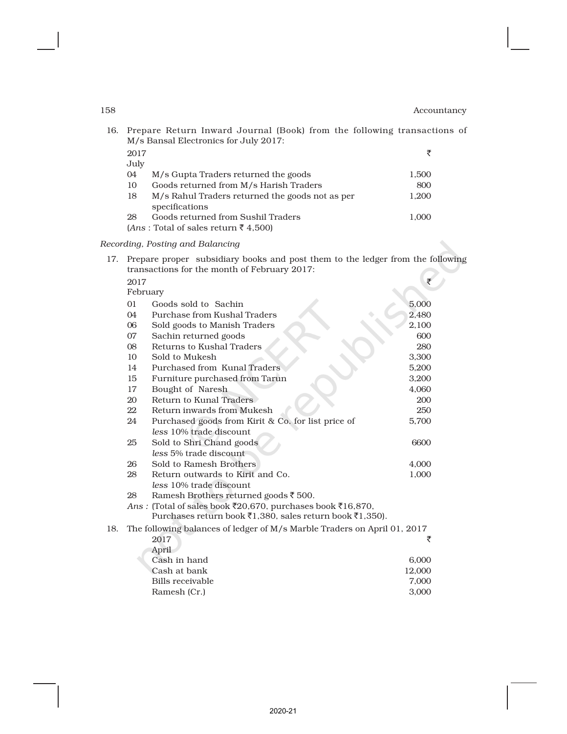M/s Bansal Electronics for July 2017:  $2017$ July 04 M/s Gupta Traders returned the goods 1,500 10 Goods returned from M/s Harish Traders 800 18 M/s Rahul Traders returned the goods not as per 1,200 specifications 28 Goods returned from Sushil Traders 1,000

16. Prepare Return Inward Journal (Book) from the following transactions of

 $(Ans: \text{Total of sales return}$   $\overline{\xi}$  4,500)

#### *Recording, Posting and Balancing*

17. Prepare proper subsidiary books and post them to the ledger from the following transactions for the month of February 2017:

|     | 2017                                                     |                                                                          |        |  |
|-----|----------------------------------------------------------|--------------------------------------------------------------------------|--------|--|
|     | February                                                 |                                                                          |        |  |
|     | 01<br>Goods sold to Sachin                               |                                                                          | 5,000  |  |
|     | 04                                                       | Purchase from Kushal Traders                                             | 2,480  |  |
|     | 06                                                       | Sold goods to Manish Traders                                             | 2,100  |  |
|     | 07                                                       | Sachin returned goods                                                    | 600    |  |
|     | 08                                                       | Returns to Kushal Traders                                                | 280    |  |
|     | 10                                                       | Sold to Mukesh                                                           | 3,300  |  |
|     | 14                                                       | Purchased from Kunal Traders                                             | 5,200  |  |
|     | 15                                                       | Furniture purchased from Tarun                                           | 3,200  |  |
|     | 17                                                       | Bought of Naresh                                                         | 4,060  |  |
|     | 20                                                       | Return to Kunal Traders                                                  | 200    |  |
|     | 22                                                       | Return inwards from Mukesh                                               | 250    |  |
|     | 24<br>Purchased goods from Kirit & Co. for list price of |                                                                          |        |  |
|     |                                                          | less 10% trade discount                                                  |        |  |
|     | 25                                                       | Sold to Shri Chand goods                                                 | 6600   |  |
|     |                                                          | less 5% trade discount                                                   |        |  |
|     | 26                                                       | Sold to Ramesh Brothers                                                  | 4,000  |  |
|     | 28                                                       | Return outwards to Kirit and Co.                                         | 1,000  |  |
|     |                                                          | less 10% trade discount                                                  |        |  |
|     | 28                                                       | Ramesh Brothers returned goods ₹ 500.                                    |        |  |
|     |                                                          | Ans: (Total of sales book ₹20,670, purchases book ₹16,870,               |        |  |
|     |                                                          | Purchases return book ₹1,380, sales return book ₹1,350).                 |        |  |
| 18. |                                                          | The following balances of ledger of M/s Marble Traders on April 01, 2017 |        |  |
|     |                                                          | 2017                                                                     | ₹      |  |
|     |                                                          | April                                                                    |        |  |
|     |                                                          | Cash in hand                                                             | 6,000  |  |
|     |                                                          | Cash at bank                                                             | 12,000 |  |
|     |                                                          | Bills receivable                                                         | 7,000  |  |
|     |                                                          | Ramesh (Cr.)                                                             | 3,000  |  |